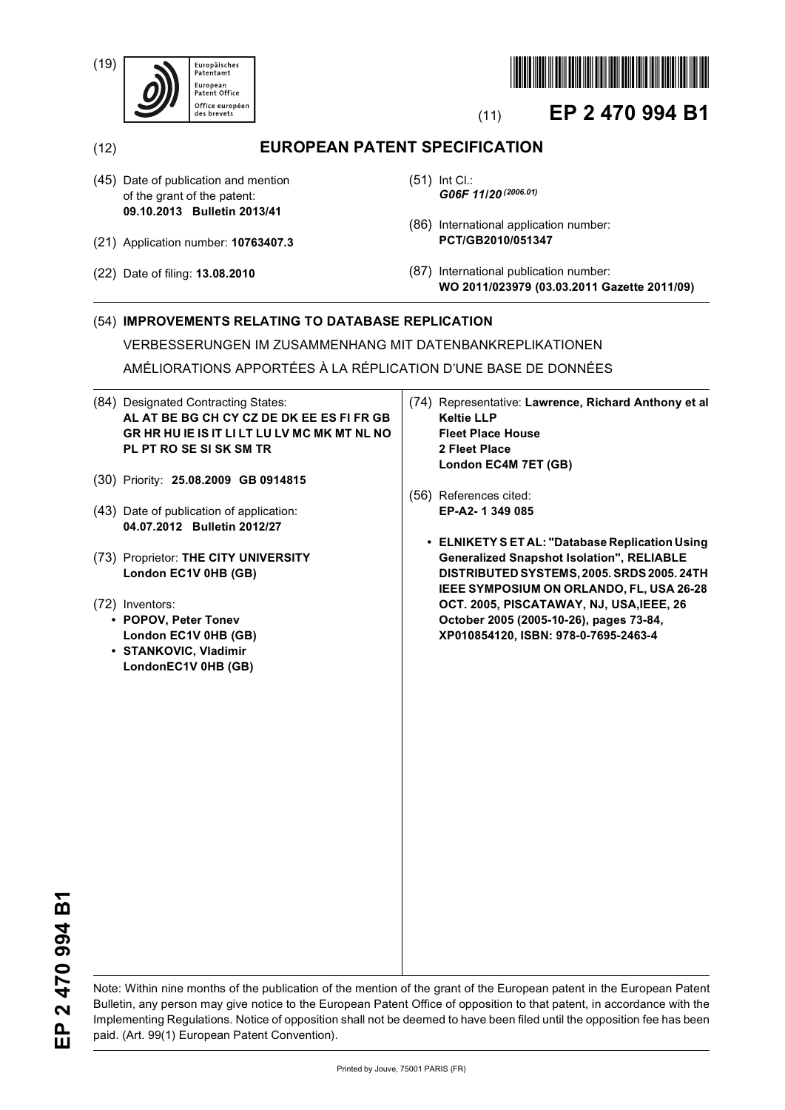(19)





# (11) **EP 2 470 994 B1**

(12) **EUROPEAN PATENT SPECIFICATION**

- (45) Date of publication and mention of the grant of the patent: **09.10.2013 Bulletin 2013/41**
- (21) Application number: **10763407.3**
- (22) Date of filing: **13.08.2010**
- (51) Int Cl.: *G06F 11/20 (2006.01)*
- (86) International application number: **PCT/GB2010/051347**
- (87) International publication number: **WO 2011/023979 (03.03.2011 Gazette 2011/09)**

## (54) **IMPROVEMENTS RELATING TO DATABASE REPLICATION**

VERBESSERUNGEN IM ZUSAMMENHANG MIT DATENBANKREPLIKATIONEN

AMÉLIORATIONS APPORTÉES À LA RÉPLICATION D'UNE BASE DE DONNÉES

- (84) Designated Contracting States: **AL AT BE BG CH CY CZ DE DK EE ES FI FR GB GR HR HU IE IS IT LI LT LU LV MC MK MT NL NO PL PT RO SE SI SK SM TR**
- (30) Priority: **25.08.2009 GB 0914815**
- (43) Date of publication of application: **04.07.2012 Bulletin 2012/27**
- (73) Proprietor: **THE CITY UNIVERSITY London EC1V 0HB (GB)**
- (72) Inventors:
	- **POPOV, Peter Tonev London EC1V 0HB (GB)**
	- **STANKOVIC, Vladimir LondonEC1V 0HB (GB)**
- (74) Representative: **Lawrence, Richard Anthony et al Keltie LLP Fleet Place House 2 Fleet Place London EC4M 7ET (GB)**
- (56) References cited: **EP-A2- 1 349 085** 
	- **ELNIKETY S ET AL: "Database Replication Using Generalized Snapshot Isolation", RELIABLE DISTRIBUTED SYSTEMS, 2005. SRDS 2005. 24TH IEEE SYMPOSIUM ON ORLANDO, FL, USA 26-28 OCT. 2005, PISCATAWAY, NJ, USA,IEEE, 26 October 2005 (2005-10-26), pages 73-84, XP010854120, ISBN: 978-0-7695-2463-4**

EP 2 470 994 B1 **EP 2 470 994 B1**

Note: Within nine months of the publication of the mention of the grant of the European patent in the European Patent Bulletin, any person may give notice to the European Patent Office of opposition to that patent, in accordance with the Implementing Regulations. Notice of opposition shall not be deemed to have been filed until the opposition fee has been paid. (Art. 99(1) European Patent Convention).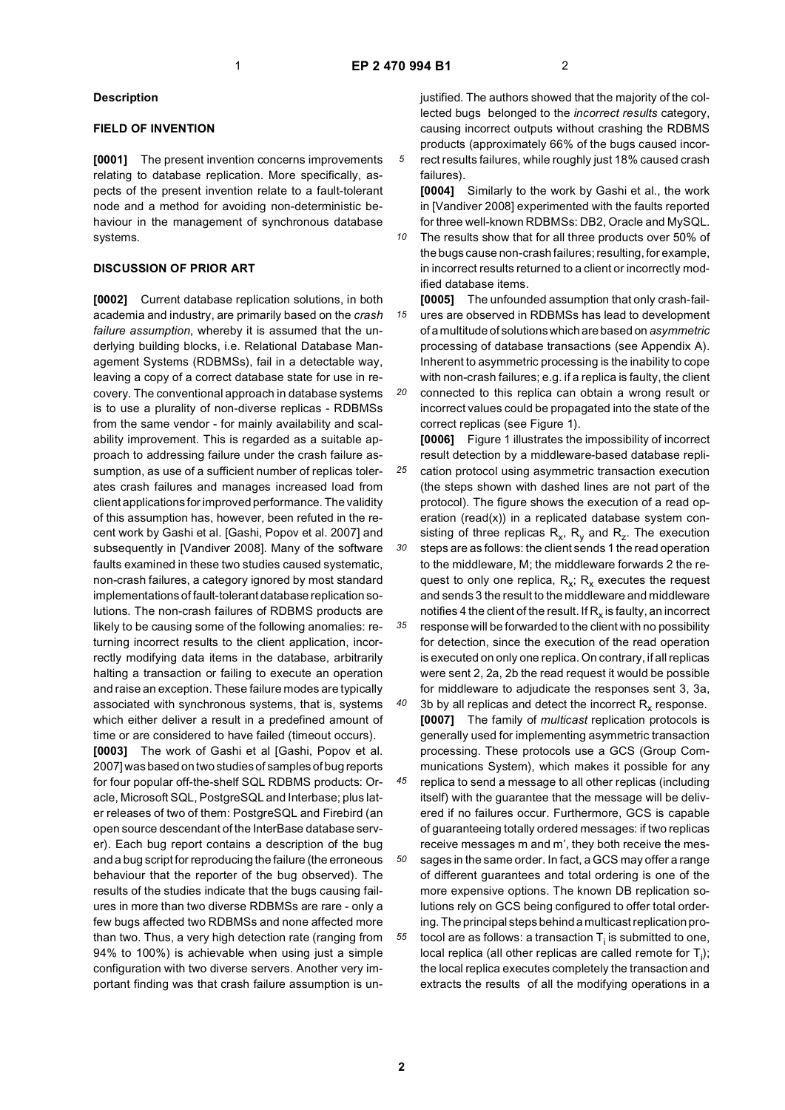### **Description**

### **FIELD OF INVENTION**

**[0001]** The present invention concerns improvements relating to database replication. More specifically, aspects of the present invention relate to a fault-tolerant node and a method for avoiding non-deterministic behaviour in the management of synchronous database systems.

### **DISCUSSION OF PRIOR ART**

**[0002]** Current database replication solutions, in both academia and industry, are primarily based on the *crash failure assumption*, whereby it is assumed that the underlying building blocks, i.e. Relational Database Management Systems (RDBMSs), fail in a detectable way, leaving a copy of a correct database state for use in recovery. The conventional approach in database systems is to use a plurality of non-diverse replicas - RDBMSs from the same vendor - for mainly availability and scalability improvement. This is regarded as a suitable approach to addressing failure under the crash failure assumption, as use of a sufficient number of replicas tolerates crash failures and manages increased load from client applications for improved performance. The validity of this assumption has, however, been refuted in the recent work by Gashi et al. [Gashi, Popov et al. 2007] and subsequently in [Vandiver 2008]. Many of the software faults examined in these two studies caused systematic, non-crash failures, a category ignored by most standard implementations of fault-tolerant database replication solutions. The non-crash failures of RDBMS products are likely to be causing some of the following anomalies: returning incorrect results to the client application, incorrectly modifying data items in the database, arbitrarily halting a transaction or failing to execute an operation and raise an exception. These failure modes are typically associated with synchronous systems, that is, systems which either deliver a result in a predefined amount of time or are considered to have failed (timeout occurs).

**[0003]** The work of Gashi et al [Gashi, Popov et al. 2007] was based on two studies of samples of bug reports for four popular off-the-shelf SQL RDBMS products: Oracle, Microsoft SQL, PostgreSQL and Interbase; plus later releases of two of them: PostgreSQL and Firebird (an open source descendant of the InterBase database server). Each bug report contains a description of the bug and a bug script for reproducing the failure (the erroneous behaviour that the reporter of the bug observed). The results of the studies indicate that the bugs causing failures in more than two diverse RDBMSs are rare - only a few bugs affected two RDBMSs and none affected more than two. Thus, a very high detection rate (ranging from 94% to 100%) is achievable when using just a simple configuration with two diverse servers. Another very important finding was that crash failure assumption is unjustified. The authors showed that the majority of the collected bugs belonged to the *incorrect results* category, causing incorrect outputs without crashing the RDBMS products (approximately 66% of the bugs caused incorrect results failures, while roughly just 18% caused crash failures).

**[0004]** Similarly to the work by Gashi et al., the work in [Vandiver 2008] experimented with the faults reported for three well-known RDBMSs: DB2, Oracle and MySQL.

*10* The results show that for all three products over 50% of the bugs cause non-crash failures; resulting, for example, in incorrect results returned to a client or incorrectly modified database items.

*15* **[0005]** The unfounded assumption that only crash-failures are observed in RDBMSs has lead to development of a multitude of solutions which are based on *asymmetric* processing of database transactions (see Appendix A). Inherent to asymmetric processing is the inability to cope with non-crash failures; e.g. if a replica is faulty, the client

*20* connected to this replica can obtain a wrong result or incorrect values could be propagated into the state of the correct replicas (see Figure 1).

*25 30 35* **[0006]** Figure 1 illustrates the impossibility of incorrect result detection by a middleware-based database replication protocol using asymmetric transaction execution (the steps shown with dashed lines are not part of the protocol). The figure shows the execution of a read operation (read(x)) in a replicated database system consisting of three replicas  $R_x$ ,  $R_y$  and  $R_z$ . The execution steps are as follows: the client sends 1 the read operation to the middleware, M; the middleware forwards 2 the request to only one replica,  $R_x$ ;  $R_x$  executes the request and sends 3 the result to the middleware and middleware notifies 4 the client of the result. If  $R_x$  is faulty, an incorrect response will be forwarded to the client with no possibility for detection, since the execution of the read operation is executed on only one replica. On contrary, if all replicas were sent 2, 2a, 2b the read request it would be possible

for middleware to adjudicate the responses sent 3, 3a, 3b by all replicas and detect the incorrect  $R<sub>x</sub>$  response. **[0007]** The family of *multicast* replication protocols is generally used for implementing asymmetric transaction processing. These protocols use a GCS (Group Communications System), which makes it possible for any replica to send a message to all other replicas (including itself) with the guarantee that the message will be delivered if no failures occur. Furthermore, GCS is capable of guaranteeing totally ordered messages: if two replicas

*50 55* receive messages m and m', they both receive the messages in the same order. In fact, a GCS may offer a range of different guarantees and total ordering is one of the more expensive options. The known DB replication solutions rely on GCS being configured to offer total ordering. The principal steps behind a multicast replication protocol are as follows: a transaction  ${\sf T}_{\sf i}$  is submitted to one, local replica (all other replicas are called remote for  $T_i$ ); the local replica executes completely the transaction and extracts the results of all the modifying operations in a

*40*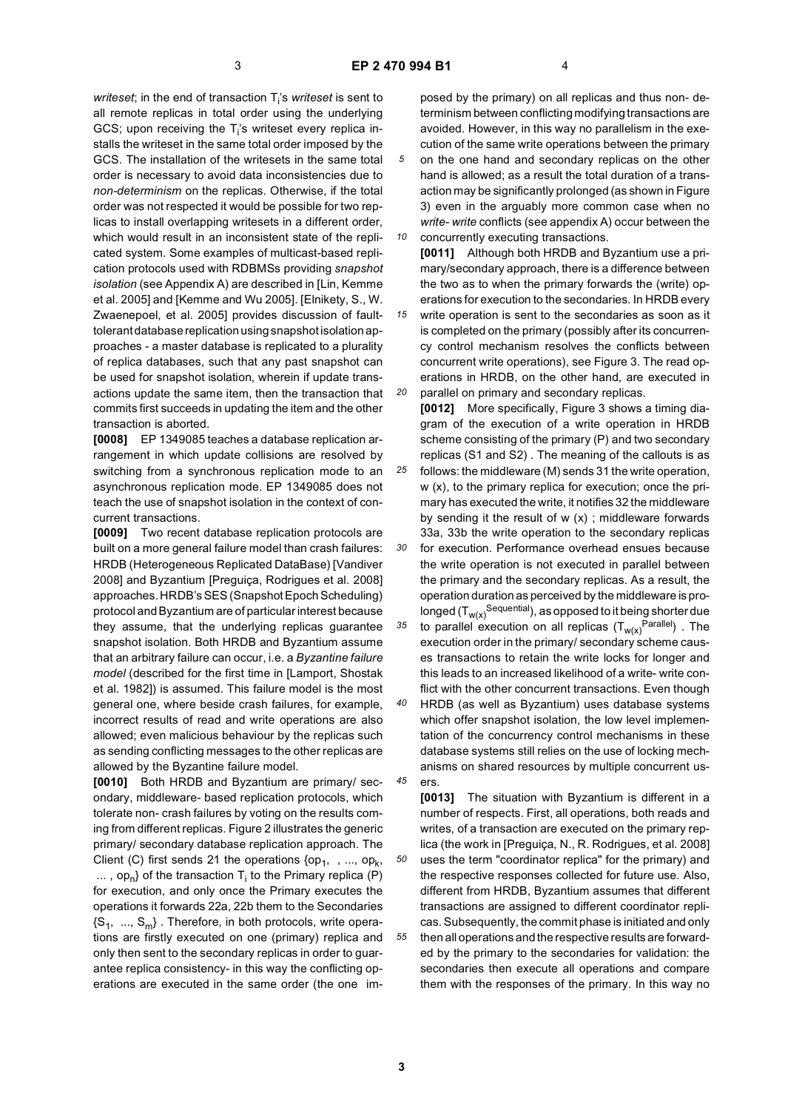writeset; in the end of transaction T<sub>i</sub>'s writeset is sent to all remote replicas in total order using the underlying GCS; upon receiving the  $T_i$ 's writeset every replica installs the writeset in the same total order imposed by the GCS. The installation of the writesets in the same total order is necessary to avoid data inconsistencies due to *non-determinism* on the replicas. Otherwise, if the total order was not respected it would be possible for two replicas to install overlapping writesets in a different order, which would result in an inconsistent state of the replicated system. Some examples of multicast-based replication protocols used with RDBMSs providing *snapshot isolation* (see Appendix A) are described in [Lin, Kemme et al. 2005] and [Kemme and Wu 2005]. [Elnikety, S., W. Zwaenepoel, et al. 2005] provides discussion of faulttolerant database replication using snapshot isolation approaches - a master database is replicated to a plurality of replica databases, such that any past snapshot can be used for snapshot isolation, wherein if update transactions update the same item, then the transaction that commits first succeeds in updating the item and the other transaction is aborted.

**[0008]** EP 1349085 teaches a database replication arrangement in which update collisions are resolved by switching from a synchronous replication mode to an asynchronous replication mode. EP 1349085 does not teach the use of snapshot isolation in the context of concurrent transactions.

**[0009]** Two recent database replication protocols are built on a more general failure model than crash failures: HRDB (Heterogeneous Replicated DataBase) [Vandiver 2008] and Byzantium [Preguiça, Rodrigues et al. 2008] approaches. HRDB's SES (Snapshot Epoch Scheduling) protocol and Byzantium are of particular interest because they assume, that the underlying replicas guarantee snapshot isolation. Both HRDB and Byzantium assume that an arbitrary failure can occur, i.e. a *Byzantine failure model* (described for the first time in [Lamport, Shostak et al. 1982]) is assumed. This failure model is the most general one, where beside crash failures, for example, incorrect results of read and write operations are also allowed; even malicious behaviour by the replicas such as sending conflicting messages to the other replicas are allowed by the Byzantine failure model.

**[0010]** Both HRDB and Byzantium are primary/ secondary, middleware- based replication protocols, which tolerate non- crash failures by voting on the results coming from different replicas. Figure 2 illustrates the generic primary/ secondary database replication approach. The Client (C) first sends 21 the operations  $\{op_1, , . . . , op_k,$ ... , op<sub>n</sub>} of the transaction T<sub>i</sub> to the Primary replica (P) for execution, and only once the Primary executes the operations it forwards 22a, 22b them to the Secondaries  $\{S_1, ..., S_m\}$ . Therefore, in both protocols, write operations are firstly executed on one (primary) replica and only then sent to the secondary replicas in order to guarantee replica consistency- in this way the conflicting operations are executed in the same order (the one im-

posed by the primary) on all replicas and thus non- determinism between conflicting modifying transactions are avoided. However, in this way no parallelism in the execution of the same write operations between the primary on the one hand and secondary replicas on the other hand is allowed; as a result the total duration of a transaction may be significantly prolonged (as shown in Figure 3) even in the arguably more common case when no *write- write* conflicts (see appendix A) occur between the

*10 15* concurrently executing transactions. **[0011]** Although both HRDB and Byzantium use a primary/secondary approach, there is a difference between the two as to when the primary forwards the (write) operations for execution to the secondaries. In HRDB every write operation is sent to the secondaries as soon as it is completed on the primary (possibly after its concurrency control mechanism resolves the conflicts between concurrent write operations), see Figure 3. The read operations in HRDB, on the other hand, are executed in

*20 25 30 35 40* parallel on primary and secondary replicas. **[0012]** More specifically, Figure 3 shows a timing diagram of the execution of a write operation in HRDB scheme consisting of the primary (P) and two secondary replicas (S1 and S2) . The meaning of the callouts is as follows: the middleware (M) sends 31 the write operation, w (x), to the primary replica for execution; once the primary has executed the write, it notifies 32 the middleware by sending it the result of  $w(x)$ ; middleware forwards 33a, 33b the write operation to the secondary replicas for execution. Performance overhead ensues because the write operation is not executed in parallel between the primary and the secondary replicas. As a result, the operation duration as perceived by the middleware is prolonged  $(T_{w(x)}^{\text{Sequential}})$ , as opposed to it being shorter due to parallel execution on all replicas  $(T_{w(x)}^{\text{Parallel}})$ . The execution order in the primary/ secondary scheme causes transactions to retain the write locks for longer and this leads to an increased likelihood of a write- write conflict with the other concurrent transactions. Even though HRDB (as well as Byzantium) uses database systems which offer snapshot isolation, the low level implemen-

tation of the concurrency control mechanisms in these database systems still relies on the use of locking mechanisms on shared resources by multiple concurrent users.

*50 55* **[0013]** The situation with Byzantium is different in a number of respects. First, all operations, both reads and writes, of a transaction are executed on the primary replica (the work in [Preguiça, N., R. Rodrigues, et al. 2008] uses the term "coordinator replica" for the primary) and the respective responses collected for future use. Also, different from HRDB, Byzantium assumes that different transactions are assigned to different coordinator replicas. Subsequently, the commit phase is initiated and only then all operations and the respective results are forwarded by the primary to the secondaries for validation: the secondaries then execute all operations and compare them with the responses of the primary. In this way no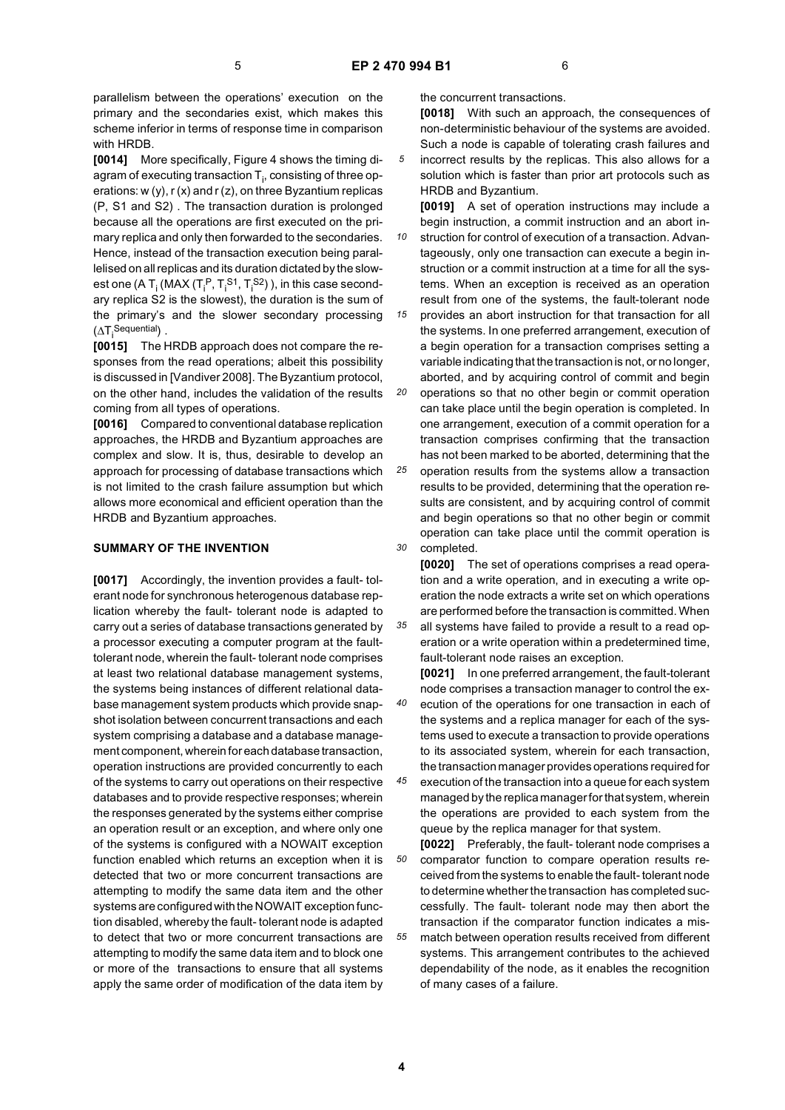parallelism between the operations' execution on the primary and the secondaries exist, which makes this scheme inferior in terms of response time in comparison with HRDB.

**[0014]** More specifically, Figure 4 shows the timing diagram of executing transaction  ${\mathsf T}_{\mathsf i}$ , consisting of three operations: w (y), r (x) and r (z), on three Byzantium replicas (P, S1 and S2) . The transaction duration is prolonged because all the operations are first executed on the primary replica and only then forwarded to the secondaries. Hence, instead of the transaction execution being parallelised on all replicas and its duration dictated by the slowest one (A T<sub>i</sub> (MAX (T<sub>i</sub><sup>P</sup>, T<sub>i</sub><sup>S1</sup>, T<sub>i</sub><sup>S2</sup>) ), in this case secondary replica S2 is the slowest), the duration is the sum of the primary's and the slower secondary processing  $(\Delta T_i^{\text{Sequential}})$ .

**[0015]** The HRDB approach does not compare the responses from the read operations; albeit this possibility is discussed in [Vandiver 2008]. The Byzantium protocol, on the other hand, includes the validation of the results coming from all types of operations.

**[0016]** Compared to conventional database replication approaches, the HRDB and Byzantium approaches are complex and slow. It is, thus, desirable to develop an approach for processing of database transactions which is not limited to the crash failure assumption but which allows more economical and efficient operation than the HRDB and Byzantium approaches.

### **SUMMARY OF THE INVENTION**

**[0017]** Accordingly, the invention provides a fault- tolerant node for synchronous heterogenous database replication whereby the fault- tolerant node is adapted to carry out a series of database transactions generated by a processor executing a computer program at the faulttolerant node, wherein the fault- tolerant node comprises at least two relational database management systems, the systems being instances of different relational database management system products which provide snapshot isolation between concurrent transactions and each system comprising a database and a database management component, wherein for each database transaction, operation instructions are provided concurrently to each of the systems to carry out operations on their respective databases and to provide respective responses; wherein the responses generated by the systems either comprise an operation result or an exception, and where only one of the systems is configured with a NOWAIT exception function enabled which returns an exception when it is detected that two or more concurrent transactions are attempting to modify the same data item and the other systems are configured with the NOWAIT exception function disabled, whereby the fault- tolerant node is adapted to detect that two or more concurrent transactions are attempting to modify the same data item and to block one or more of the transactions to ensure that all systems apply the same order of modification of the data item by

the concurrent transactions.

**[0018]** With such an approach, the consequences of non-deterministic behaviour of the systems are avoided. Such a node is capable of tolerating crash failures and

*5* incorrect results by the replicas. This also allows for a solution which is faster than prior art protocols such as HRDB and Byzantium.

**[0019]** A set of operation instructions may include a begin instruction, a commit instruction and an abort in-

*10 15* struction for control of execution of a transaction. Advantageously, only one transaction can execute a begin instruction or a commit instruction at a time for all the systems. When an exception is received as an operation result from one of the systems, the fault-tolerant node

provides an abort instruction for that transaction for all the systems. In one preferred arrangement, execution of a begin operation for a transaction comprises setting a variable indicating that the transaction is not, or no longer, aborted, and by acquiring control of commit and begin

*20* operations so that no other begin or commit operation can take place until the begin operation is completed. In one arrangement, execution of a commit operation for a transaction comprises confirming that the transaction has not been marked to be aborted, determining that the

*25 30* operation results from the systems allow a transaction results to be provided, determining that the operation results are consistent, and by acquiring control of commit and begin operations so that no other begin or commit operation can take place until the commit operation is completed.

**[0020]** The set of operations comprises a read operation and a write operation, and in executing a write operation the node extracts a write set on which operations are performed before the transaction is committed. When

*35* all systems have failed to provide a result to a read operation or a write operation within a predetermined time, fault-tolerant node raises an exception.

*40* **[0021]** In one preferred arrangement, the fault-tolerant node comprises a transaction manager to control the execution of the operations for one transaction in each of the systems and a replica manager for each of the systems used to execute a transaction to provide operations to its associated system, wherein for each transaction, the transaction manager provides operations required for

*45* execution of the transaction into a queue for each system managed by the replica manager for that system, wherein the operations are provided to each system from the queue by the replica manager for that system.

*55* **[0022]** Preferably, the fault- tolerant node comprises a comparator function to compare operation results received from the systems to enable the fault- tolerant node to determine whether the transaction has completed successfully. The fault- tolerant node may then abort the transaction if the comparator function indicates a mismatch between operation results received from different systems. This arrangement contributes to the achieved dependability of the node, as it enables the recognition of many cases of a failure.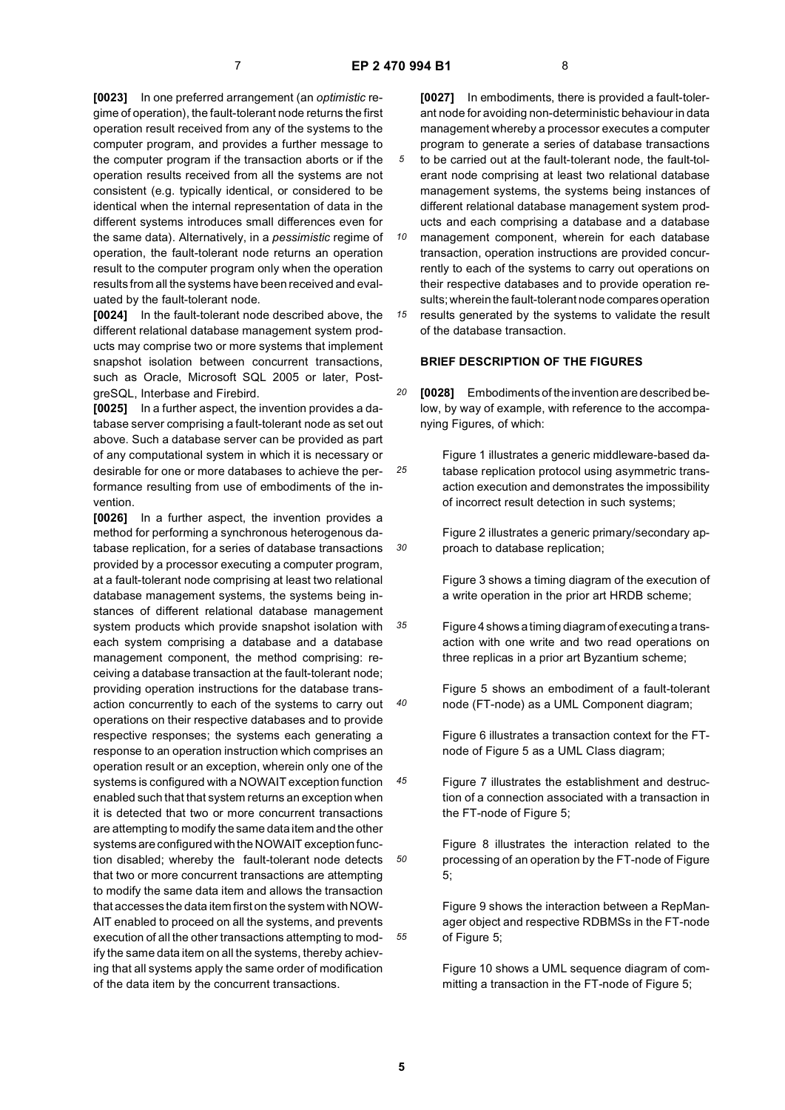*25*

**[0023]** In one preferred arrangement (an *optimistic* regime of operation), the fault-tolerant node returns the first operation result received from any of the systems to the computer program, and provides a further message to the computer program if the transaction aborts or if the operation results received from all the systems are not consistent (e.g. typically identical, or considered to be identical when the internal representation of data in the different systems introduces small differences even for the same data). Alternatively, in a *pessimistic* regime of operation, the fault-tolerant node returns an operation result to the computer program only when the operation results from all the systems have been received and evaluated by the fault-tolerant node.

**[0024]** In the fault-tolerant node described above, the different relational database management system products may comprise two or more systems that implement snapshot isolation between concurrent transactions, such as Oracle, Microsoft SQL 2005 or later, PostgreSQL, Interbase and Firebird.

**[0025]** In a further aspect, the invention provides a database server comprising a fault-tolerant node as set out above. Such a database server can be provided as part of any computational system in which it is necessary or desirable for one or more databases to achieve the performance resulting from use of embodiments of the invention.

*30 35 40 45 50 55* **[0026]** In a further aspect, the invention provides a method for performing a synchronous heterogenous database replication, for a series of database transactions provided by a processor executing a computer program, at a fault-tolerant node comprising at least two relational database management systems, the systems being instances of different relational database management system products which provide snapshot isolation with each system comprising a database and a database management component, the method comprising: receiving a database transaction at the fault-tolerant node; providing operation instructions for the database transaction concurrently to each of the systems to carry out operations on their respective databases and to provide respective responses; the systems each generating a response to an operation instruction which comprises an operation result or an exception, wherein only one of the systems is configured with a NOWAIT exception function enabled such that that system returns an exception when it is detected that two or more concurrent transactions are attempting to modify the same data item and the other systems are configured with the NOWAIT exception function disabled; whereby the fault-tolerant node detects that two or more concurrent transactions are attempting to modify the same data item and allows the transaction that accesses the data item first on the system with NOW-AIT enabled to proceed on all the systems, and prevents execution of all the other transactions attempting to modify the same data item on all the systems, thereby achieving that all systems apply the same order of modification of the data item by the concurrent transactions.

**[0027]** In embodiments, there is provided a fault-tolerant node for avoiding non-deterministic behaviour in data management whereby a processor executes a computer program to generate a series of database transactions to be carried out at the fault-tolerant node, the fault-tolerant node comprising at least two relational database management systems, the systems being instances of different relational database management system products and each comprising a database and a database

- *10 15* management component, wherein for each database transaction, operation instructions are provided concurrently to each of the systems to carry out operations on their respective databases and to provide operation results; wherein the fault-tolerant node compares operation results generated by the systems to validate the result
	- **BRIEF DESCRIPTION OF THE FIGURES**

of the database transaction.

- *20* **[0028]** Embodiments of the invention are described below, by way of example, with reference to the accompanying Figures, of which:
	- Figure 1 illustrates a generic middleware-based database replication protocol using asymmetric transaction execution and demonstrates the impossibility of incorrect result detection in such systems;

Figure 2 illustrates a generic primary/secondary approach to database replication;

Figure 3 shows a timing diagram of the execution of a write operation in the prior art HRDB scheme;

- Figure 4 shows a timing diagram of executing a transaction with one write and two read operations on three replicas in a prior art Byzantium scheme;
	- Figure 5 shows an embodiment of a fault-tolerant node (FT-node) as a UML Component diagram;

Figure 6 illustrates a transaction context for the FTnode of Figure 5 as a UML Class diagram;

- Figure 7 illustrates the establishment and destruction of a connection associated with a transaction in the FT-node of Figure 5;
	- Figure 8 illustrates the interaction related to the processing of an operation by the FT-node of Figure 5;

Figure 9 shows the interaction between a RepManager object and respective RDBMSs in the FT-node of Figure 5;

Figure 10 shows a UML sequence diagram of committing a transaction in the FT-node of Figure 5;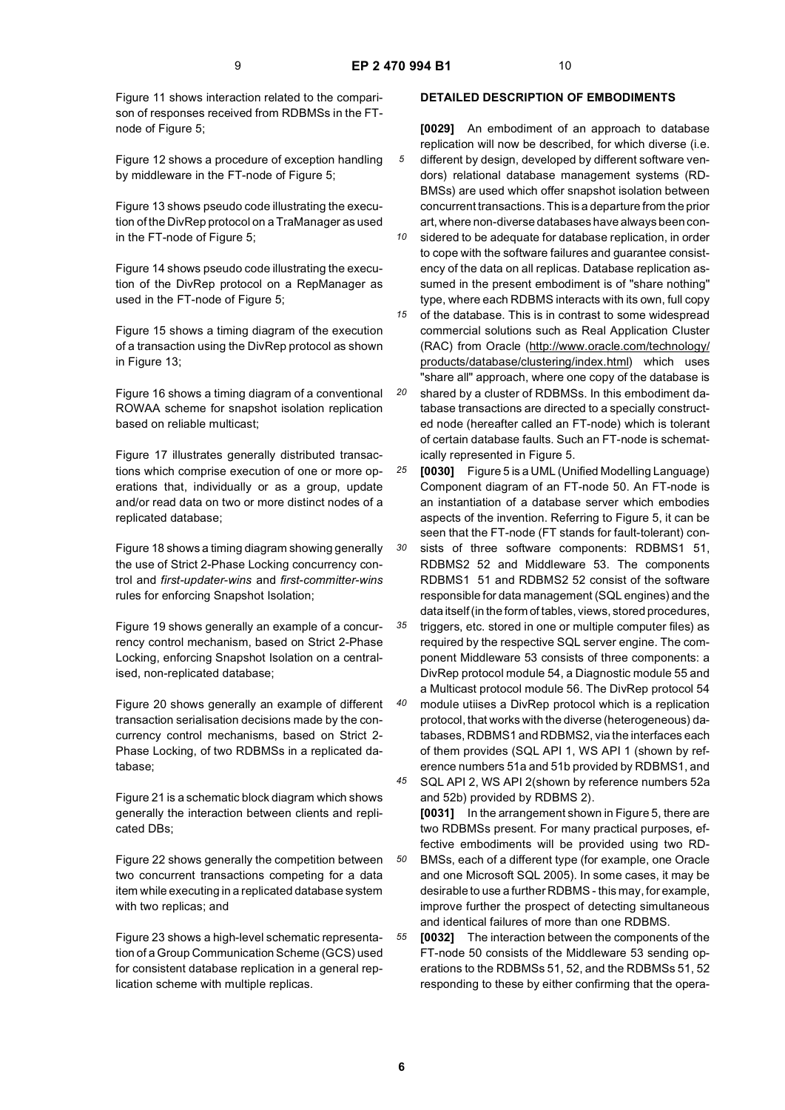Figure 11 shows interaction related to the comparison of responses received from RDBMSs in the FTnode of Figure 5;

Figure 12 shows a procedure of exception handling by middleware in the FT-node of Figure 5;

Figure 13 shows pseudo code illustrating the execution of the DivRep protocol on a TraManager as used in the FT-node of Figure 5;

Figure 14 shows pseudo code illustrating the execution of the DivRep protocol on a RepManager as used in the FT-node of Figure 5;

Figure 15 shows a timing diagram of the execution of a transaction using the DivRep protocol as shown in Figure 13;

Figure 16 shows a timing diagram of a conventional ROWAA scheme for snapshot isolation replication based on reliable multicast;

Figure 17 illustrates generally distributed transactions which comprise execution of one or more operations that, individually or as a group, update and/or read data on two or more distinct nodes of a replicated database;

Figure 18 shows a timing diagram showing generally the use of Strict 2-Phase Locking concurrency control and *first-updater-wins* and *first-committer-wins* rules for enforcing Snapshot Isolation;

Figure 19 shows generally an example of a concurrency control mechanism, based on Strict 2-Phase Locking, enforcing Snapshot Isolation on a centralised, non-replicated database;

Figure 20 shows generally an example of different transaction serialisation decisions made by the concurrency control mechanisms, based on Strict 2- Phase Locking, of two RDBMSs in a replicated database;

Figure 21 is a schematic block diagram which shows generally the interaction between clients and replicated DBs;

Figure 22 shows generally the competition between two concurrent transactions competing for a data item while executing in a replicated database system with two replicas; and

Figure 23 shows a high-level schematic representation of a Group Communication Scheme (GCS) used for consistent database replication in a general replication scheme with multiple replicas.

### **DETAILED DESCRIPTION OF EMBODIMENTS**

**[0029]** An embodiment of an approach to database replication will now be described, for which diverse (i.e. different by design, developed by different software vendors) relational database management systems (RD-BMSs) are used which offer snapshot isolation between concurrent transactions. This is a departure from the prior art, where non-diverse databases have always been con-

*10* sidered to be adequate for database replication, in order to cope with the software failures and guarantee consistency of the data on all replicas. Database replication assumed in the present embodiment is of "share nothing" type, where each RDBMS interacts with its own, full copy

*15* of the database. This is in contrast to some widespread commercial solutions such as Real Application Cluster (RAC) from Oracle (http://www.oracle.com/technology/ products/database/clustering/index.html) which uses "share all" approach, where one copy of the database is

*20* shared by a cluster of RDBMSs. In this embodiment database transactions are directed to a specially constructed node (hereafter called an FT-node) which is tolerant of certain database faults. Such an FT-node is schematically represented in Figure 5.

*25* **[0030]** Figure 5 is a UML (Unified Modelling Language) Component diagram of an FT-node 50. An FT-node is an instantiation of a database server which embodies aspects of the invention. Referring to Figure 5, it can be seen that the FT-node (FT stands for fault-tolerant) con-

*30* sists of three software components: RDBMS1 51, RDBMS2 52 and Middleware 53. The components RDBMS1 51 and RDBMS2 52 consist of the software responsible for data management (SQL engines) and the data itself (in the form of tables, views, stored procedures,

*35 40* triggers, etc. stored in one or multiple computer files) as required by the respective SQL server engine. The component Middleware 53 consists of three components: a DivRep protocol module 54, a Diagnostic module 55 and a Multicast protocol module 56. The DivRep protocol 54 module utiises a DivRep protocol which is a replication protocol, that works with the diverse (heterogeneous) databases, RDBMS1 and RDBMS2, via the interfaces each of them provides (SQL API 1, WS API 1 (shown by ref-

*45 50* erence numbers 51a and 51b provided by RDBMS1, and SQL API 2, WS API 2(shown by reference numbers 52a and 52b) provided by RDBMS 2). **[0031]** In the arrangement shown in Figure 5, there are two RDBMSs present. For many practical purposes, effective embodiments will be provided using two RD-BMSs, each of a different type (for example, one Oracle

and one Microsoft SQL 2005). In some cases, it may be desirable to use a further RDBMS - this may, for example, improve further the prospect of detecting simultaneous and identical failures of more than one RDBMS.

*55* **[0032]** The interaction between the components of the FT-node 50 consists of the Middleware 53 sending operations to the RDBMSs 51, 52, and the RDBMSs 51, 52 responding to these by either confirming that the opera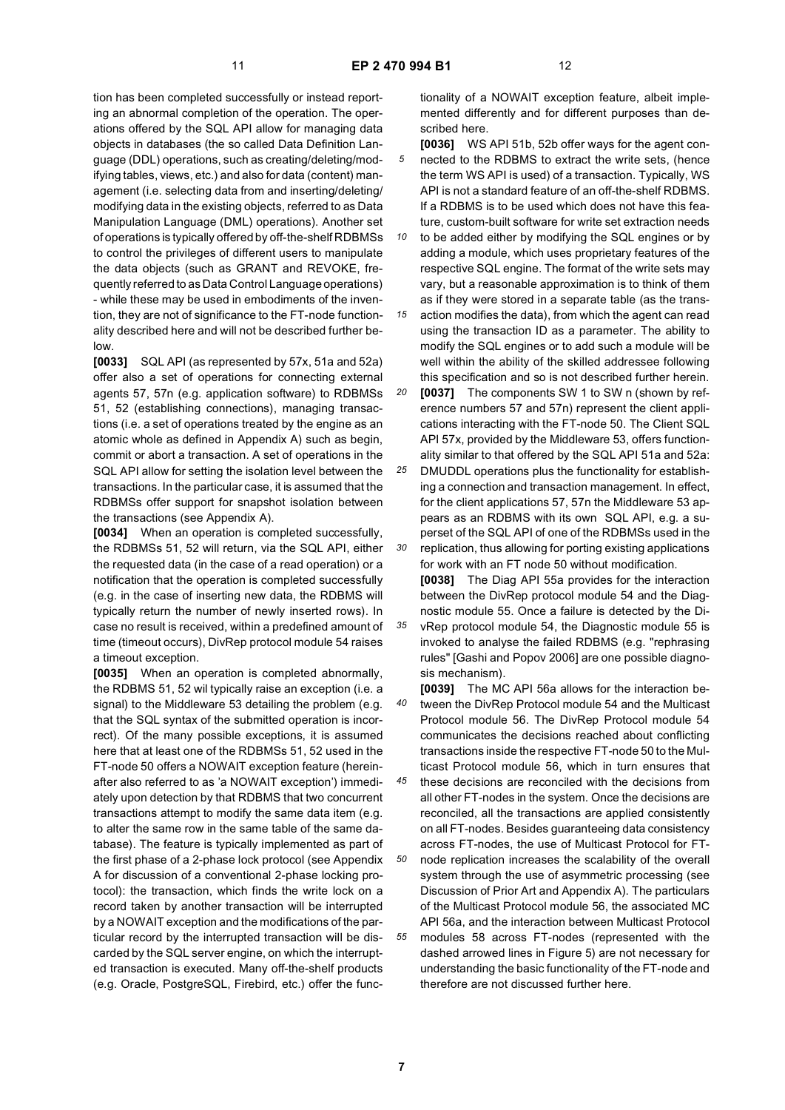tion has been completed successfully or instead reporting an abnormal completion of the operation. The operations offered by the SQL API allow for managing data objects in databases (the so called Data Definition Language (DDL) operations, such as creating/deleting/modifying tables, views, etc.) and also for data (content) management (i.e. selecting data from and inserting/deleting/ modifying data in the existing objects, referred to as Data Manipulation Language (DML) operations). Another set of operations is typically offered by off-the-shelf RDBMSs to control the privileges of different users to manipulate the data objects (such as GRANT and REVOKE, frequently referred to as Data Control Language operations) - while these may be used in embodiments of the invention, they are not of significance to the FT-node functionality described here and will not be described further below.

**[0033]** SQL API (as represented by 57x, 51a and 52a) offer also a set of operations for connecting external agents 57, 57n (e.g. application software) to RDBMSs 51, 52 (establishing connections), managing transactions (i.e. a set of operations treated by the engine as an atomic whole as defined in Appendix A) such as begin, commit or abort a transaction. A set of operations in the SQL API allow for setting the isolation level between the transactions. In the particular case, it is assumed that the RDBMSs offer support for snapshot isolation between the transactions (see Appendix A).

**[0034]** When an operation is completed successfully, the RDBMSs 51, 52 will return, via the SQL API, either the requested data (in the case of a read operation) or a notification that the operation is completed successfully (e.g. in the case of inserting new data, the RDBMS will typically return the number of newly inserted rows). In case no result is received, within a predefined amount of time (timeout occurs), DivRep protocol module 54 raises a timeout exception.

**[0035]** When an operation is completed abnormally, the RDBMS 51, 52 wil typically raise an exception (i.e. a signal) to the Middleware 53 detailing the problem (e.g. that the SQL syntax of the submitted operation is incorrect). Of the many possible exceptions, it is assumed here that at least one of the RDBMSs 51, 52 used in the FT-node 50 offers a NOWAIT exception feature (hereinafter also referred to as 'a NOWAIT exception') immediately upon detection by that RDBMS that two concurrent transactions attempt to modify the same data item (e.g. to alter the same row in the same table of the same database). The feature is typically implemented as part of the first phase of a 2-phase lock protocol (see Appendix A for discussion of a conventional 2-phase locking protocol): the transaction, which finds the write lock on a record taken by another transaction will be interrupted by a NOWAIT exception and the modifications of the particular record by the interrupted transaction will be discarded by the SQL server engine, on which the interrupted transaction is executed. Many off-the-shelf products (e.g. Oracle, PostgreSQL, Firebird, etc.) offer the functionality of a NOWAIT exception feature, albeit implemented differently and for different purposes than described here.

- *5* **[0036]** WS API 51b, 52b offer ways for the agent connected to the RDBMS to extract the write sets, (hence the term WS API is used) of a transaction. Typically, WS API is not a standard feature of an off-the-shelf RDBMS. If a RDBMS is to be used which does not have this feature, custom-built software for write set extraction needs
- *10 15* to be added either by modifying the SQL engines or by adding a module, which uses proprietary features of the respective SQL engine. The format of the write sets may vary, but a reasonable approximation is to think of them as if they were stored in a separate table (as the trans-

action modifies the data), from which the agent can read using the transaction ID as a parameter. The ability to modify the SQL engines or to add such a module will be well within the ability of the skilled addressee following this specification and so is not described further herein.

*20* **[0037]** The components SW 1 to SW n (shown by reference numbers 57 and 57n) represent the client applications interacting with the FT-node 50. The Client SQL API 57x, provided by the Middleware 53, offers functionality similar to that offered by the SQL API 51a and 52a:

*25 30* DMUDDL operations plus the functionality for establishing a connection and transaction management. In effect, for the client applications 57, 57n the Middleware 53 appears as an RDBMS with its own SQL API, e.g. a superset of the SQL API of one of the RDBMSs used in the replication, thus allowing for porting existing applications for work with an FT node 50 without modification.

**[0038]** The Diag API 55a provides for the interaction between the DivRep protocol module 54 and the Diagnostic module 55. Once a failure is detected by the DivRep protocol module 54, the Diagnostic module 55 is invoked to analyse the failed RDBMS (e.g. "rephrasing rules" [Gashi and Popov 2006] are one possible diagnosis mechanism).

*40* **[0039]** The MC API 56a allows for the interaction between the DivRep Protocol module 54 and the Multicast Protocol module 56. The DivRep Protocol module 54 communicates the decisions reached about conflicting transactions inside the respective FT-node 50 to the Multicast Protocol module 56, which in turn ensures that

*45* these decisions are reconciled with the decisions from all other FT-nodes in the system. Once the decisions are reconciled, all the transactions are applied consistently on all FT-nodes. Besides guaranteeing data consistency across FT-nodes, the use of Multicast Protocol for FT-

*50 55* node replication increases the scalability of the overall system through the use of asymmetric processing (see Discussion of Prior Art and Appendix A). The particulars of the Multicast Protocol module 56, the associated MC API 56a, and the interaction between Multicast Protocol modules 58 across FT-nodes (represented with the dashed arrowed lines in Figure 5) are not necessary for understanding the basic functionality of the FT-node and therefore are not discussed further here.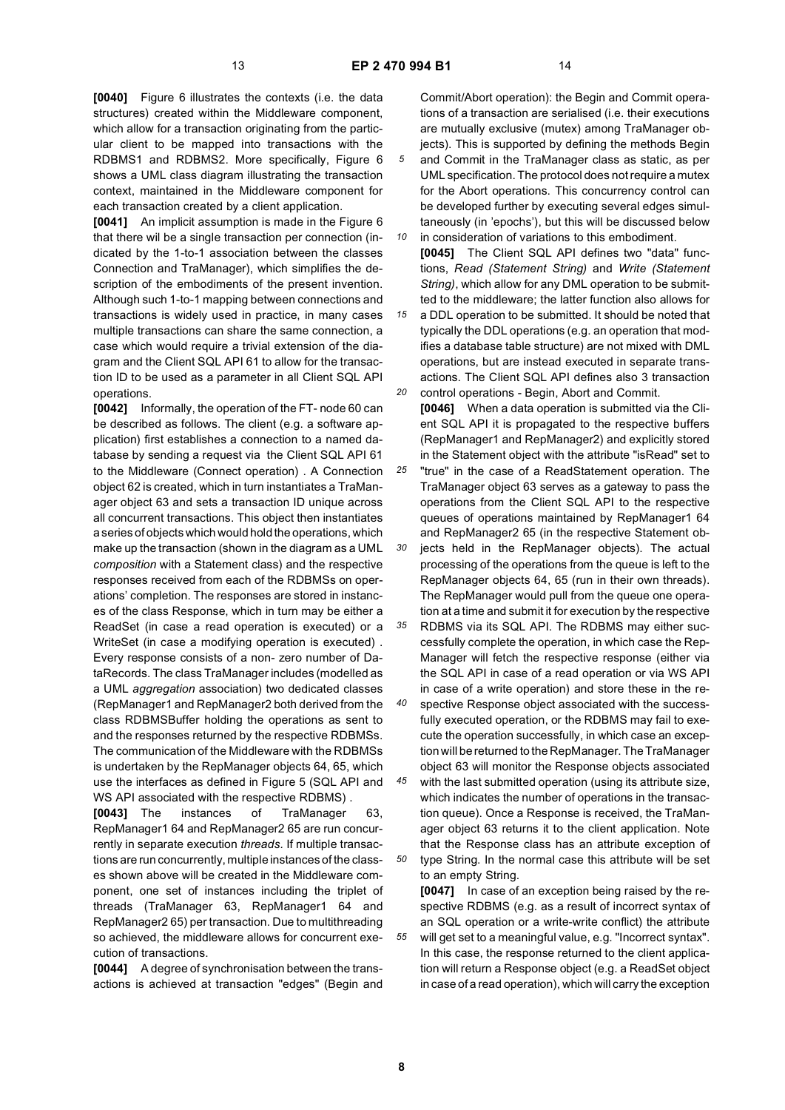**[0040]** Figure 6 illustrates the contexts (i.e. the data structures) created within the Middleware component, which allow for a transaction originating from the particular client to be mapped into transactions with the RDBMS1 and RDBMS2. More specifically, Figure 6 shows a UML class diagram illustrating the transaction context, maintained in the Middleware component for each transaction created by a client application.

**[0041]** An implicit assumption is made in the Figure 6 that there wil be a single transaction per connection (indicated by the 1-to-1 association between the classes Connection and TraManager), which simplifies the description of the embodiments of the present invention. Although such 1-to-1 mapping between connections and transactions is widely used in practice, in many cases multiple transactions can share the same connection, a case which would require a trivial extension of the diagram and the Client SQL API 61 to allow for the transaction ID to be used as a parameter in all Client SQL API operations.

**[0042]** Informally, the operation of the FT- node 60 can be described as follows. The client (e.g. a software application) first establishes a connection to a named database by sending a request via the Client SQL API 61 to the Middleware (Connect operation) . A Connection object 62 is created, which in turn instantiates a TraManager object 63 and sets a transaction ID unique across all concurrent transactions. This object then instantiates a series of objects which would hold the operations, which make up the transaction (shown in the diagram as a UML *composition* with a Statement class) and the respective responses received from each of the RDBMSs on operations' completion. The responses are stored in instances of the class Response, which in turn may be either a ReadSet (in case a read operation is executed) or a WriteSet (in case a modifying operation is executed) . Every response consists of a non- zero number of DataRecords. The class TraManager includes (modelled as a UML *aggregation* association) two dedicated classes (RepManager1 and RepManager2 both derived from the class RDBMSBuffer holding the operations as sent to and the responses returned by the respective RDBMSs. The communication of the Middleware with the RDBMSs is undertaken by the RepManager objects 64, 65, which use the interfaces as defined in Figure 5 (SQL API and WS API associated with the respective RDBMS) .

**[0043]** The instances of TraManager 63, RepManager1 64 and RepManager2 65 are run concurrently in separate execution *threads.* If multiple transactions are run concurrently, multiple instances of the classes shown above will be created in the Middleware component, one set of instances including the triplet of threads (TraManager 63, RepManager1 64 and RepManager2 65) per transaction. Due to multithreading so achieved, the middleware allows for concurrent execution of transactions.

**[0044]** A degree of synchronisation between the transactions is achieved at transaction "edges" (Begin and

Commit/Abort operation): the Begin and Commit operations of a transaction are serialised (i.e. their executions are mutually exclusive (mutex) among TraManager objects). This is supported by defining the methods Begin and Commit in the TraManager class as static, as per UML specification. The protocol does not require a mutex for the Abort operations. This concurrency control can be developed further by executing several edges simultaneously (in 'epochs'), but this will be discussed below

*10* in consideration of variations to this embodiment. **[0045]** The Client SQL API defines two "data" functions, *Read (Statement String)* and *Write (Statement String)*, which allow for any DML operation to be submitted to the middleware; the latter function also allows for

*15 20* a DDL operation to be submitted. It should be noted that typically the DDL operations (e.g. an operation that modifies a database table structure) are not mixed with DML operations, but are instead executed in separate transactions. The Client SQL API defines also 3 transaction control operations - Begin, Abort and Commit.

*25 30 35* **[0046]** When a data operation is submitted via the Client SQL API it is propagated to the respective buffers (RepManager1 and RepManager2) and explicitly stored in the Statement object with the attribute "isRead" set to "true" in the case of a ReadStatement operation. The TraManager object 63 serves as a gateway to pass the operations from the Client SQL API to the respective queues of operations maintained by RepManager1 64 and RepManager2 65 (in the respective Statement objects held in the RepManager objects). The actual processing of the operations from the queue is left to the RepManager objects 64, 65 (run in their own threads). The RepManager would pull from the queue one operation at a time and submit it for execution by the respective RDBMS via its SQL API. The RDBMS may either suc-

*40* cessfully complete the operation, in which case the Rep-Manager will fetch the respective response (either via the SQL API in case of a read operation or via WS API in case of a write operation) and store these in the respective Response object associated with the success-

fully executed operation, or the RDBMS may fail to execute the operation successfully, in which case an exception will be returned to the RepManager. The TraManager object 63 will monitor the Response objects associated

*45 50* with the last submitted operation (using its attribute size, which indicates the number of operations in the transaction queue). Once a Response is received, the TraManager object 63 returns it to the client application. Note that the Response class has an attribute exception of type String. In the normal case this attribute will be set to an empty String.

**[0047]** In case of an exception being raised by the respective RDBMS (e.g. as a result of incorrect syntax of an SQL operation or a write-write conflict) the attribute will get set to a meaningful value, e.g. "Incorrect syntax". In this case, the response returned to the client application will return a Response object (e.g. a ReadSet object in case of a read operation), which will carry the exception

**8**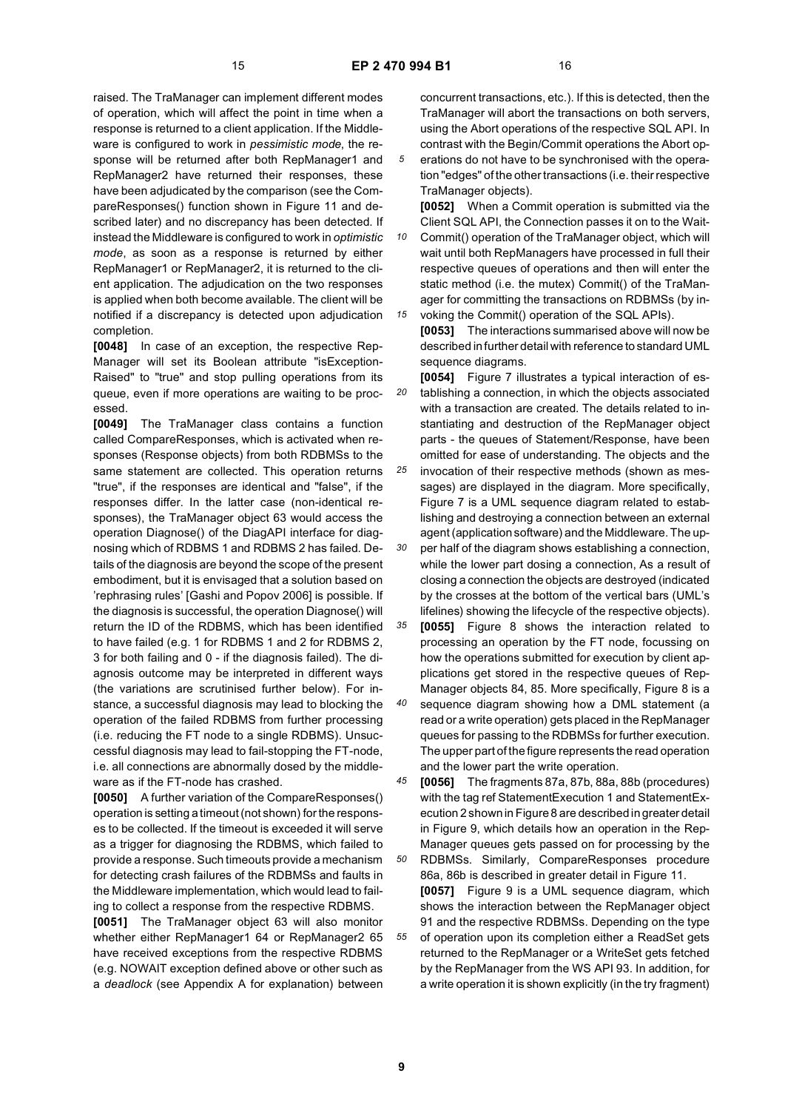raised. The TraManager can implement different modes of operation, which will affect the point in time when a response is returned to a client application. If the Middleware is configured to work in *pessimistic mode*, the response will be returned after both RepManager1 and RepManager2 have returned their responses, these have been adjudicated by the comparison (see the CompareResponses() function shown in Figure 11 and described later) and no discrepancy has been detected. If instead the Middleware is configured to work in *optimistic mode*, as soon as a response is returned by either RepManager1 or RepManager2, it is returned to the client application. The adjudication on the two responses is applied when both become available. The client will be notified if a discrepancy is detected upon adjudication completion.

**[0048]** In case of an exception, the respective Rep-Manager will set its Boolean attribute "isException-Raised" to "true" and stop pulling operations from its queue, even if more operations are waiting to be processed.

**[0049]** The TraManager class contains a function called CompareResponses, which is activated when responses (Response objects) from both RDBMSs to the same statement are collected. This operation returns "true", if the responses are identical and "false", if the responses differ. In the latter case (non-identical responses), the TraManager object 63 would access the operation Diagnose() of the DiagAPI interface for diagnosing which of RDBMS 1 and RDBMS 2 has failed. Details of the diagnosis are beyond the scope of the present embodiment, but it is envisaged that a solution based on 'rephrasing rules' [Gashi and Popov 2006] is possible. If the diagnosis is successful, the operation Diagnose() will return the ID of the RDBMS, which has been identified to have failed (e.g. 1 for RDBMS 1 and 2 for RDBMS 2, 3 for both failing and 0 - if the diagnosis failed). The diagnosis outcome may be interpreted in different ways (the variations are scrutinised further below). For instance, a successful diagnosis may lead to blocking the operation of the failed RDBMS from further processing (i.e. reducing the FT node to a single RDBMS). Unsuccessful diagnosis may lead to fail-stopping the FT-node, i.e. all connections are abnormally dosed by the middleware as if the FT-node has crashed.

**[0050]** A further variation of the CompareResponses() operation is setting a timeout (not shown) for the responses to be collected. If the timeout is exceeded it will serve as a trigger for diagnosing the RDBMS, which failed to provide a response. Such timeouts provide a mechanism for detecting crash failures of the RDBMSs and faults in the Middleware implementation, which would lead to failing to collect a response from the respective RDBMS.

**[0051]** The TraManager object 63 will also monitor whether either RepManager1 64 or RepManager2 65 have received exceptions from the respective RDBMS (e.g. NOWAIT exception defined above or other such as a *deadlock* (see Appendix A for explanation) between

concurrent transactions, etc.). If this is detected, then the TraManager will abort the transactions on both servers, using the Abort operations of the respective SQL API. In contrast with the Begin/Commit operations the Abort op-

erations do not have to be synchronised with the operation "edges" of the other transactions (i.e. their respective TraManager objects).

**[0052]** When a Commit operation is submitted via the Client SQL API, the Connection passes it on to the Wait-

*10 15* Commit() operation of the TraManager object, which will wait until both RepManagers have processed in full their respective queues of operations and then will enter the static method (i.e. the mutex) Commit() of the TraManager for committing the transactions on RDBMSs (by invoking the Commit() operation of the SQL APIs).

**[0053]** The interactions summarised above will now be described in further detail with reference to standard UML sequence diagrams.

*20 25* **[0054]** Figure 7 illustrates a typical interaction of establishing a connection, in which the objects associated with a transaction are created. The details related to instantiating and destruction of the RepManager object parts - the queues of Statement/Response, have been omitted for ease of understanding. The objects and the invocation of their respective methods (shown as messages) are displayed in the diagram. More specifically, Figure 7 is a UML sequence diagram related to establishing and destroying a connection between an external agent (application software) and the Middleware. The up-

*30* per half of the diagram shows establishing a connection, while the lower part dosing a connection, As a result of closing a connection the objects are destroyed (indicated by the crosses at the bottom of the vertical bars (UML's lifelines) showing the lifecycle of the respective objects).

*35 40* **[0055]** Figure 8 shows the interaction related to processing an operation by the FT node, focussing on how the operations submitted for execution by client applications get stored in the respective queues of Rep-Manager objects 84, 85. More specifically, Figure 8 is a sequence diagram showing how a DML statement (a

read or a write operation) gets placed in the RepManager queues for passing to the RDBMSs for further execution. The upper part of the figure represents the read operation and the lower part the write operation.

*45* **[0056]** The fragments 87a, 87b, 88a, 88b (procedures) with the tag ref StatementExecution 1 and StatementExecution 2 shown in Figure 8 are described in greater detail in Figure 9, which details how an operation in the Rep-Manager queues gets passed on for processing by the

*50 55* RDBMSs. Similarly, CompareResponses procedure 86a, 86b is described in greater detail in Figure 11. **[0057]** Figure 9 is a UML sequence diagram, which shows the interaction between the RepManager object 91 and the respective RDBMSs. Depending on the type of operation upon its completion either a ReadSet gets returned to the RepManager or a WriteSet gets fetched by the RepManager from the WS API 93. In addition, for a write operation it is shown explicitly (in the try fragment)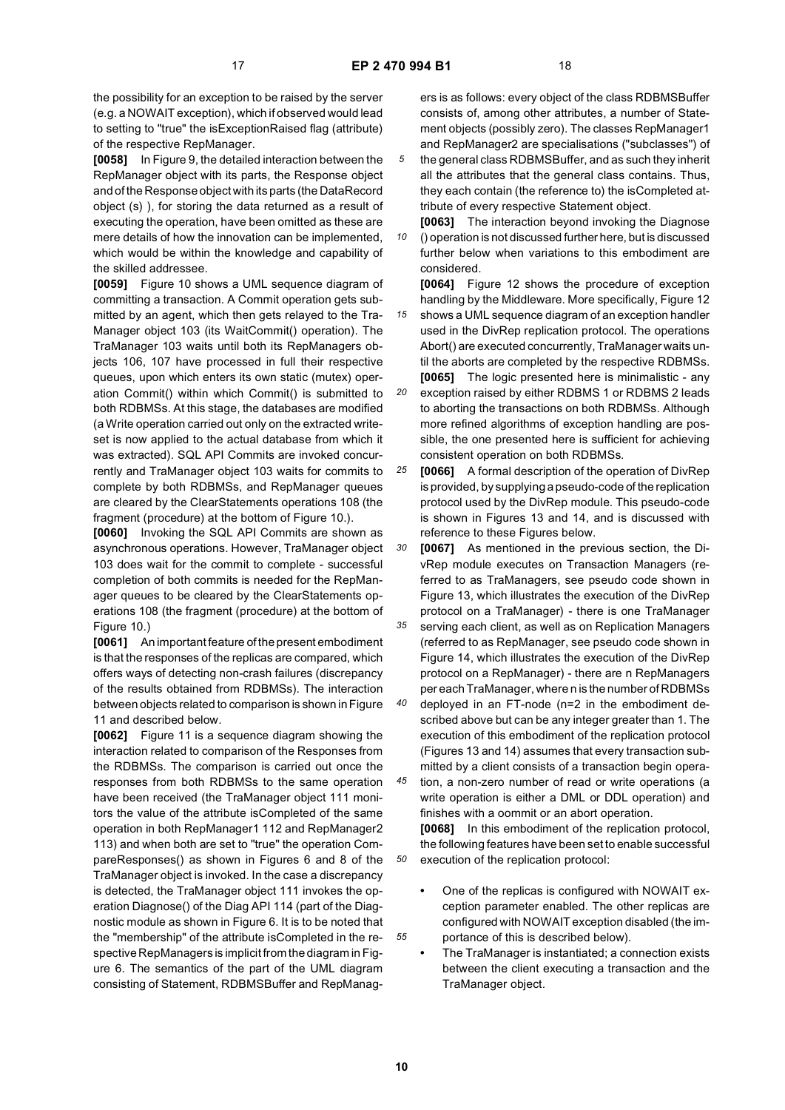the possibility for an exception to be raised by the server (e.g. a NOWAIT exception), which if observed would lead to setting to "true" the isExceptionRaised flag (attribute) of the respective RepManager.

**[0058]** In Figure 9, the detailed interaction between the RepManager object with its parts, the Response object and of the Response object with its parts (the DataRecord object (s) ), for storing the data returned as a result of executing the operation, have been omitted as these are mere details of how the innovation can be implemented, which would be within the knowledge and capability of the skilled addressee.

**[0059]** Figure 10 shows a UML sequence diagram of committing a transaction. A Commit operation gets submitted by an agent, which then gets relayed to the Tra-Manager object 103 (its WaitCommit() operation). The TraManager 103 waits until both its RepManagers objects 106, 107 have processed in full their respective queues, upon which enters its own static (mutex) operation Commit() within which Commit() is submitted to both RDBMSs. At this stage, the databases are modified (a Write operation carried out only on the extracted writeset is now applied to the actual database from which it was extracted). SQL API Commits are invoked concurrently and TraManager object 103 waits for commits to complete by both RDBMSs, and RepManager queues are cleared by the ClearStatements operations 108 (the fragment (procedure) at the bottom of Figure 10.).

**[0060]** Invoking the SQL API Commits are shown as asynchronous operations. However, TraManager object 103 does wait for the commit to complete - successful completion of both commits is needed for the RepManager queues to be cleared by the ClearStatements operations 108 (the fragment (procedure) at the bottom of Figure 10.)

**[0061]** An important feature of the present embodiment is that the responses of the replicas are compared, which offers ways of detecting non-crash failures (discrepancy of the results obtained from RDBMSs). The interaction between objects related to comparison is shown in Figure 11 and described below.

**[0062]** Figure 11 is a sequence diagram showing the interaction related to comparison of the Responses from the RDBMSs. The comparison is carried out once the responses from both RDBMSs to the same operation have been received (the TraManager object 111 monitors the value of the attribute isCompleted of the same operation in both RepManager1 112 and RepManager2 113) and when both are set to "true" the operation CompareResponses() as shown in Figures 6 and 8 of the TraManager object is invoked. In the case a discrepancy is detected, the TraManager object 111 invokes the operation Diagnose() of the Diag API 114 (part of the Diagnostic module as shown in Figure 6. It is to be noted that the "membership" of the attribute isCompleted in the respective RepManagers is implicit from the diagram in Figure 6. The semantics of the part of the UML diagram consisting of Statement, RDBMSBuffer and RepManagers is as follows: every object of the class RDBMSBuffer consists of, among other attributes, a number of Statement objects (possibly zero). The classes RepManager1 and RepManager2 are specialisations ("subclasses") of

*5* the general class RDBMSBuffer, and as such they inherit all the attributes that the general class contains. Thus, they each contain (the reference to) the isCompleted attribute of every respective Statement object.

*10* **[0063]** The interaction beyond invoking the Diagnose () operation is not discussed further here, but is discussed further below when variations to this embodiment are considered.

**[0064]** Figure 12 shows the procedure of exception handling by the Middleware. More specifically, Figure 12

*15* shows a UML sequence diagram of an exception handler used in the DivRep replication protocol. The operations Abort() are executed concurrently, TraManager waits until the aborts are completed by the respective RDBMSs. **[0065]** The logic presented here is minimalistic - any

*20* exception raised by either RDBMS 1 or RDBMS 2 leads to aborting the transactions on both RDBMSs. Although more refined algorithms of exception handling are possible, the one presented here is sufficient for achieving consistent operation on both RDBMSs.

*25* **[0066]** A formal description of the operation of DivRep is provided, by supplying a pseudo-code of the replication protocol used by the DivRep module. This pseudo-code is shown in Figures 13 and 14, and is discussed with reference to these Figures below.

*30* **[0067]** As mentioned in the previous section, the DivRep module executes on Transaction Managers (referred to as TraManagers, see pseudo code shown in Figure 13, which illustrates the execution of the DivRep protocol on a TraManager) - there is one TraManager

*35* serving each client, as well as on Replication Managers (referred to as RepManager, see pseudo code shown in Figure 14, which illustrates the execution of the DivRep protocol on a RepManager) - there are n RepManagers per each TraManager, where n is the number of RDBMSs

*40* deployed in an FT-node (n=2 in the embodiment described above but can be any integer greater than 1. The execution of this embodiment of the replication protocol (Figures 13 and 14) assumes that every transaction submitted by a client consists of a transaction begin opera-

*45* tion, a non-zero number of read or write operations (a write operation is either a DML or DDL operation) and finishes with a oommit or an abort operation. **[0068]** In this embodiment of the replication protocol, the following features have been set to enable successful

*50* execution of the replication protocol:

- **•** One of the replicas is configured with NOWAIT exception parameter enabled. The other replicas are configured with NOWAIT exception disabled (the importance of this is described below).
- **•** The TraManager is instantiated; a connection exists between the client executing a transaction and the TraManager object.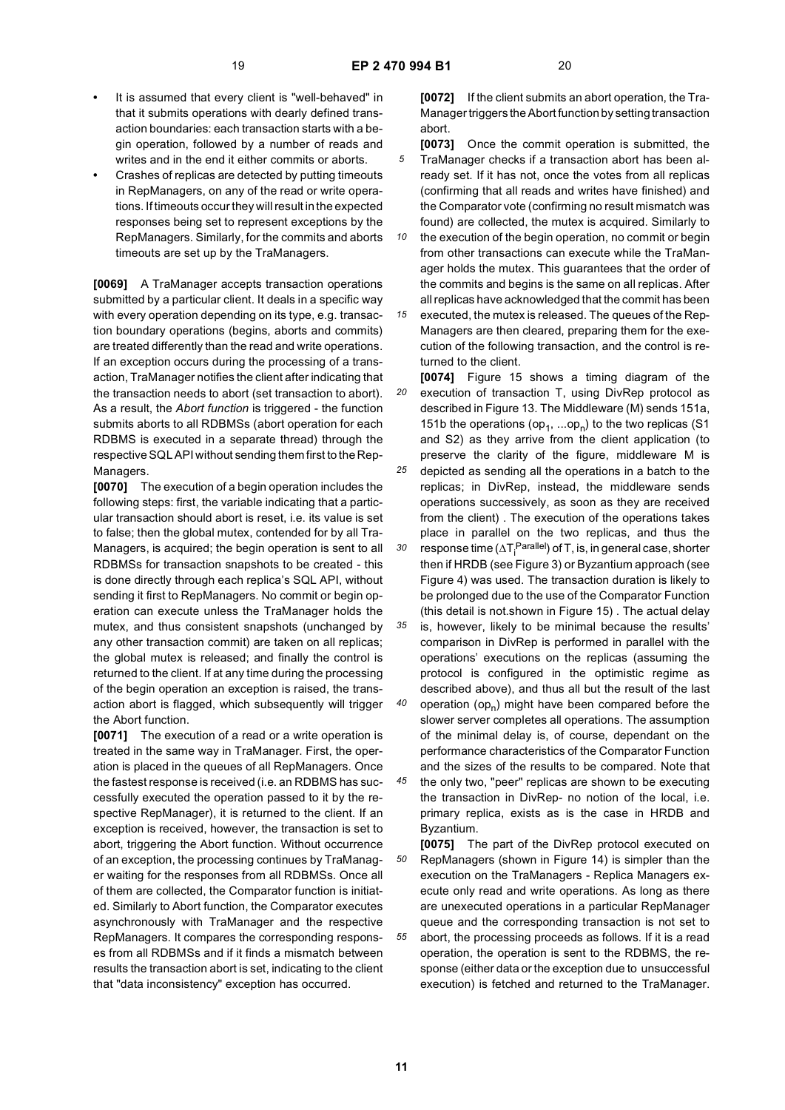- **•** It is assumed that every client is "well-behaved" in that it submits operations with dearly defined transaction boundaries: each transaction starts with a begin operation, followed by a number of reads and writes and in the end it either commits or aborts.
- **•** Crashes of replicas are detected by putting timeouts in RepManagers, on any of the read or write operations. If timeouts occur they will result in the expected responses being set to represent exceptions by the RepManagers. Similarly, for the commits and aborts timeouts are set up by the TraManagers.

**[0069]** A TraManager accepts transaction operations submitted by a particular client. It deals in a specific way with every operation depending on its type, e.g. transaction boundary operations (begins, aborts and commits) are treated differently than the read and write operations. If an exception occurs during the processing of a transaction, TraManager notifies the client after indicating that the transaction needs to abort (set transaction to abort). As a result, the *Abort function* is triggered - the function submits aborts to all RDBMSs (abort operation for each RDBMS is executed in a separate thread) through the respective SQL API without sending them first to the Rep-Managers.

**[0070]** The execution of a begin operation includes the following steps: first, the variable indicating that a particular transaction should abort is reset, i.e. its value is set to false; then the global mutex, contended for by all Tra-Managers, is acquired; the begin operation is sent to all RDBMSs for transaction snapshots to be created - this is done directly through each replica's SQL API, without sending it first to RepManagers. No commit or begin operation can execute unless the TraManager holds the mutex, and thus consistent snapshots (unchanged by any other transaction commit) are taken on all replicas; the global mutex is released; and finally the control is returned to the client. If at any time during the processing of the begin operation an exception is raised, the transaction abort is flagged, which subsequently will trigger the Abort function.

**[0071]** The execution of a read or a write operation is treated in the same way in TraManager. First, the operation is placed in the queues of all RepManagers. Once the fastest response is received (i.e. an RDBMS has successfully executed the operation passed to it by the respective RepManager), it is returned to the client. If an exception is received, however, the transaction is set to abort, triggering the Abort function. Without occurrence of an exception, the processing continues by TraManager waiting for the responses from all RDBMSs. Once all of them are collected, the Comparator function is initiated. Similarly to Abort function, the Comparator executes asynchronously with TraManager and the respective RepManagers. It compares the corresponding responses from all RDBMSs and if it finds a mismatch between results the transaction abort is set, indicating to the client that "data inconsistency" exception has occurred.

**[0072]** If the client submits an abort operation, the Tra-Manager triggers the Abort function by setting transaction abort.

- *5* **[0073]** Once the commit operation is submitted, the TraManager checks if a transaction abort has been already set. If it has not, once the votes from all replicas (confirming that all reads and writes have finished) and the Comparator vote (confirming no result mismatch was found) are collected, the mutex is acquired. Similarly to
- *10* the execution of the begin operation, no commit or begin from other transactions can execute while the TraManager holds the mutex. This guarantees that the order of the commits and begins is the same on all replicas. After all replicas have acknowledged that the commit has been

*15* executed, the mutex is released. The queues of the Rep-Managers are then cleared, preparing them for the execution of the following transaction, and the control is returned to the client.

*20 25 30 35* **[0074]** Figure 15 shows a timing diagram of the execution of transaction T, using DivRep protocol as described in Figure 13. The Middleware (M) sends 151a, 151b the operations (op<sub>1</sub>, ...op<sub>n</sub>) to the two replicas (S1 and S2) as they arrive from the client application (to preserve the clarity of the figure, middleware M is depicted as sending all the operations in a batch to the replicas; in DivRep, instead, the middleware sends operations successively, as soon as they are received from the client) . The execution of the operations takes place in parallel on the two replicas, and thus the response time ( $\Delta T^{\text{Parallel}}_{\text{i}}$ ) of T, is, in general case, shorter then if HRDB (see Figure 3) or Byzantium approach (see Figure 4) was used. The transaction duration is likely to be prolonged due to the use of the Comparator Function (this detail is not.shown in Figure 15) . The actual delay is, however, likely to be minimal because the results'

- *40* comparison in DivRep is performed in parallel with the operations' executions on the replicas (assuming the protocol is configured in the optimistic regime as described above), and thus all but the result of the last operation  $(op_n)$  might have been compared before the slower server completes all operations. The assumption of the minimal delay is, of course, dependant on the performance characteristics of the Comparator Function and the sizes of the results to be compared. Note that
- *45* the only two, "peer" replicas are shown to be executing the transaction in DivRep- no notion of the local, i.e. primary replica, exists as is the case in HRDB and Byzantium.

*50 55* **[0075]** The part of the DivRep protocol executed on RepManagers (shown in Figure 14) is simpler than the execution on the TraManagers - Replica Managers execute only read and write operations. As long as there are unexecuted operations in a particular RepManager queue and the corresponding transaction is not set to abort, the processing proceeds as follows. If it is a read operation, the operation is sent to the RDBMS, the response (either data or the exception due to unsuccessful execution) is fetched and returned to the TraManager.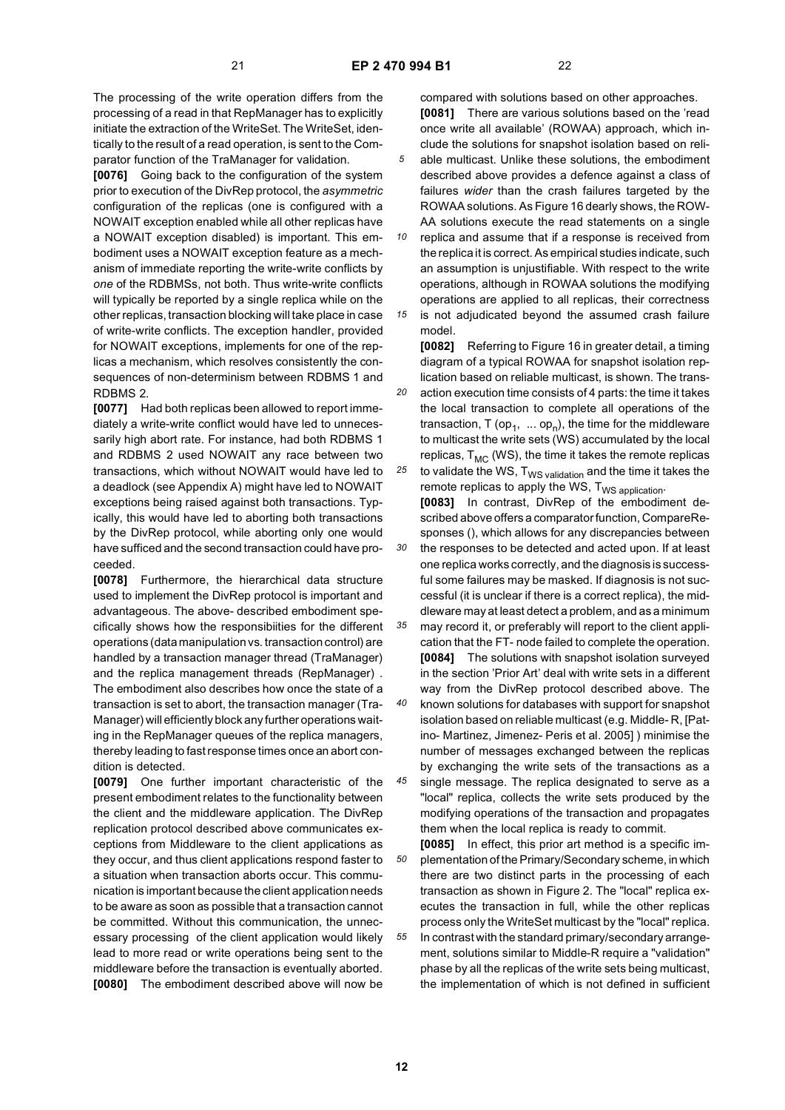The processing of the write operation differs from the processing of a read in that RepManager has to explicitly initiate the extraction of the WriteSet. The WriteSet, identically to the result of a read operation, is sent to the Comparator function of the TraManager for validation.

**[0076]** Going back to the configuration of the system prior to execution of the DivRep protocol, the *asymmetric* configuration of the replicas (one is configured with a NOWAIT exception enabled while all other replicas have a NOWAIT exception disabled) is important. This embodiment uses a NOWAIT exception feature as a mechanism of immediate reporting the write-write conflicts by *one* of the RDBMSs, not both. Thus write-write conflicts will typically be reported by a single replica while on the other replicas, transaction blocking will take place in case of write-write conflicts. The exception handler, provided for NOWAIT exceptions, implements for one of the replicas a mechanism, which resolves consistently the consequences of non-determinism between RDBMS 1 and RDBMS 2.

**[0077]** Had both replicas been allowed to report immediately a write-write conflict would have led to unnecessarily high abort rate. For instance, had both RDBMS 1 and RDBMS 2 used NOWAIT any race between two transactions, which without NOWAIT would have led to a deadlock (see Appendix A) might have led to NOWAIT exceptions being raised against both transactions. Typically, this would have led to aborting both transactions by the DivRep protocol, while aborting only one would have sufficed and the second transaction could have proceeded.

**[0078]** Furthermore, the hierarchical data structure used to implement the DivRep protocol is important and advantageous. The above- described embodiment specifically shows how the responsibiities for the different operations (data manipulation vs. transaction control) are handled by a transaction manager thread (TraManager) and the replica management threads (RepManager) . The embodiment also describes how once the state of a transaction is set to abort, the transaction manager (Tra-Manager) will efficiently block any further operations waiting in the RepManager queues of the replica managers, thereby leading to fast response times once an abort condition is detected.

**[0079]** One further important characteristic of the present embodiment relates to the functionality between the client and the middleware application. The DivRep replication protocol described above communicates exceptions from Middleware to the client applications as they occur, and thus client applications respond faster to a situation when transaction aborts occur. This communication is important because the client application needs to be aware as soon as possible that a transaction cannot be committed. Without this communication, the unnecessary processing of the client application would likely lead to more read or write operations being sent to the middleware before the transaction is eventually aborted. **[0080]** The embodiment described above will now be

compared with solutions based on other approaches. **[0081]** There are various solutions based on the 'read once write all available' (ROWAA) approach, which include the solutions for snapshot isolation based on reliable multicast. Unlike these solutions, the embodiment described above provides a defence against a class of failures *wider* than the crash failures targeted by the ROWAA solutions. As Figure 16 dearly shows, the ROW-AA solutions execute the read statements on a single

*10 15* replica and assume that if a response is received from the replica it is correct. As empirical studies indicate, such an assumption is unjustifiable. With respect to the write operations, although in ROWAA solutions the modifying operations are applied to all replicas, their correctness is not adjudicated beyond the assumed crash failure

model.

*20 25* **[0082]** Referring to Figure 16 in greater detail, a timing diagram of a typical ROWAA for snapshot isolation replication based on reliable multicast, is shown. The transaction execution time consists of 4 parts: the time it takes the local transaction to complete all operations of the transaction, T (op<sub>1</sub>,  $\ldots$  op<sub>n</sub>), the time for the middleware to multicast the write sets (WS) accumulated by the local replicas,  $T_{MC}$  (WS), the time it takes the remote replicas to validate the WS,  $T_{WS \text{ validation}}$  and the time it takes the

*30* remote replicas to apply the WS,  $T_{WS\ application}$ . **[0083]** In contrast, DivRep of the embodiment described above offers a comparator function, CompareResponses (), which allows for any discrepancies between the responses to be detected and acted upon. If at least one replica works correctly, and the diagnosis is successful some failures may be masked. If diagnosis is not successful (it is unclear if there is a correct replica), the middleware may at least detect a problem, and as a minimum

- *35 40* may record it, or preferably will report to the client application that the FT- node failed to complete the operation. **[0084]** The solutions with snapshot isolation surveyed in the section 'Prior Art' deal with write sets in a different way from the DivRep protocol described above. The known solutions for databases with support for snapshot isolation based on reliable multicast (e.g. Middle- R, [Patino- Martinez, Jimenez- Peris et al. 2005] ) minimise the number of messages exchanged between the replicas by exchanging the write sets of the transactions as a
- *45* single message. The replica designated to serve as a "local" replica, collects the write sets produced by the modifying operations of the transaction and propagates them when the local replica is ready to commit.

*50 55* **[0085]** In effect, this prior art method is a specific implementation of the Primary/Secondary scheme, in which there are two distinct parts in the processing of each transaction as shown in Figure 2. The "local" replica executes the transaction in full, while the other replicas process only the WriteSet multicast by the "local" replica. In contrast with the standard primary/secondary arrangement, solutions similar to Middle-R require a "validation" phase by all the replicas of the write sets being multicast, the implementation of which is not defined in sufficient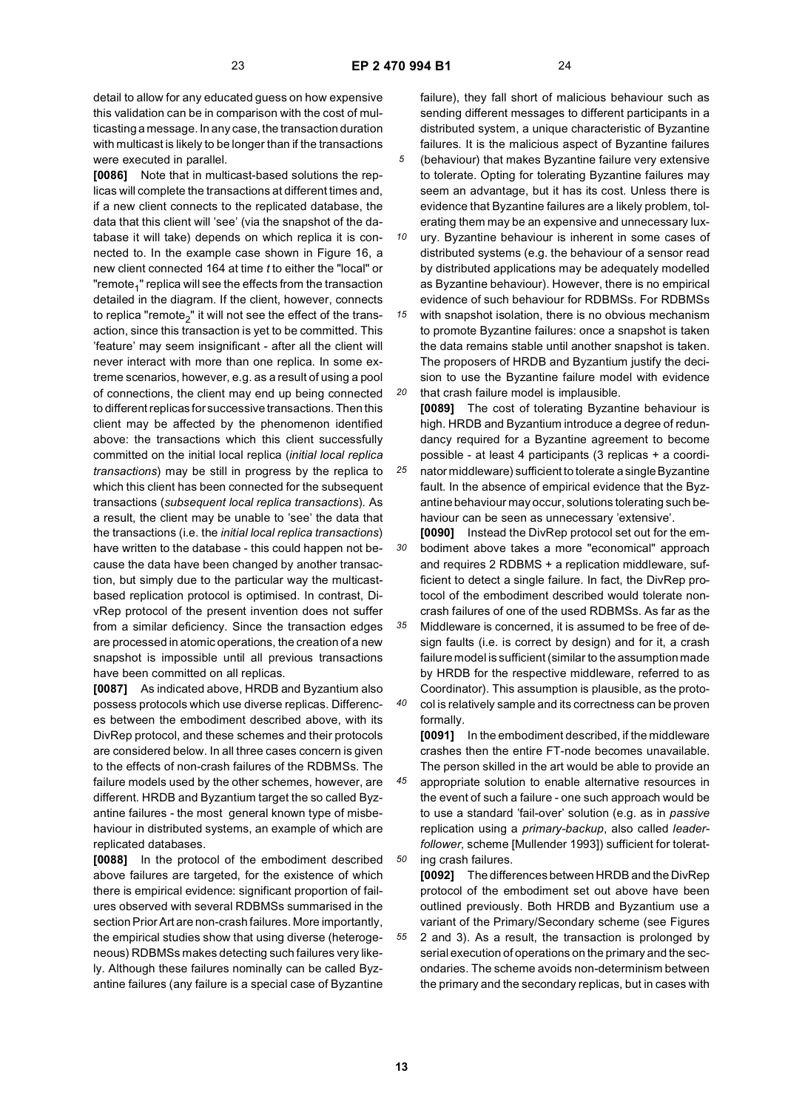detail to allow for any educated guess on how expensive this validation can be in comparison with the cost of multicasting a message. In any case, the transaction duration with multicast is likely to be longer than if the transactions were executed in parallel.

**[0086]** Note that in multicast-based solutions the replicas will complete the transactions at different times and, if a new client connects to the replicated database, the data that this client will 'see' (via the snapshot of the database it will take) depends on which replica it is connected to. In the example case shown in Figure 16, a new client connected 164 at time *t* to either the "local" or "remote<sub>1</sub>" replica will see the effects from the transaction detailed in the diagram. If the client, however, connects to replica "remote<sub>2</sub>" it will not see the effect of the transaction, since this transaction is yet to be committed. This 'feature' may seem insignificant - after all the client will never interact with more than one replica. In some extreme scenarios, however, e.g. as a result of using a pool of connections, the client may end up being connected to different replicas for successive transactions. Then this client may be affected by the phenomenon identified above: the transactions which this client successfully committed on the initial local replica (*initial local replica transactions*) may be still in progress by the replica to which this client has been connected for the subsequent transactions (*subsequent local replica transactions*)*.* As a result, the client may be unable to 'see' the data that the transactions (i.e. the *initial local replica transactions*) have written to the database - this could happen not because the data have been changed by another transaction, but simply due to the particular way the multicastbased replication protocol is optimised. In contrast, DivRep protocol of the present invention does not suffer from a similar deficiency. Since the transaction edges are processed in atomic operations, the creation of a new snapshot is impossible until all previous transactions have been committed on all replicas.

**[0087]** As indicated above, HRDB and Byzantium also possess protocols which use diverse replicas. Differences between the embodiment described above, with its DivRep protocol, and these schemes and their protocols are considered below. In all three cases concern is given to the effects of non-crash failures of the RDBMSs. The failure models used by the other schemes, however, are different. HRDB and Byzantium target the so called Byzantine failures - the most general known type of misbehaviour in distributed systems, an example of which are replicated databases.

**[0088]** In the protocol of the embodiment described above failures are targeted, for the existence of which there is empirical evidence: significant proportion of failures observed with several RDBMSs summarised in the section Prior Art are non-crash failures. More importantly, the empirical studies show that using diverse (heterogeneous) RDBMSs makes detecting such failures very likely. Although these failures nominally can be called Byzantine failures (any failure is a special case of Byzantine

failure), they fall short of malicious behaviour such as sending different messages to different participants in a distributed system, a unique characteristic of Byzantine failures. It is the malicious aspect of Byzantine failures (behaviour) that makes Byzantine failure very extensive to tolerate. Opting for tolerating Byzantine failures may seem an advantage, but it has its cost. Unless there is evidence that Byzantine failures are a likely problem, tolerating them may be an expensive and unnecessary lux-

*10* ury. Byzantine behaviour is inherent in some cases of distributed systems (e.g. the behaviour of a sensor read by distributed applications may be adequately modelled as Byzantine behaviour). However, there is no empirical evidence of such behaviour for RDBMSs. For RDBMSs

*15 20* with snapshot isolation, there is no obvious mechanism to promote Byzantine failures: once a snapshot is taken the data remains stable until another snapshot is taken. The proposers of HRDB and Byzantium justify the decision to use the Byzantine failure model with evidence that crash failure model is implausible.

*25* **[0089]** The cost of tolerating Byzantine behaviour is high. HRDB and Byzantium introduce a degree of redundancy required for a Byzantine agreement to become possible - at least 4 participants (3 replicas + a coordinator middleware) sufficient to tolerate a single Byzantine fault. In the absence of empirical evidence that the Byzantine behaviour may occur, solutions tolerating such behaviour can be seen as unnecessary 'extensive'.

*30* **[0090]** Instead the DivRep protocol set out for the embodiment above takes a more "economical" approach and requires 2 RDBMS + a replication middleware, sufficient to detect a single failure. In fact, the DivRep protocol of the embodiment described would tolerate noncrash failures of one of the used RDBMSs. As far as the

*35 40* Middleware is concerned, it is assumed to be free of design faults (i.e. is correct by design) and for it, a crash failure model is sufficient (similar to the assumption made by HRDB for the respective middleware, referred to as Coordinator). This assumption is plausible, as the protocol is relatively sample and its correctness can be proven formally.

**[0091]** In the embodiment described, if the middleware crashes then the entire FT-node becomes unavailable. The person skilled in the art would be able to provide an

*45 50* appropriate solution to enable alternative resources in the event of such a failure - one such approach would be to use a standard 'fail-over' solution (e.g. as in *passive* replication using a *primary-backup*, also called *leaderfollower,* scheme [Mullender 1993]) sufficient for tolerating crash failures.

**[0092]** The differences between HRDB and the DivRep protocol of the embodiment set out above have been outlined previously. Both HRDB and Byzantium use a variant of the Primary/Secondary scheme (see Figures 2 and 3). As a result, the transaction is prolonged by serial execution of operations on the primary and the sec-

ondaries. The scheme avoids non-determinism between the primary and the secondary replicas, but in cases with

**13**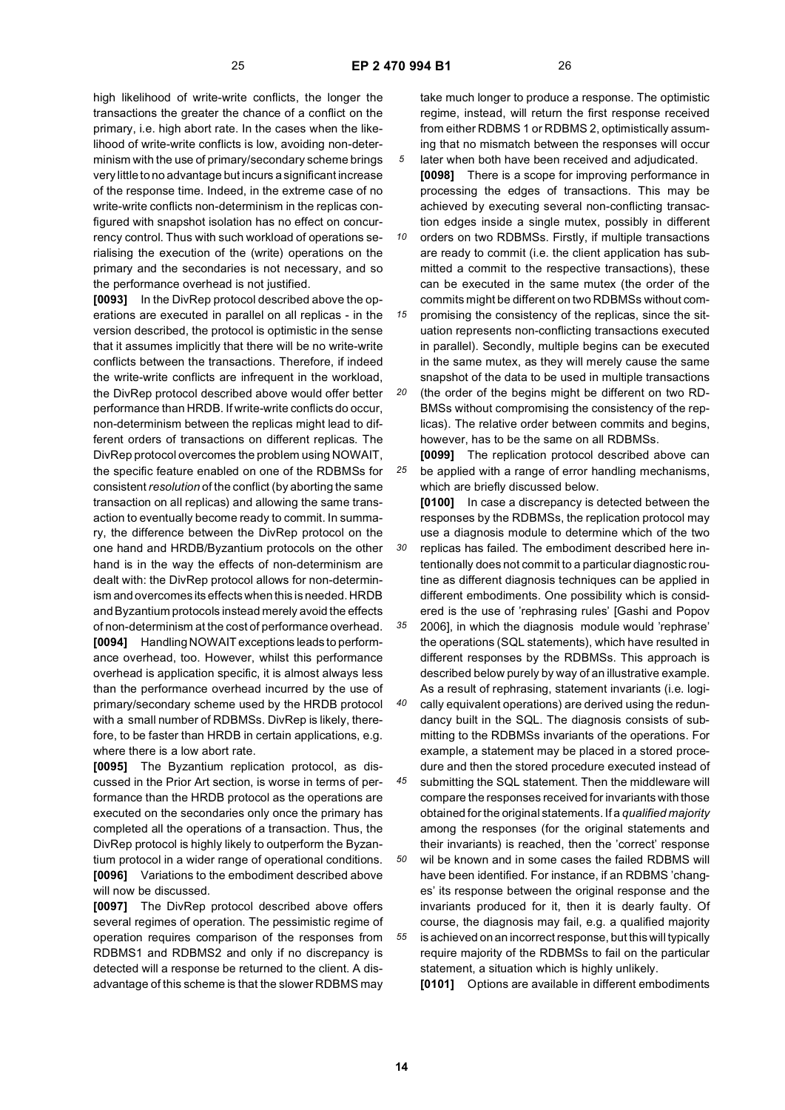*30*

high likelihood of write-write conflicts, the longer the transactions the greater the chance of a conflict on the primary, i.e. high abort rate. In the cases when the likelihood of write-write conflicts is low, avoiding non-determinism with the use of primary/secondary scheme brings very little to no advantage but incurs a significant increase of the response time. Indeed, in the extreme case of no write-write conflicts non-determinism in the replicas configured with snapshot isolation has no effect on concurrency control. Thus with such workload of operations serialising the execution of the (write) operations on the primary and the secondaries is not necessary, and so the performance overhead is not justified.

**[0093]** In the DivRep protocol described above the operations are executed in parallel on all replicas - in the version described, the protocol is optimistic in the sense that it assumes implicitly that there will be no write-write conflicts between the transactions. Therefore, if indeed the write-write conflicts are infrequent in the workload, the DivRep protocol described above would offer better performance than HRDB. If write-write conflicts do occur, non-determinism between the replicas might lead to different orders of transactions on different replicas. The DivRep protocol overcomes the problem using NOWAIT, the specific feature enabled on one of the RDBMSs for consistent *resolution* of the conflict (by aborting the same transaction on all replicas) and allowing the same transaction to eventually become ready to commit. In summary, the difference between the DivRep protocol on the one hand and HRDB/Byzantium protocols on the other hand is in the way the effects of non-determinism are dealt with: the DivRep protocol allows for non-determinism and overcomes its effects when this is needed. HRDB and Byzantium protocols instead merely avoid the effects of non-determinism at the cost of performance overhead. **[0094]** Handling NOWAIT exceptions leads to performance overhead, too. However, whilst this performance overhead is application specific, it is almost always less than the performance overhead incurred by the use of primary/secondary scheme used by the HRDB protocol with a small number of RDBMSs. DivRep is likely, therefore, to be faster than HRDB in certain applications, e.g. where there is a low abort rate.

**[0095]** The Byzantium replication protocol, as discussed in the Prior Art section, is worse in terms of performance than the HRDB protocol as the operations are executed on the secondaries only once the primary has completed all the operations of a transaction. Thus, the DivRep protocol is highly likely to outperform the Byzantium protocol in a wider range of operational conditions. **[0096]** Variations to the embodiment described above will now be discussed.

**[0097]** The DivRep protocol described above offers several regimes of operation. The pessimistic regime of operation requires comparison of the responses from RDBMS1 and RDBMS2 and only if no discrepancy is detected will a response be returned to the client. A disadvantage of this scheme is that the slower RDBMS may

take much longer to produce a response. The optimistic regime, instead, will return the first response received from either RDBMS 1 or RDBMS 2, optimistically assuming that no mismatch between the responses will occur later when both have been received and adjudicated.

**[0098]** There is a scope for improving performance in processing the edges of transactions. This may be achieved by executing several non-conflicting transaction edges inside a single mutex, possibly in different

*10 15* orders on two RDBMSs. Firstly, if multiple transactions are ready to commit (i.e. the client application has submitted a commit to the respective transactions), these can be executed in the same mutex (the order of the commits might be different on two RDBMSs without compromising the consistency of the replicas, since the sit-

uation represents non-conflicting transactions executed in parallel). Secondly, multiple begins can be executed in the same mutex, as they will merely cause the same snapshot of the data to be used in multiple transactions (the order of the begins might be different on two RD-

*20* BMSs without compromising the consistency of the replicas). The relative order between commits and begins, however, has to be the same on all RDBMSs.

*25* **[0099]** The replication protocol described above can be applied with a range of error handling mechanisms, which are briefly discussed below.

**[0100]** In case a discrepancy is detected between the responses by the RDBMSs, the replication protocol may use a diagnosis module to determine which of the two replicas has failed. The embodiment described here intentionally does not commit to a particular diagnostic routine as different diagnosis techniques can be applied in different embodiments. One possibility which is considered is the use of 'rephrasing rules' [Gashi and Popov 2006], in which the diagnosis module would 'rephrase'

*35* the operations (SQL statements), which have resulted in different responses by the RDBMSs. This approach is described below purely by way of an illustrative example. As a result of rephrasing, statement invariants (i.e. logi-

*40* cally equivalent operations) are derived using the redundancy built in the SQL. The diagnosis consists of submitting to the RDBMSs invariants of the operations. For example, a statement may be placed in a stored procedure and then the stored procedure executed instead of

*45 50 55* submitting the SQL statement. Then the middleware will compare the responses received for invariants with those obtained for the original statements. If a *qualified majority* among the responses (for the original statements and their invariants) is reached, then the 'correct' response wil be known and in some cases the failed RDBMS will have been identified. For instance, if an RDBMS 'changes' its response between the original response and the invariants produced for it, then it is dearly faulty. Of course, the diagnosis may fail, e.g. a qualified majority is achieved on an incorrect response, but this will typically require majority of the RDBMSs to fail on the particular statement, a situation which is highly unlikely.

**[0101]** Options are available in different embodiments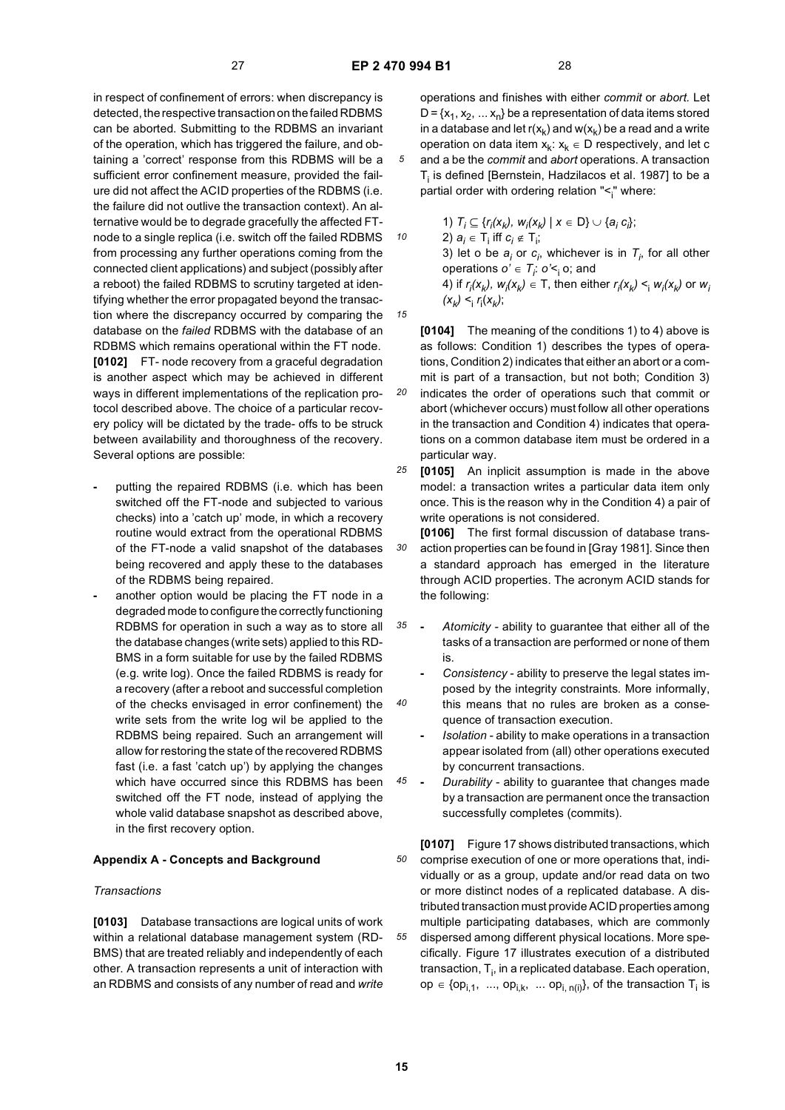*10*

*15*

in respect of confinement of errors: when discrepancy is detected, the respective transaction on the failed RDBMS can be aborted. Submitting to the RDBMS an invariant of the operation, which has triggered the failure, and obtaining a 'correct' response from this RDBMS will be a sufficient error confinement measure, provided the failure did not affect the ACID properties of the RDBMS (i.e. the failure did not outlive the transaction context). An alternative would be to degrade gracefully the affected FTnode to a single replica (i.e. switch off the failed RDBMS from processing any further operations coming from the connected client applications) and subject (possibly after a reboot) the failed RDBMS to scrutiny targeted at identifying whether the error propagated beyond the transaction where the discrepancy occurred by comparing the database on the *failed* RDBMS with the database of an RDBMS which remains operational within the FT node. **[0102]** FT- node recovery from a graceful degradation is another aspect which may be achieved in different ways in different implementations of the replication protocol described above. The choice of a particular recovery policy will be dictated by the trade- offs to be struck between availability and thoroughness of the recovery. Several options are possible:

- **-** putting the repaired RDBMS (i.e. which has been switched off the FT-node and subjected to various checks) into a 'catch up' mode, in which a recovery routine would extract from the operational RDBMS of the FT-node a valid snapshot of the databases being recovered and apply these to the databases of the RDBMS being repaired.
- **-** another option would be placing the FT node in a degraded mode to configure the correctly functioning RDBMS for operation in such a way as to store all the database changes (write sets) applied to this RD-BMS in a form suitable for use by the failed RDBMS (e.g. write log). Once the failed RDBMS is ready for a recovery (after a reboot and successful completion of the checks envisaged in error confinement) the write sets from the write log wil be applied to the RDBMS being repaired. Such an arrangement will allow for restoring the state of the recovered RDBMS fast (i.e. a fast 'catch up') by applying the changes which have occurred since this RDBMS has been switched off the FT node, instead of applying the whole valid database snapshot as described above, in the first recovery option.

### **Appendix A - Concepts and Background**

### *Transactions*

**[0103]** Database transactions are logical units of work within a relational database management system (RD-BMS) that are treated reliably and independently of each other. A transaction represents a unit of interaction with an RDBMS and consists of any number of read and *write* operations and finishes with either *commit* or *abort.* Let  $D = \{x_1, x_2, \ldots x_n\}$  be a representation of data items stored in a database and let  $r(x_k)$  and  $w(x_k)$  be a read and a write operation on data item  $x_k$ :  $x_k \in D$  respectively, and let c and a be the *commit* and *abort* operations. A transaction  $\mathsf{T}_{\mathsf{i}}$  is defined [Bernstein, Hadzilacos et al. 1987] to be a partial order with ordering relation "<<sub>i</sub>" where:

1)  $T_i \subseteq \{r_i(x_k), w_i(x_k) \mid x \in D\} \cup \{a_i c_i\};$ 2)  $a_i$  ∈ T<sub>i</sub> iff  $c_i$  ∉ T<sub>i</sub>; 3) let o be  $a_i$  or  $c_i$ , whichever is in  $T_i$ , for all other operations  $o' \in T_i$ :  $o' \leq i$  o; and 4) if  $r_i(x_k)$ ,  $w_i(x_k) \in T$ , then either  $r_i(x_k) \leq_i w_i(x_k)$  or  $w_i$  $(x_k) < i \int_{i} f_i(x_k)$ ;

*20* **[0104]** The meaning of the conditions 1) to 4) above is as follows: Condition 1) describes the types of operations, Condition 2) indicates that either an abort or a commit is part of a transaction, but not both; Condition 3) indicates the order of operations such that commit or abort (whichever occurs) must follow all other operations in the transaction and Condition 4) indicates that operations on a common database item must be ordered in a particular way.

- *25* **[0105]** An inplicit assumption is made in the above model: a transaction writes a particular data item only once. This is the reason why in the Condition 4) a pair of write operations is not considered.
- *30* **[0106]** The first formal discussion of database transaction properties can be found in [Gray 1981]. Since then a standard approach has emerged in the literature through ACID properties. The acronym ACID stands for the following:
- *35* **-** *Atomicity -* ability to guarantee that either all of the tasks of a transaction are performed or none of them is.
	- **-** *Consistency -* ability to preserve the legal states imposed by the integrity constraints. More informally, this means that no rules are broken as a consequence of transaction execution.
	- **-** *Isolation -* ability to make operations in a transaction appear isolated from (all) other operations executed by concurrent transactions.
- *45* **-** *Durability -* ability to guarantee that changes made by a transaction are permanent once the transaction successfully completes (commits).

*50 55* **[0107]** Figure 17 shows distributed transactions, which comprise execution of one or more operations that, individually or as a group, update and/or read data on two or more distinct nodes of a replicated database. A distributed transaction must provide ACID properties among multiple participating databases, which are commonly dispersed among different physical locations. More specifically. Figure 17 illustrates execution of a distributed transaction,  $T_{i}$ , in a replicated database. Each operation,  $op \in \{op_{i,1}, ..., op_{i,k}, ..., op_{i,n(i)}\}$ , of the transaction T<sub>i</sub> is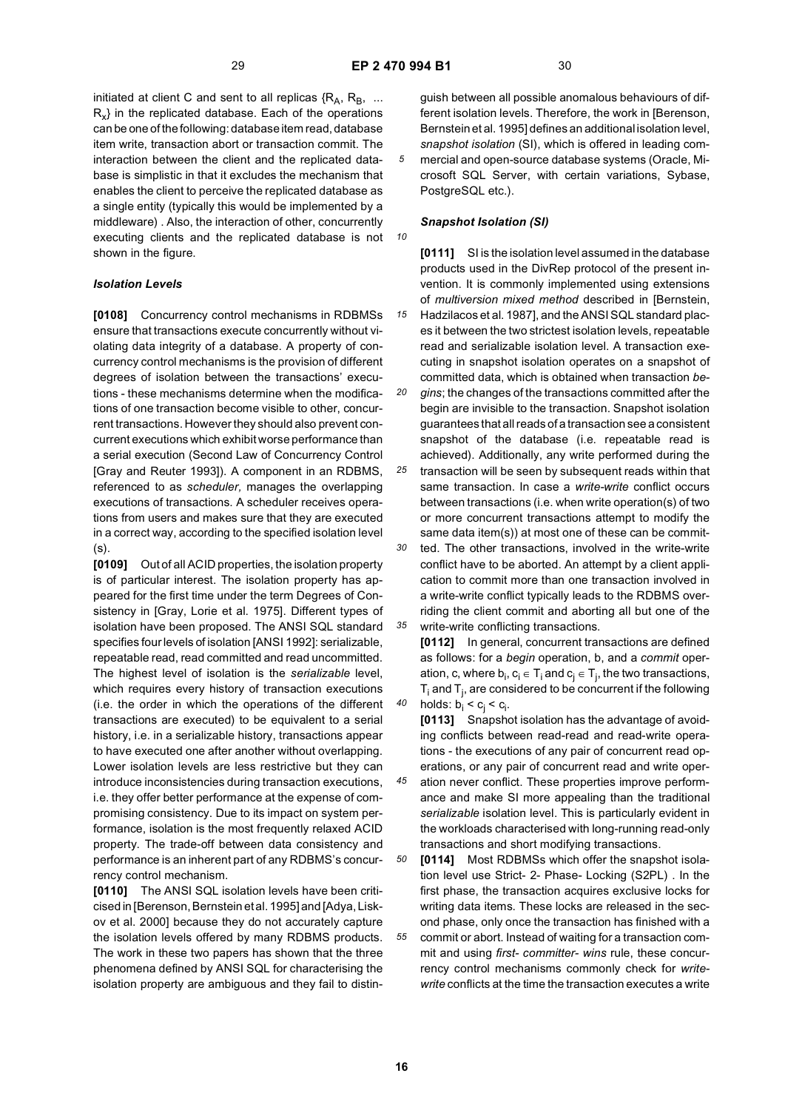*10*

initiated at client C and sent to all replicas  $\{R_A, R_B, \ldots\}$  $R<sub>x</sub>$  in the replicated database. Each of the operations can be one of the following: database item read, database item write, transaction abort or transaction commit. The interaction between the client and the replicated database is simplistic in that it excludes the mechanism that enables the client to perceive the replicated database as a single entity (typically this would be implemented by a middleware) . Also, the interaction of other, concurrently executing clients and the replicated database is not shown in the figure.

### *Isolation Levels*

**[0108]** Concurrency control mechanisms in RDBMSs ensure that transactions execute concurrently without violating data integrity of a database. A property of concurrency control mechanisms is the provision of different degrees of isolation between the transactions' executions - these mechanisms determine when the modifications of one transaction become visible to other, concurrent transactions. However they should also prevent concurrent executions which exhibit worse performance than a serial execution (Second Law of Concurrency Control [Gray and Reuter 1993]). A component in an RDBMS, referenced to as *scheduler,* manages the overlapping executions of transactions. A scheduler receives operations from users and makes sure that they are executed in a correct way, according to the specified isolation level (s).

**[0109]** Out of all ACID properties, the isolation property is of particular interest. The isolation property has appeared for the first time under the term Degrees of Consistency in [Gray, Lorie et al. 1975]. Different types of isolation have been proposed. The ANSI SQL standard specifies four levels of isolation [ANSI 1992]: serializable, repeatable read, read committed and read uncommitted. The highest level of isolation is the *serializable* level, which requires every history of transaction executions (i.e. the order in which the operations of the different transactions are executed) to be equivalent to a serial history, i.e. in a serializable history, transactions appear to have executed one after another without overlapping. Lower isolation levels are less restrictive but they can introduce inconsistencies during transaction executions, i.e. they offer better performance at the expense of compromising consistency. Due to its impact on system performance, isolation is the most frequently relaxed ACID property. The trade-off between data consistency and performance is an inherent part of any RDBMS's concurrency control mechanism.

**[0110]** The ANSI SQL isolation levels have been criticised in [Berenson, Bernstein et al. 1995] and [Adya, Liskov et al. 2000] because they do not accurately capture the isolation levels offered by many RDBMS products. The work in these two papers has shown that the three phenomena defined by ANSI SQL for characterising the isolation property are ambiguous and they fail to distin-

guish between all possible anomalous behaviours of different isolation levels. Therefore, the work in [Berenson, Bernstein et al. 1995] defines an additional isolation level, *snapshot isolation* (SI), which is offered in leading commercial and open-source database systems (Oracle, Microsoft SQL Server, with certain variations, Sybase, PostgreSQL etc.).

### *Snapshot Isolation (SI)*

*15* **[0111]** SI is the isolation level assumed in the database products used in the DivRep protocol of the present invention. It is commonly implemented using extensions of *multiversion mixed method* described in [Bernstein, Hadzilacos et al. 1987], and the ANSI SQL standard places it between the two strictest isolation levels, repeatable read and serializable isolation level. A transaction executing in snapshot isolation operates on a snapshot of committed data, which is obtained when transaction *be-*

*20 25 30 35 gins*; the changes of the transactions committed after the begin are invisible to the transaction. Snapshot isolation guarantees that all reads of a transaction see a consistent snapshot of the database (i.e. repeatable read is achieved). Additionally, any write performed during the transaction will be seen by subsequent reads within that same transaction. In case a *write-write* conflict occurs between transactions (i.e. when write operation(s) of two or more concurrent transactions attempt to modify the same data item(s)) at most one of these can be committed. The other transactions, involved in the write-write conflict have to be aborted. An attempt by a client application to commit more than one transaction involved in a write-write conflict typically leads to the RDBMS overriding the client commit and aborting all but one of the write-write conflicting transactions.

**[0112]** In general, concurrent transactions are defined as follows: for a *begin* operation, b, and a *commit* operation, c, where  $b_i, c_i \in T_i$  and  $c_j \in T_j$ , the two transactions,  ${\sf T}_{\sf i}$  and  ${\sf T}_{\sf j}$ , are considered to be concurrent if the following holds:  $b_i < c_j < c_i$ .

**[0113]** Snapshot isolation has the advantage of avoiding conflicts between read-read and read-write operations - the executions of any pair of concurrent read operations, or any pair of concurrent read and write oper-

*45* ation never conflict. These properties improve performance and make SI more appealing than the traditional *serializable* isolation level. This is particularly evident in the workloads characterised with long-running read-only transactions and short modifying transactions.

*50 55* **[0114]** Most RDBMSs which offer the snapshot isolation level use Strict- 2- Phase- Locking (S2PL) . In the first phase, the transaction acquires exclusive locks for writing data items. These locks are released in the second phase, only once the transaction has finished with a commit or abort. Instead of waiting for a transaction commit and using *first- committer- wins* rule, these concurrency control mechanisms commonly check for *writewrite* conflicts at the time the transaction executes a write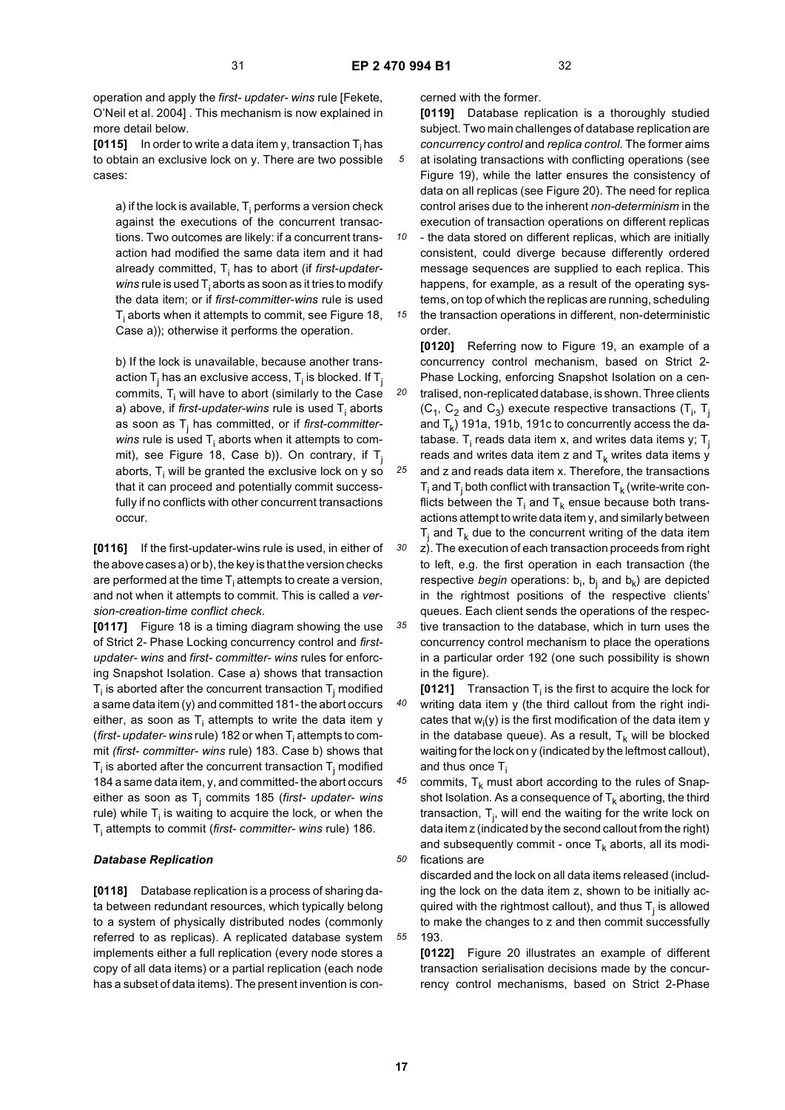*30*

in the figure).

operation and apply the *first- updater- wins* rule [Fekete, O'Neil et al. 2004] . This mechanism is now explained in more detail below.

**[0115]** In order to write a data item y, transaction  $\mathsf{T}_\mathsf{i}$  has to obtain an exclusive lock on y. There are two possible cases:

a) if the lock is available,  ${\sf T}_{\sf i}$  performs a version check against the executions of the concurrent transactions. Two outcomes are likely: if a concurrent transaction had modified the same data item and it had already committed, T<sub>i</sub> has to abort (if *first-updaterwins* rule is used T<sub>i</sub> aborts as soon as it tries to modify the data item; or if *first-committer-wins* rule is used  ${\sf T}_{\sf i}$  aborts when it attempts to commit, see Figure 18, Case a)); otherwise it performs the operation.

b) If the lock is unavailable, because another transaction T<sub>j</sub> has an exclusive access, T<sub>i</sub> is blocked. If T<sub>j</sub> commits,  ${\sf T}_{\sf i}$  will have to abort (similarly to the Case a) above, if *first-updater-wins* rule is used T<sub>i</sub> aborts as soon as Tj has committed, or if *first-committer-* $\emph{wins}$  rule is used  $\emph{T}_{\text{i}}$  aborts when it attempts to commit), see Figure 18, Case b)). On contrary, if  $T_i$ aborts,  ${\sf T}_{\sf i}$  will be granted the exclusive lock on y so that it can proceed and potentially commit successfully if no conflicts with other concurrent transactions occur.

**[0116]** If the first-updater-wins rule is used, in either of the above cases a) or b), the key is that the version checks are performed at the time  ${\sf T_i}$  attempts to create a version, and not when it attempts to commit. This is called a *version-creation-time conflict check.*

**[0117]** Figure 18 is a timing diagram showing the use of Strict 2- Phase Locking concurrency control and *firstupdater- wins* and *first- committer- wins* rules for enforcing Snapshot Isolation. Case a) shows that transaction  ${\mathsf T}_{\mathsf i}$  is aborted after the concurrent transaction  ${\mathsf T}_{\mathsf j}$  modified a same data item (y) and committed 181- the abort occurs either, as soon as T<sub>i</sub> attempts to write the data item y (*first- updater- wins* rule) 182 or when T<sub>i</sub> attempts to commit *(first- committer- wins* rule) 183. Case b) shows that  $\mathsf{T}_{\mathsf{i}}$  is aborted after the concurrent transaction  $\mathsf{T}_{\mathsf{j}}$  modified 184 a same data item, y, and committed- the abort occurs either as soon as Tj commits 185 (*first- updater- wins* rule) while  ${\sf T}_{\sf i}$  is waiting to acquire the lock, or when the T<sub>i</sub> attempts to commit (*first- committer- wins r*ule) 186.

### *Database Replication*

**[0118]** Database replication is a process of sharing data between redundant resources, which typically belong to a system of physically distributed nodes (commonly referred to as replicas). A replicated database system implements either a full replication (every node stores a copy of all data items) or a partial replication (each node has a subset of data items). The present invention is concerned with the former.

**[0119]** Database replication is a thoroughly studied subject. Two main challenges of database replication are *concurrency control* and *replica control.* The former aims at isolating transactions with conflicting operations (see Figure 19), while the latter ensures the consistency of data on all replicas (see Figure 20). The need for replica control arises due to the inherent *non-determinism* in the execution of transaction operations on different replicas

*10 15* - the data stored on different replicas, which are initially consistent, could diverge because differently ordered message sequences are supplied to each replica. This happens, for example, as a result of the operating systems, on top of which the replicas are running, scheduling the transaction operations in different, non-deterministic

order.

*20 25* **[0120]** Referring now to Figure 19, an example of a concurrency control mechanism, based on Strict 2- Phase Locking, enforcing Snapshot Isolation on a centralised, non-replicated database, is shown. Three clients  $(C_1, C_2$  and  $C_3$ ) execute respective transactions  $(T_i, T_j)$ and  $T_k$ ) 191a, 191b, 191c to concurrently access the database.  ${\sf T}_{\sf i}$  reads data item x, and writes data items y;  ${\sf T}_{\sf j}$ reads and writes data item z and  $T_k$  writes data items y and z and reads data item x. Therefore, the transactions  $T_i$  and  $T_j$  both conflict with transaction  $T_k$  (write-write conflicts between the  $T_i$  and  $T_k$  ensue because both transactions attempt to write data item y, and similarly between  $T_j$  and  $T_k$  due to the concurrent writing of the data item

*35* z). The execution of each transaction proceeds from right to left, e.g. the first operation in each transaction (the respective *begin* operations: b<sub>i</sub>, b<sub>j</sub> and b<sub>k</sub>) are depicted in the rightmost positions of the respective clients' queues. Each client sends the operations of the respective transaction to the database, which in turn uses the concurrency control mechanism to place the operations in a particular order 192 (one such possibility is shown

*40* **[0121]** Transaction  $T_i$  is the first to acquire the lock for writing data item y (the third callout from the right indicates that  $w_i(y)$  is the first modification of the data item y in the database queue). As a result,  $T_k$  will be blocked waiting for the lock on y (indicated by the leftmost callout), and thus once  $T_i$ 

*45 50* commits,  $T_k$  must abort according to the rules of Snapshot Isolation. As a consequence of  $T_k$  aborting, the third transaction,  $T_{j}$ , will end the waiting for the write lock on data item z (indicated by the second callout from the right) and subsequently commit - once  $T_k$  aborts, all its modifications are

discarded and the lock on all data items released (including the lock on the data item z, shown to be initially acquired with the rightmost callout), and thus  $\mathsf{T}_{\mathsf{j}}$  is allowed to make the changes to z and then commit successfully 193.

**[0122]** Figure 20 illustrates an example of different transaction serialisation decisions made by the concurrency control mechanisms, based on Strict 2-Phase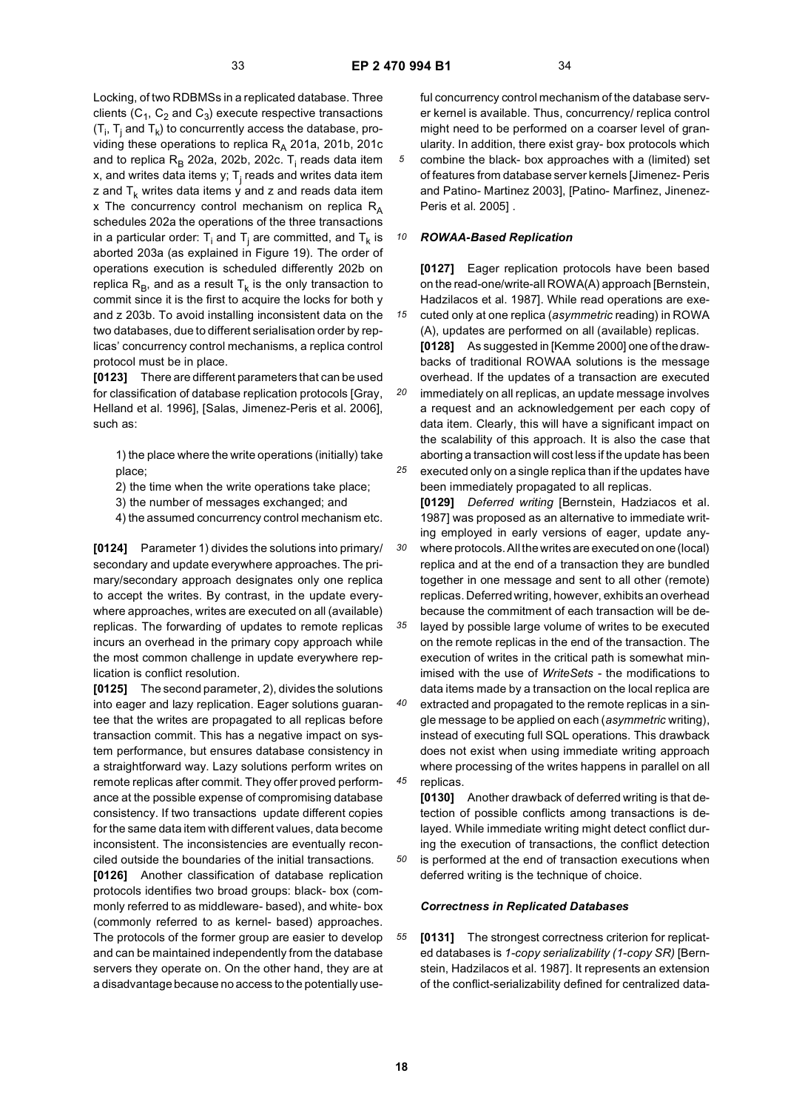*15*

*25*

Locking, of two RDBMSs in a replicated database. Three clients ( $C_1$ ,  $C_2$  and  $C_3$ ) execute respective transactions (T<sub>i</sub>, T<sub>j</sub> and T<sub>k</sub>) to concurrently access the database, providing these operations to replica  $R_A$  201a, 201b, 201c and to replica R<sub>B</sub> 202a, 202b, 202c. T<sub>i</sub> reads data item x, and writes data items y;  $\mathsf{T}_\mathsf{j}$  reads and writes data item z and  $T_k$  writes data items y and z and reads data item x The concurrency control mechanism on replica  $R_A$ schedules 202a the operations of the three transactions in a particular order:  ${\sf T}_{\sf i}$  and  ${\sf T}_{\sf j}$  are committed, and  ${\sf T}_{\sf k}$  is aborted 203a (as explained in Figure 19). The order of operations execution is scheduled differently 202b on replica  $R_B$ , and as a result  $T_k$  is the only transaction to commit since it is the first to acquire the locks for both y and z 203b. To avoid installing inconsistent data on the two databases, due to different serialisation order by replicas' concurrency control mechanisms, a replica control protocol must be in place.

**[0123]** There are different parameters that can be used for classification of database replication protocols [Gray, Helland et al. 1996], [Salas, Jimenez-Peris et al. 2006], such as:

1) the place where the write operations (initially) take place;

2) the time when the write operations take place;

3) the number of messages exchanged; and

4) the assumed concurrency control mechanism etc.

**[0124]** Parameter 1) divides the solutions into primary/ secondary and update everywhere approaches. The primary/secondary approach designates only one replica to accept the writes. By contrast, in the update everywhere approaches, writes are executed on all (available) replicas. The forwarding of updates to remote replicas incurs an overhead in the primary copy approach while the most common challenge in update everywhere replication is conflict resolution.

**[0125]** The second parameter, 2), divides the solutions into eager and lazy replication. Eager solutions guarantee that the writes are propagated to all replicas before transaction commit. This has a negative impact on system performance, but ensures database consistency in a straightforward way. Lazy solutions perform writes on remote replicas after commit. They offer proved performance at the possible expense of compromising database consistency. If two transactions update different copies for the same data item with different values, data become inconsistent. The inconsistencies are eventually reconciled outside the boundaries of the initial transactions.

**[0126]** Another classification of database replication protocols identifies two broad groups: black- box (commonly referred to as middleware- based), and white- box (commonly referred to as kernel- based) approaches. The protocols of the former group are easier to develop and can be maintained independently from the database servers they operate on. On the other hand, they are at a disadvantage because no access to the potentially useful concurrency control mechanism of the database server kernel is available. Thus, concurrency/ replica control might need to be performed on a coarser level of granularity. In addition, there exist gray- box protocols which combine the black- box approaches with a (limited) set of features from database server kernels [Jimenez- Peris and Patino- Martinez 2003], [Patino- Marfinez, Jinenez-Peris et al. 2005] .

#### *10 ROWAA-Based Replication*

**[0127]** Eager replication protocols have been based on the read-one/write-all ROWA(A) approach [Bernstein, Hadzilacos et al. 1987]. While read operations are executed only at one replica (*asymmetric* reading) in ROWA (A), updates are performed on all (available) replicas.

*20* **[0128]** As suggested in [Kemme 2000] one of the drawbacks of traditional ROWAA solutions is the message overhead. If the updates of a transaction are executed immediately on all replicas, an update message involves a request and an acknowledgement per each copy of data item. Clearly, this will have a significant impact on the scalability of this approach. It is also the case that aborting a transaction will cost less if the update has been

executed only on a single replica than if the updates have been immediately propagated to all replicas. **[0129]** *Deferred writing* [Bernstein, Hadziacos et al.

*30* 1987] was proposed as an alternative to immediate writing employed in early versions of eager, update anywhere protocols. All the writes are executed on one (local) replica and at the end of a transaction they are bundled together in one message and sent to all other (remote) replicas. Deferred writing, however, exhibits an overhead because the commitment of each transaction will be de-

*35* layed by possible large volume of writes to be executed on the remote replicas in the end of the transaction. The execution of writes in the critical path is somewhat minimised with the use of *WriteSets* - the modifications to data items made by a transaction on the local replica are

*40 45* extracted and propagated to the remote replicas in a single message to be applied on each (*asymmetric* writing), instead of executing full SQL operations. This drawback does not exist when using immediate writing approach where processing of the writes happens in parallel on all replicas.

**[0130]** Another drawback of deferred writing is that detection of possible conflicts among transactions is delayed. While immediate writing might detect conflict during the execution of transactions, the conflict detection is performed at the end of transaction executions when deferred writing is the technique of choice.

### *Correctness in Replicated Databases*

*55* **[0131]** The strongest correctness criterion for replicated databases is *1-copy serializability (1-copy SR)* [Bernstein, Hadzilacos et al. 1987]. It represents an extension of the conflict-serializability defined for centralized data-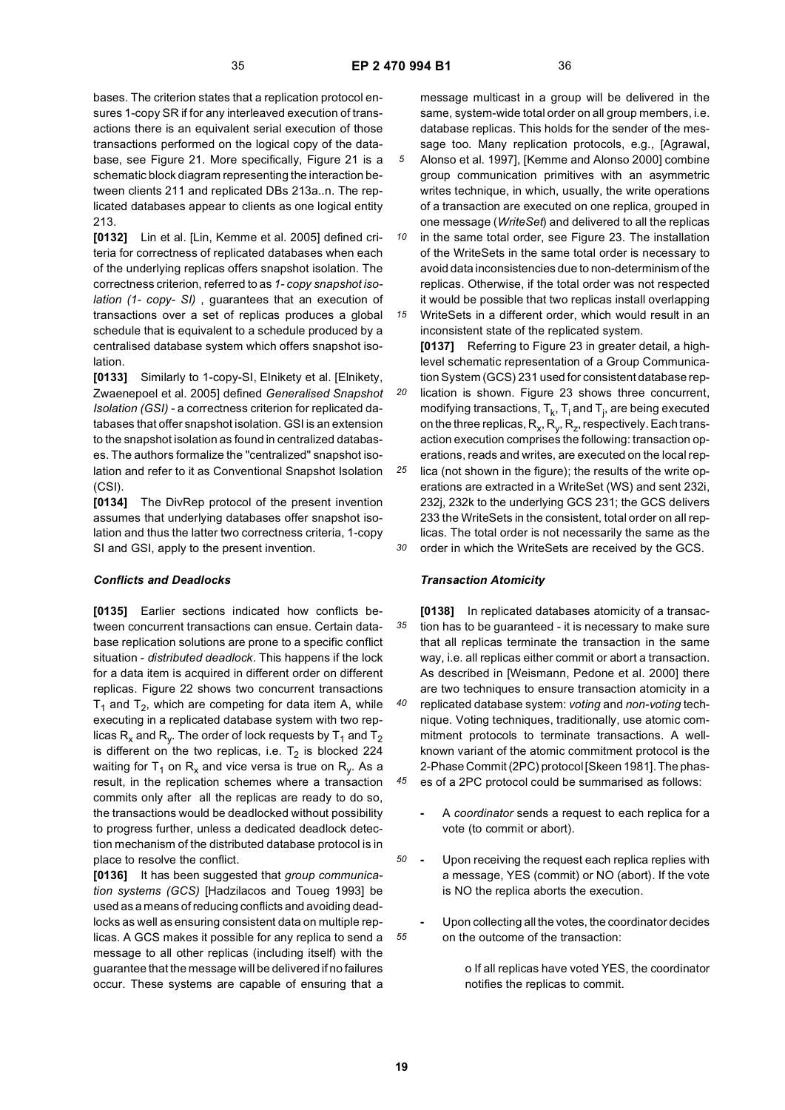bases. The criterion states that a replication protocol ensures 1-copy SR if for any interleaved execution of transactions there is an equivalent serial execution of those transactions performed on the logical copy of the database, see Figure 21. More specifically, Figure 21 is a schematic block diagram representing the interaction between clients 211 and replicated DBs 213a..n. The replicated databases appear to clients as one logical entity 213.

**[0132]** Lin et al. [Lin, Kemme et al. 2005] defined criteria for correctness of replicated databases when each of the underlying replicas offers snapshot isolation. The correctness criterion, referred to as *1- copy snapshot isolation (1- copy- SI)* , guarantees that an execution of transactions over a set of replicas produces a global schedule that is equivalent to a schedule produced by a centralised database system which offers snapshot isolation.

**[0133]** Similarly to 1-copy-SI, Elnikety et al. [Elnikety, Zwaenepoel et al. 2005] defined *Generalised Snapshot Isolation (GSI)* - a correctness criterion for replicated databases that offer snapshot isolation. GSI is an extension to the snapshot isolation as found in centralized databases. The authors formalize the "centralized" snapshot isolation and refer to it as Conventional Snapshot Isolation (CSI).

**[0134]** The DivRep protocol of the present invention assumes that underlying databases offer snapshot isolation and thus the latter two correctness criteria, 1-copy SI and GSI, apply to the present invention.

### *Conflicts and Deadlocks*

**[0135]** Earlier sections indicated how conflicts between concurrent transactions can ensue. Certain database replication solutions are prone to a specific conflict situation - *distributed deadlock*. This happens if the lock for a data item is acquired in different order on different replicas. Figure 22 shows two concurrent transactions  $T_1$  and  $T_2$ , which are competing for data item A, while executing in a replicated database system with two replicas R<sub>x</sub> and R<sub>y</sub>. The order of lock requests by T<sub>1</sub> and T<sub>2</sub> is different on the two replicas, i.e.  $T_2$  is blocked 224 waiting for  $T_1$  on  $R_x$  and vice versa is true on  $R_y$ . As a result, in the replication schemes where a transaction commits only after all the replicas are ready to do so, the transactions would be deadlocked without possibility to progress further, unless a dedicated deadlock detection mechanism of the distributed database protocol is in place to resolve the conflict.

**[0136]** It has been suggested that *group communication systems (GCS)* [Hadzilacos and Toueg 1993] be used as a means of reducing conflicts and avoiding deadlocks as well as ensuring consistent data on multiple replicas. A GCS makes it possible for any replica to send a message to all other replicas (including itself) with the guarantee that the message will be delivered if no failures occur. These systems are capable of ensuring that a

message multicast in a group will be delivered in the same, system-wide total order on all group members, i.e. database replicas. This holds for the sender of the message too. Many replication protocols, e.g., [Agrawal, Alonso et al. 1997], [Kemme and Alonso 2000] combine group communication primitives with an asymmetric writes technique, in which, usually, the write operations of a transaction are executed on one replica, grouped in one message (*WriteSet*) and delivered to all the replicas

*10* in the same total order, see Figure 23. The installation of the WriteSets in the same total order is necessary to avoid data inconsistencies due to non-determinism of the replicas. Otherwise, if the total order was not respected it would be possible that two replicas install overlapping

*15 20 25 30* WriteSets in a different order, which would result in an inconsistent state of the replicated system. **[0137]** Referring to Figure 23 in greater detail, a highlevel schematic representation of a Group Communication System (GCS) 231 used for consistent database replication is shown. Figure 23 shows three concurrent, modifying transactions,  $T_k$ ,  $T_i$  and  $T_j$ , are being executed on the three replicas,  $R_x$ ,  $R_y$ ,  $R_z$ , respectively. Each transaction execution comprises the following: transaction operations, reads and writes, are executed on the local replica (not shown in the figure); the results of the write operations are extracted in a WriteSet (WS) and sent 232i, 232j, 232k to the underlying GCS 231; the GCS delivers 233 the WriteSets in the consistent, total order on all replicas. The total order is not necessarily the same as the order in which the WriteSets are received by the GCS.

### *Transaction Atomicity*

*35 40 45* **[0138]** In replicated databases atomicity of a transaction has to be guaranteed - it is necessary to make sure that all replicas terminate the transaction in the same way, i.e. all replicas either commit or abort a transaction. As described in [Weismann, Pedone et al. 2000] there are two techniques to ensure transaction atomicity in a replicated database system: *voting* and *non-voting* technique. Voting techniques, traditionally, use atomic commitment protocols to terminate transactions. A wellknown variant of the atomic commitment protocol is the 2-Phase Commit (2PC) protocol [Skeen 1981]. The phas-

- es of a 2PC protocol could be summarised as follows:
	- **-** A *coordinator* sends a request to each replica for a vote (to commit or abort).
- *50* **-** Upon receiving the request each replica replies with a message, YES (commit) or NO (abort). If the vote is NO the replica aborts the execution.
	- **-** Upon collecting all the votes, the coordinator decides on the outcome of the transaction:

o If all replicas have voted YES, the coordinator notifies the replicas to commit.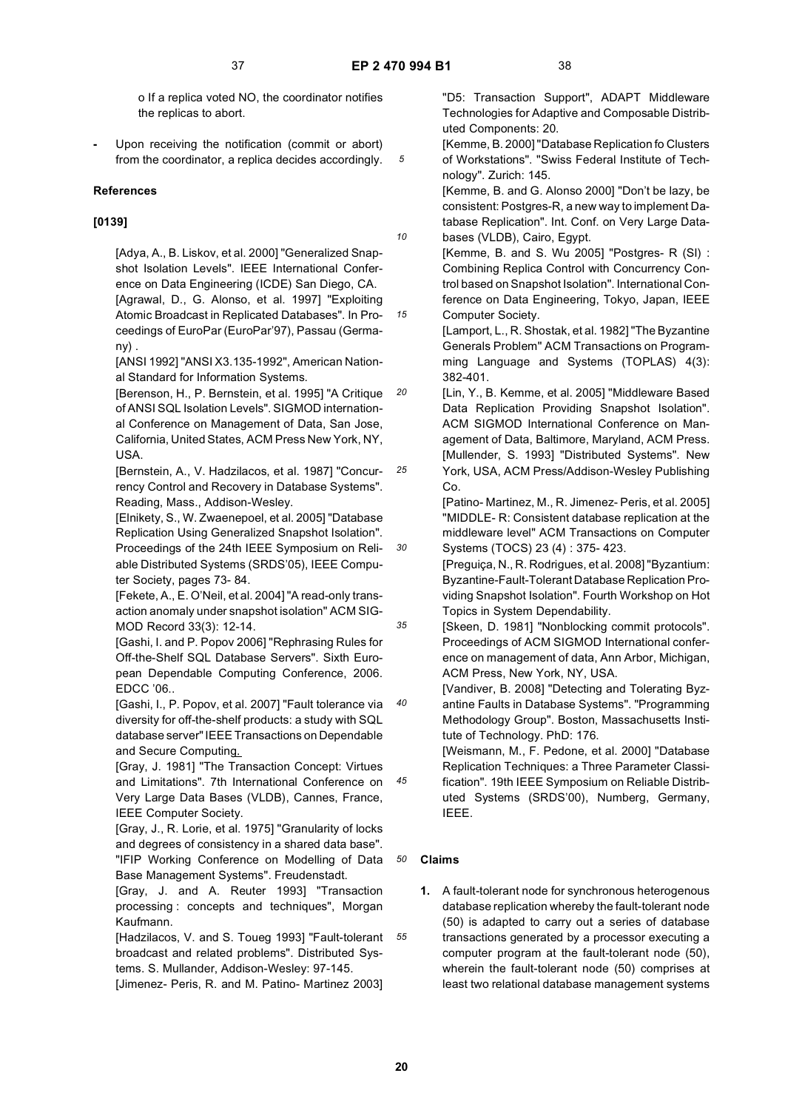*10*

*15*

*20*

*30*

*35*

*45*

o If a replica voted NO, the coordinator notifies the replicas to abort.

**-** Upon receiving the notification (commit or abort) from the coordinator, a replica decides accordingly.

### **References**

### **[0139]**

[Adya, A., B. Liskov, et al. 2000] "Generalized Snapshot Isolation Levels". IEEE International Conference on Data Engineering (ICDE) San Diego, CA. [Agrawal, D., G. Alonso, et al. 1997] "Exploiting Atomic Broadcast in Replicated Databases". In Proceedings of EuroPar (EuroPar'97), Passau (Germany) .

[ANSI 1992] "ANSI X3.135-1992", American National Standard for Information Systems.

[Berenson, H., P. Bernstein, et al. 1995] "A Critique of ANSI SQL Isolation Levels". SIGMOD international Conference on Management of Data, San Jose, California, United States, ACM Press New York, NY, USA.

*25* [Bernstein, A., V. Hadzilacos, et al. 1987] "Concurrency Control and Recovery in Database Systems". Reading, Mass., Addison-Wesley.

[Elnikety, S., W. Zwaenepoel, et al. 2005] "Database Replication Using Generalized Snapshot Isolation". Proceedings of the 24th IEEE Symposium on Reliable Distributed Systems (SRDS'05), IEEE Computer Society, pages 73- 84.

[Fekete, A., E. O'Neil, et al. 2004] "A read-only transaction anomaly under snapshot isolation" ACM SIG-MOD Record 33(3): 12-14.

[Gashi, I. and P. Popov 2006] "Rephrasing Rules for Off-the-Shelf SQL Database Servers". Sixth European Dependable Computing Conference, 2006. EDCC '06..

*40* [Gashi, I., P. Popov, et al. 2007] "Fault tolerance via diversity for off-the-shelf products: a study with SQL database server" IEEE Transactions on Dependable and Secure Computing.

[Gray, J. 1981] "The Transaction Concept: Virtues and Limitations". 7th International Conference on Very Large Data Bases (VLDB), Cannes, France, IEEE Computer Society.

[Gray, J., R. Lorie, et al. 1975] "Granularity of locks and degrees of consistency in a shared data base". "IFIP Working Conference on Modelling of Data Base Management Systems". Freudenstadt.

[Gray, J. and A. Reuter 1993] "Transaction processing : concepts and techniques", Morgan Kaufmann.

[Hadzilacos, V. and S. Toueg 1993] "Fault-tolerant broadcast and related problems". Distributed Systems. S. Mullander, Addison-Wesley: 97-145. [Jimenez- Peris, R. and M. Patino- Martinez 2003]

"D5: Transaction Support", ADAPT Middleware Technologies for Adaptive and Composable Distributed Components: 20.

[Kemme, B. 2000] "Database Replication fo Clusters of Workstations". "Swiss Federal Institute of Technology". Zurich: 145.

[Kemme, B. and G. Alonso 2000] "Don't be lazy, be consistent: Postgres-R, a new way to implement Database Replication". Int. Conf. on Very Large Databases (VLDB), Cairo, Egypt.

[Kemme, B. and S. Wu 2005] "Postgres- R (SI) : Combining Replica Control with Concurrency Control based on Snapshot Isolation". International Conference on Data Engineering, Tokyo, Japan, IEEE Computer Society.

[Lamport, L., R. Shostak, et al. 1982] "The Byzantine Generals Problem" ACM Transactions on Programming Language and Systems (TOPLAS) 4(3): 382-401.

[Lin, Y., B. Kemme, et al. 2005] "Middleware Based Data Replication Providing Snapshot Isolation". ACM SIGMOD International Conference on Management of Data, Baltimore, Maryland, ACM Press. [Mullender, S. 1993] "Distributed Systems". New York, USA, ACM Press/Addison-Wesley Publishing  $C<sub>0</sub>$ 

[Patino- Martinez, M., R. Jimenez- Peris, et al. 2005] "MIDDLE- R: Consistent database replication at the middleware level" ACM Transactions on Computer Systems (TOCS) 23 (4) : 375- 423.

[Preguiça, N., R. Rodrigues, et al. 2008] "Byzantium: Byzantine-Fault-Tolerant Database Replication Providing Snapshot Isolation". Fourth Workshop on Hot Topics in System Dependability.

[Skeen, D. 1981] "Nonblocking commit protocols". Proceedings of ACM SIGMOD International conference on management of data, Ann Arbor, Michigan, ACM Press, New York, NY, USA.

[Vandiver, B. 2008] "Detecting and Tolerating Byzantine Faults in Database Systems". "Programming Methodology Group". Boston, Massachusetts Institute of Technology. PhD: 176.

[Weismann, M., F. Pedone, et al. 2000] "Database Replication Techniques: a Three Parameter Classification". 19th IEEE Symposium on Reliable Distributed Systems (SRDS'00), Numberg, Germany, IEEE.

### **Claims**

**1.** A fault-tolerant node for synchronous heterogenous database replication whereby the fault-tolerant node (50) is adapted to carry out a series of database transactions generated by a processor executing a computer program at the fault-tolerant node (50), wherein the fault-tolerant node (50) comprises at least two relational database management systems

*55*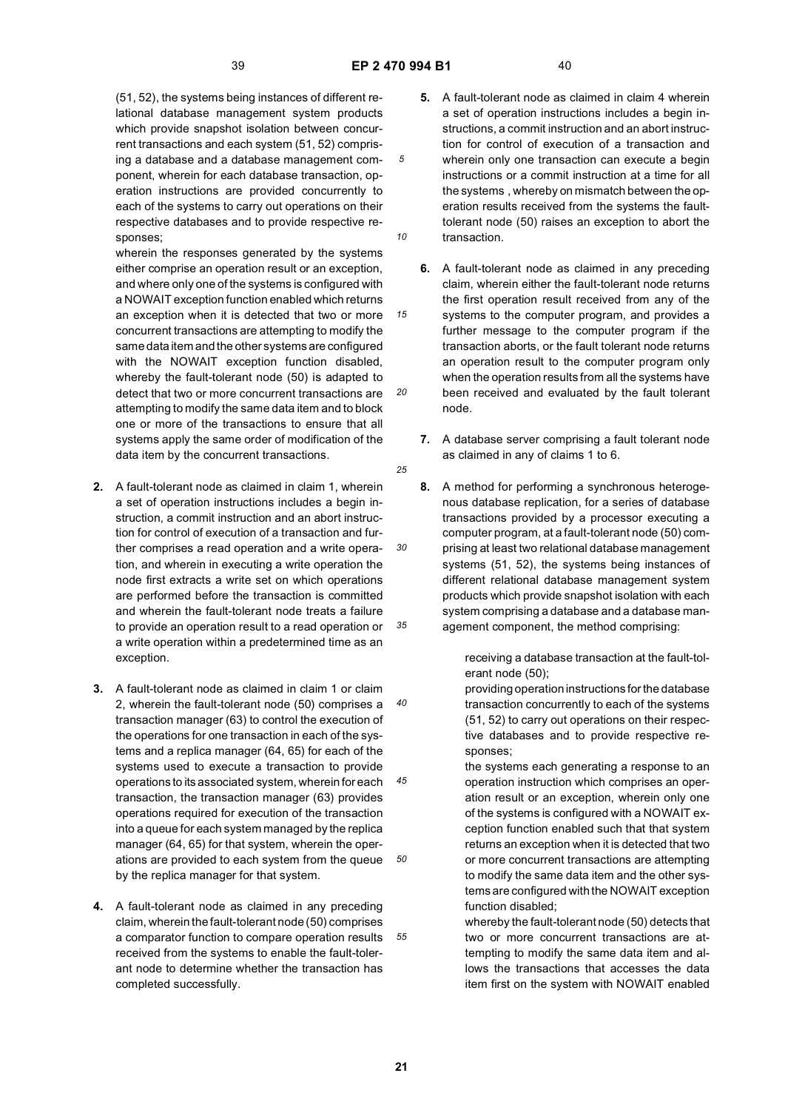*10*

*15*

*20*

*25*

(51, 52), the systems being instances of different relational database management system products which provide snapshot isolation between concurrent transactions and each system (51, 52) comprising a database and a database management component, wherein for each database transaction, operation instructions are provided concurrently to each of the systems to carry out operations on their respective databases and to provide respective responses;

wherein the responses generated by the systems either comprise an operation result or an exception, and where only one of the systems is configured with a NOWAIT exception function enabled which returns an exception when it is detected that two or more concurrent transactions are attempting to modify the same data item and the other systems are configured with the NOWAIT exception function disabled, whereby the fault-tolerant node (50) is adapted to detect that two or more concurrent transactions are attempting to modify the same data item and to block one or more of the transactions to ensure that all systems apply the same order of modification of the data item by the concurrent transactions.

- *30 35* **2.** A fault-tolerant node as claimed in claim 1, wherein a set of operation instructions includes a begin instruction, a commit instruction and an abort instruction for control of execution of a transaction and further comprises a read operation and a write operation, and wherein in executing a write operation the node first extracts a write set on which operations are performed before the transaction is committed and wherein the fault-tolerant node treats a failure to provide an operation result to a read operation or a write operation within a predetermined time as an exception.
- *40 45 50* **3.** A fault-tolerant node as claimed in claim 1 or claim 2, wherein the fault-tolerant node (50) comprises a transaction manager (63) to control the execution of the operations for one transaction in each of the systems and a replica manager (64, 65) for each of the systems used to execute a transaction to provide operations to its associated system, wherein for each transaction, the transaction manager (63) provides operations required for execution of the transaction into a queue for each system managed by the replica manager (64, 65) for that system, wherein the operations are provided to each system from the queue by the replica manager for that system.
- *55* **4.** A fault-tolerant node as claimed in any preceding claim, wherein the fault-tolerant node (50) comprises a comparator function to compare operation results received from the systems to enable the fault-tolerant node to determine whether the transaction has completed successfully.
- **5.** A fault-tolerant node as claimed in claim 4 wherein a set of operation instructions includes a begin instructions, a commit instruction and an abort instruction for control of execution of a transaction and wherein only one transaction can execute a begin instructions or a commit instruction at a time for all the systems , whereby on mismatch between the operation results received from the systems the faulttolerant node (50) raises an exception to abort the transaction.
- **6.** A fault-tolerant node as claimed in any preceding claim, wherein either the fault-tolerant node returns the first operation result received from any of the systems to the computer program, and provides a further message to the computer program if the transaction aborts, or the fault tolerant node returns an operation result to the computer program only when the operation results from all the systems have been received and evaluated by the fault tolerant node.
- **7.** A database server comprising a fault tolerant node as claimed in any of claims 1 to 6.
- **8.** A method for performing a synchronous heterogenous database replication, for a series of database transactions provided by a processor executing a computer program, at a fault-tolerant node (50) comprising at least two relational database management systems (51, 52), the systems being instances of different relational database management system products which provide snapshot isolation with each system comprising a database and a database management component, the method comprising:

receiving a database transaction at the fault-tolerant node (50);

providing operation instructions for the database transaction concurrently to each of the systems (51, 52) to carry out operations on their respective databases and to provide respective responses;

the systems each generating a response to an operation instruction which comprises an operation result or an exception, wherein only one of the systems is configured with a NOWAIT exception function enabled such that that system returns an exception when it is detected that two or more concurrent transactions are attempting to modify the same data item and the other systems are configured with the NOWAIT exception function disabled;

whereby the fault-tolerant node (50) detects that two or more concurrent transactions are attempting to modify the same data item and allows the transactions that accesses the data item first on the system with NOWAIT enabled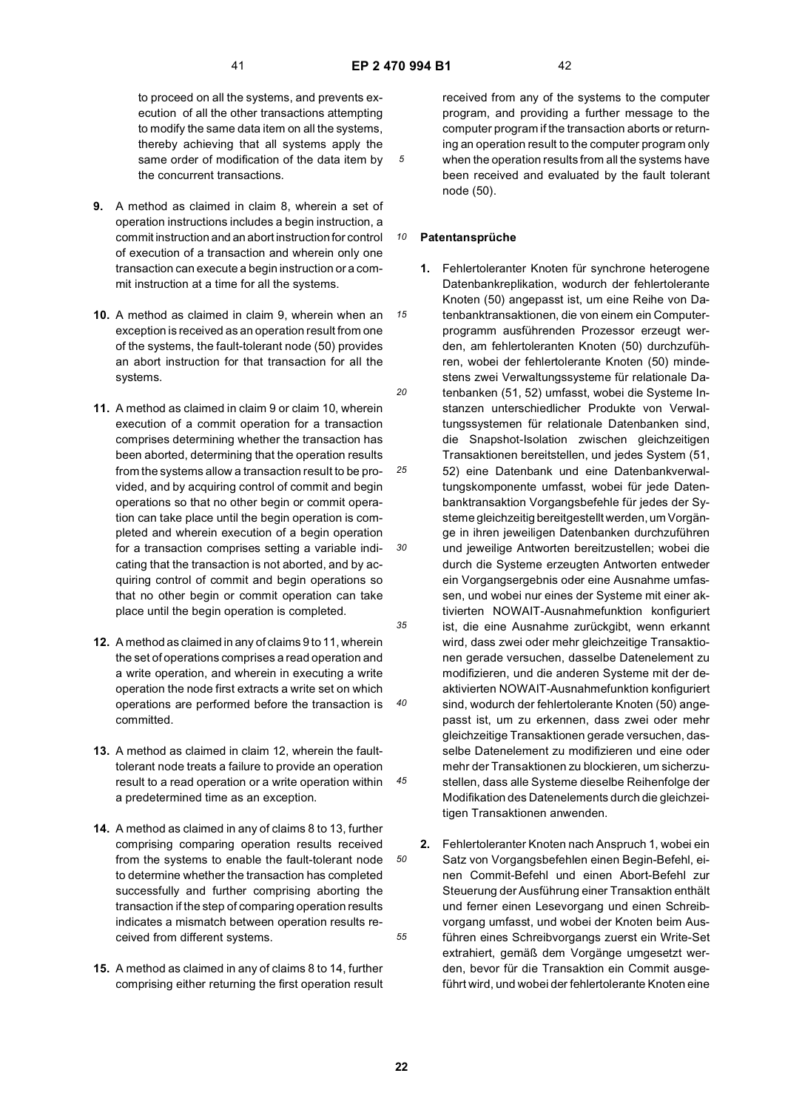*15*

*20*

*25*

*30*

*35*

*40*

*45*

*50*

*55*

to proceed on all the systems, and prevents execution of all the other transactions attempting to modify the same data item on all the systems, thereby achieving that all systems apply the same order of modification of the data item by the concurrent transactions.

- **9.** A method as claimed in claim 8, wherein a set of operation instructions includes a begin instruction, a commit instruction and an abort instruction for control of execution of a transaction and wherein only one transaction can execute a begin instruction or a commit instruction at a time for all the systems.
- **10.** A method as claimed in claim 9, wherein when an exception is received as an operation result from one of the systems, the fault-tolerant node (50) provides an abort instruction for that transaction for all the systems.
- **11.** A method as claimed in claim 9 or claim 10, wherein execution of a commit operation for a transaction comprises determining whether the transaction has been aborted, determining that the operation results from the systems allow a transaction result to be provided, and by acquiring control of commit and begin operations so that no other begin or commit operation can take place until the begin operation is completed and wherein execution of a begin operation for a transaction comprises setting a variable indicating that the transaction is not aborted, and by acquiring control of commit and begin operations so that no other begin or commit operation can take place until the begin operation is completed.
- **12.** A method as claimed in any of claims 9 to 11, wherein the set of operations comprises a read operation and a write operation, and wherein in executing a write operation the node first extracts a write set on which operations are performed before the transaction is committed.
- **13.** A method as claimed in claim 12, wherein the faulttolerant node treats a failure to provide an operation result to a read operation or a write operation within a predetermined time as an exception.
- **14.** A method as claimed in any of claims 8 to 13, further comprising comparing operation results received from the systems to enable the fault-tolerant node to determine whether the transaction has completed successfully and further comprising aborting the transaction if the step of comparing operation results indicates a mismatch between operation results received from different systems.
- **15.** A method as claimed in any of claims 8 to 14, further comprising either returning the first operation result

received from any of the systems to the computer program, and providing a further message to the computer program if the transaction aborts or returning an operation result to the computer program only when the operation results from all the systems have been received and evaluated by the fault tolerant node (50).

#### *10* **Patentansprüche**

- **1.** Fehlertoleranter Knoten für synchrone heterogene Datenbankreplikation, wodurch der fehlertolerante Knoten (50) angepasst ist, um eine Reihe von Datenbanktransaktionen, die von einem ein Computerprogramm ausführenden Prozessor erzeugt werden, am fehlertoleranten Knoten (50) durchzuführen, wobei der fehlertolerante Knoten (50) mindestens zwei Verwaltungssysteme für relationale Datenbanken (51, 52) umfasst, wobei die Systeme Instanzen unterschiedlicher Produkte von Verwaltungssystemen für relationale Datenbanken sind, die Snapshot-Isolation zwischen gleichzeitigen Transaktionen bereitstellen, und jedes System (51, 52) eine Datenbank und eine Datenbankverwaltungskomponente umfasst, wobei für jede Datenbanktransaktion Vorgangsbefehle für jedes der Systeme gleichzeitig bereitgestellt werden, um Vorgänge in ihren jeweiligen Datenbanken durchzuführen und jeweilige Antworten bereitzustellen; wobei die durch die Systeme erzeugten Antworten entweder ein Vorgangsergebnis oder eine Ausnahme umfassen, und wobei nur eines der Systeme mit einer aktivierten NOWAIT-Ausnahmefunktion konfiguriert ist, die eine Ausnahme zurückgibt, wenn erkannt wird, dass zwei oder mehr gleichzeitige Transaktionen gerade versuchen, dasselbe Datenelement zu modifizieren, und die anderen Systeme mit der deaktivierten NOWAIT-Ausnahmefunktion konfiguriert sind, wodurch der fehlertolerante Knoten (50) angepasst ist, um zu erkennen, dass zwei oder mehr gleichzeitige Transaktionen gerade versuchen, dasselbe Datenelement zu modifizieren und eine oder mehr der Transaktionen zu blockieren, um sicherzustellen, dass alle Systeme dieselbe Reihenfolge der Modifikation des Datenelements durch die gleichzeitigen Transaktionen anwenden.
- **2.** Fehlertoleranter Knoten nach Anspruch 1, wobei ein Satz von Vorgangsbefehlen einen Begin-Befehl, einen Commit-Befehl und einen Abort-Befehl zur Steuerung der Ausführung einer Transaktion enthält und ferner einen Lesevorgang und einen Schreibvorgang umfasst, und wobei der Knoten beim Ausführen eines Schreibvorgangs zuerst ein Write-Set extrahiert, gemäß dem Vorgänge umgesetzt werden, bevor für die Transaktion ein Commit ausgeführt wird, und wobei der fehlertolerante Knoten eine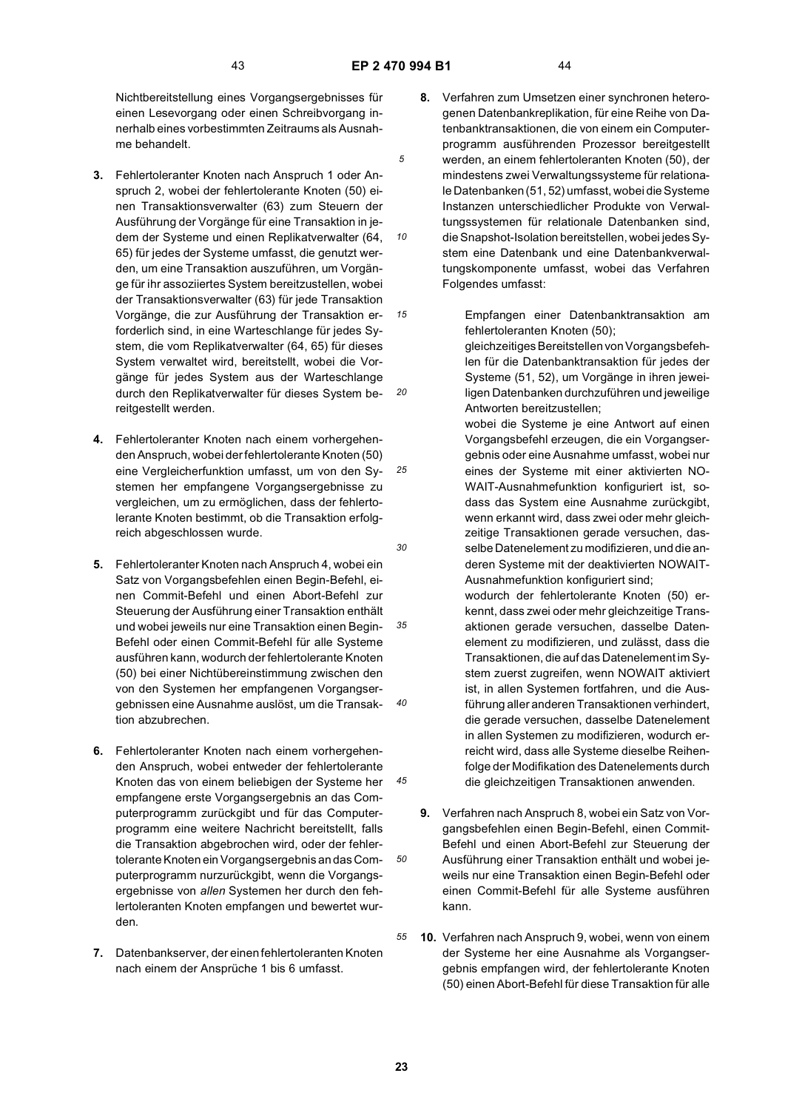*10*

*20*

*30*

*45*

*50*

Nichtbereitstellung eines Vorgangsergebnisses für einen Lesevorgang oder einen Schreibvorgang innerhalb eines vorbestimmten Zeitraums als Ausnahme behandelt.

- *15* **3.** Fehlertoleranter Knoten nach Anspruch 1 oder Anspruch 2, wobei der fehlertolerante Knoten (50) einen Transaktionsverwalter (63) zum Steuern der Ausführung der Vorgänge für eine Transaktion in jedem der Systeme und einen Replikatverwalter (64, 65) für jedes der Systeme umfasst, die genutzt werden, um eine Transaktion auszuführen, um Vorgänge für ihr assoziiertes System bereitzustellen, wobei der Transaktionsverwalter (63) für jede Transaktion Vorgänge, die zur Ausführung der Transaktion erforderlich sind, in eine Warteschlange für jedes System, die vom Replikatverwalter (64, 65) für dieses System verwaltet wird, bereitstellt, wobei die Vorgänge für jedes System aus der Warteschlange durch den Replikatverwalter für dieses System bereitgestellt werden.
- *25* **4.** Fehlertoleranter Knoten nach einem vorhergehenden Anspruch, wobei der fehlertolerante Knoten (50) eine Vergleicherfunktion umfasst, um von den Systemen her empfangene Vorgangsergebnisse zu vergleichen, um zu ermöglichen, dass der fehlertolerante Knoten bestimmt, ob die Transaktion erfolgreich abgeschlossen wurde.
- *35 40* **5.** Fehlertoleranter Knoten nach Anspruch 4, wobei ein Satz von Vorgangsbefehlen einen Begin-Befehl, einen Commit-Befehl und einen Abort-Befehl zur Steuerung der Ausführung einer Transaktion enthält und wobei jeweils nur eine Transaktion einen Begin-Befehl oder einen Commit-Befehl für alle Systeme ausführen kann, wodurch der fehlertolerante Knoten (50) bei einer Nichtübereinstimmung zwischen den von den Systemen her empfangenen Vorgangsergebnissen eine Ausnahme auslöst, um die Transaktion abzubrechen.
- **6.** Fehlertoleranter Knoten nach einem vorhergehenden Anspruch, wobei entweder der fehlertolerante Knoten das von einem beliebigen der Systeme her empfangene erste Vorgangsergebnis an das Computerprogramm zurückgibt und für das Computerprogramm eine weitere Nachricht bereitstellt, falls die Transaktion abgebrochen wird, oder der fehlertolerante Knoten ein Vorgangsergebnis an das Computerprogramm nurzurückgibt, wenn die Vorgangsergebnisse von *allen* Systemen her durch den fehlertoleranten Knoten empfangen und bewertet wurden.
- **7.** Datenbankserver, der einen fehlertoleranten Knoten nach einem der Ansprüche 1 bis 6 umfasst.
- **8.** Verfahren zum Umsetzen einer synchronen heterogenen Datenbankreplikation, für eine Reihe von Datenbanktransaktionen, die von einem ein Computerprogramm ausführenden Prozessor bereitgestellt werden, an einem fehlertoleranten Knoten (50), der mindestens zwei Verwaltungssysteme für relationale Datenbanken (51, 52) umfasst, wobei die Systeme Instanzen unterschiedlicher Produkte von Verwaltungssystemen für relationale Datenbanken sind, die Snapshot-Isolation bereitstellen, wobei jedes System eine Datenbank und eine Datenbankverwaltungskomponente umfasst, wobei das Verfahren Folgendes umfasst:
	- Empfangen einer Datenbanktransaktion am fehlertoleranten Knoten (50);

gleichzeitiges Bereitstellen von Vorgangsbefehlen für die Datenbanktransaktion für jedes der Systeme (51, 52), um Vorgänge in ihren jeweiligen Datenbanken durchzuführen und jeweilige Antworten bereitzustellen;

wobei die Systeme je eine Antwort auf einen Vorgangsbefehl erzeugen, die ein Vorgangsergebnis oder eine Ausnahme umfasst, wobei nur eines der Systeme mit einer aktivierten NO-WAIT-Ausnahmefunktion konfiguriert ist, sodass das System eine Ausnahme zurückgibt, wenn erkannt wird, dass zwei oder mehr gleichzeitige Transaktionen gerade versuchen, dasselbe Datenelement zu modifizieren, und die anderen Systeme mit der deaktivierten NOWAIT-Ausnahmefunktion konfiguriert sind;

wodurch der fehlertolerante Knoten (50) erkennt, dass zwei oder mehr gleichzeitige Transaktionen gerade versuchen, dasselbe Datenelement zu modifizieren, und zulässt, dass die Transaktionen, die auf das Datenelement im System zuerst zugreifen, wenn NOWAIT aktiviert ist, in allen Systemen fortfahren, und die Ausführung aller anderen Transaktionen verhindert, die gerade versuchen, dasselbe Datenelement in allen Systemen zu modifizieren, wodurch erreicht wird, dass alle Systeme dieselbe Reihenfolge der Modifikation des Datenelements durch die gleichzeitigen Transaktionen anwenden.

- **9.** Verfahren nach Anspruch 8, wobei ein Satz von Vorgangsbefehlen einen Begin-Befehl, einen Commit-Befehl und einen Abort-Befehl zur Steuerung der Ausführung einer Transaktion enthält und wobei jeweils nur eine Transaktion einen Begin-Befehl oder einen Commit-Befehl für alle Systeme ausführen kann.
- *55* **10.** Verfahren nach Anspruch 9, wobei, wenn von einem der Systeme her eine Ausnahme als Vorgangsergebnis empfangen wird, der fehlertolerante Knoten (50) einen Abort-Befehl für diese Transaktion für alle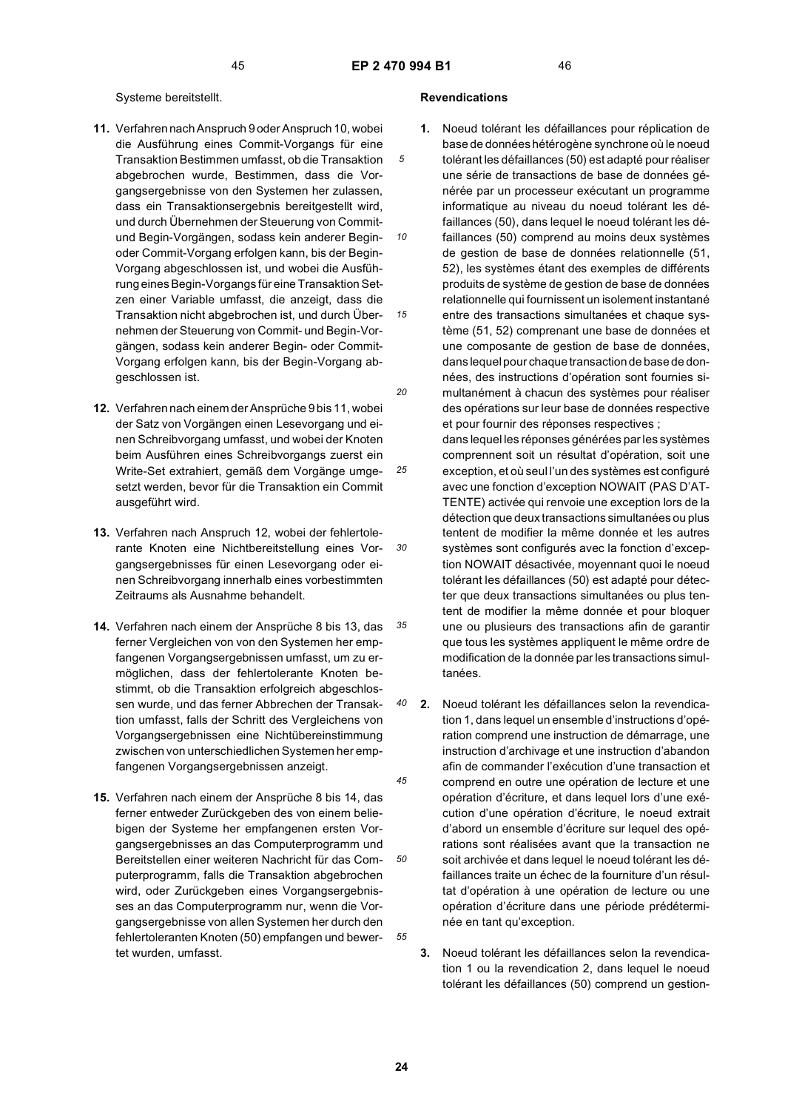*10*

*25*

*30*

*35*

### Systeme bereitstellt.

- **11.** Verfahren nach Anspruch 9 oder Anspruch 10, wobei die Ausführung eines Commit-Vorgangs für eine Transaktion Bestimmen umfasst, ob die Transaktion abgebrochen wurde, Bestimmen, dass die Vorgangsergebnisse von den Systemen her zulassen, dass ein Transaktionsergebnis bereitgestellt wird, und durch Übernehmen der Steuerung von Commitund Begin-Vorgängen, sodass kein anderer Beginoder Commit-Vorgang erfolgen kann, bis der Begin-Vorgang abgeschlossen ist, und wobei die Ausführung eines Begin-Vorgangs für eine Transaktion Setzen einer Variable umfasst, die anzeigt, dass die Transaktion nicht abgebrochen ist, und durch Übernehmen der Steuerung von Commit- und Begin-Vorgängen, sodass kein anderer Begin- oder Commit-Vorgang erfolgen kann, bis der Begin-Vorgang abgeschlossen ist.
- **12.** Verfahren nach einem der Ansprüche 9 bis 11, wobei der Satz von Vorgängen einen Lesevorgang und einen Schreibvorgang umfasst, und wobei der Knoten beim Ausführen eines Schreibvorgangs zuerst ein Write-Set extrahiert, gemäß dem Vorgänge umgesetzt werden, bevor für die Transaktion ein Commit ausgeführt wird.
- **13.** Verfahren nach Anspruch 12, wobei der fehlertolerante Knoten eine Nichtbereitstellung eines Vorgangsergebnisses für einen Lesevorgang oder einen Schreibvorgang innerhalb eines vorbestimmten Zeitraums als Ausnahme behandelt.
- **14.** Verfahren nach einem der Ansprüche 8 bis 13, das ferner Vergleichen von von den Systemen her empfangenen Vorgangsergebnissen umfasst, um zu ermöglichen, dass der fehlertolerante Knoten bestimmt, ob die Transaktion erfolgreich abgeschlossen wurde, und das ferner Abbrechen der Transaktion umfasst, falls der Schritt des Vergleichens von Vorgangsergebnissen eine Nichtübereinstimmung zwischen von unterschiedlichen Systemen her empfangenen Vorgangsergebnissen anzeigt.
- **15.** Verfahren nach einem der Ansprüche 8 bis 14, das ferner entweder Zurückgeben des von einem beliebigen der Systeme her empfangenen ersten Vorgangsergebnisses an das Computerprogramm und Bereitstellen einer weiteren Nachricht für das Computerprogramm, falls die Transaktion abgebrochen wird, oder Zurückgeben eines Vorgangsergebnisses an das Computerprogramm nur, wenn die Vorgangsergebnisse von allen Systemen her durch den fehlertoleranten Knoten (50) empfangen und bewertet wurden, umfasst.

### **Revendications**

- *15 20* **1.** Noeud tolérant les défaillances pour réplication de base de données hétérogène synchrone où le noeud tolérant les défaillances (50) est adapté pour réaliser une série de transactions de base de données générée par un processeur exécutant un programme informatique au niveau du noeud tolérant les défaillances (50), dans lequel le noeud tolérant les défaillances (50) comprend au moins deux systèmes de gestion de base de données relationnelle (51, 52), les systèmes étant des exemples de différents produits de système de gestion de base de données relationnelle qui fournissent un isolement instantané entre des transactions simultanées et chaque système (51, 52) comprenant une base de données et une composante de gestion de base de données, dans lequel pour chaque transaction de base de données, des instructions d'opération sont fournies simultanément à chacun des systèmes pour réaliser des opérations sur leur base de données respective et pour fournir des réponses respectives ;
	- dans lequel les réponses générées par les systèmes comprennent soit un résultat d'opération, soit une exception, et où seul l'un des systèmes est configuré avec une fonction d'exception NOWAIT (PAS D'AT-TENTE) activée qui renvoie une exception lors de la détection que deux transactions simultanées ou plus tentent de modifier la même donnée et les autres systèmes sont configurés avec la fonction d'exception NOWAIT désactivée, moyennant quoi le noeud tolérant les défaillances (50) est adapté pour détecter que deux transactions simultanées ou plus tentent de modifier la même donnée et pour bloquer une ou plusieurs des transactions afin de garantir que tous les systèmes appliquent le même ordre de modification de la donnée par les transactions simultanées.
- *40 45 50* **2.** Noeud tolérant les défaillances selon la revendication 1, dans lequel un ensemble d'instructions d'opération comprend une instruction de démarrage, une instruction d'archivage et une instruction d'abandon afin de commander l'exécution d'une transaction et comprend en outre une opération de lecture et une opération d'écriture, et dans lequel lors d'une exécution d'une opération d'écriture, le noeud extrait d'abord un ensemble d'écriture sur lequel des opérations sont réalisées avant que la transaction ne soit archivée et dans lequel le noeud tolérant les défaillances traite un échec de la fourniture d'un résultat d'opération à une opération de lecture ou une opération d'écriture dans une période prédéterminée en tant qu'exception.
	- **3.** Noeud tolérant les défaillances selon la revendication 1 ou la revendication 2, dans lequel le noeud tolérant les défaillances (50) comprend un gestion-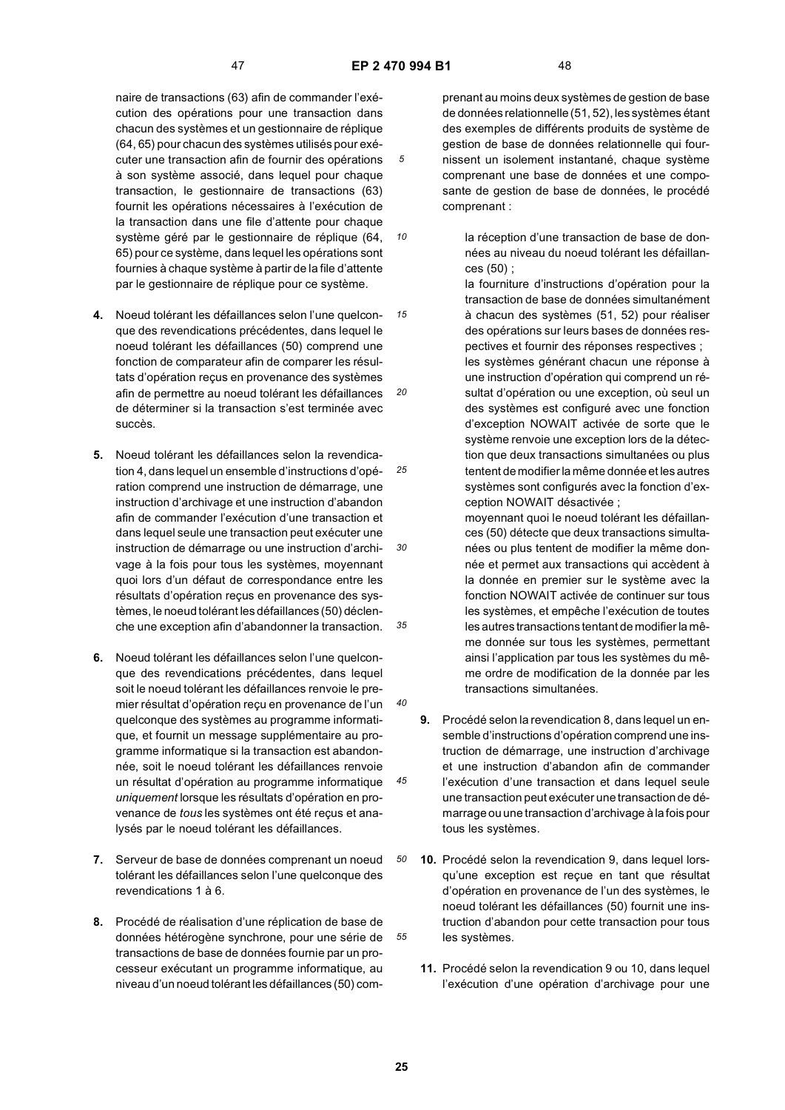*10*

naire de transactions (63) afin de commander l'exécution des opérations pour une transaction dans chacun des systèmes et un gestionnaire de réplique (64, 65) pour chacun des systèmes utilisés pour exécuter une transaction afin de fournir des opérations à son système associé, dans lequel pour chaque transaction, le gestionnaire de transactions (63) fournit les opérations nécessaires à l'exécution de la transaction dans une file d'attente pour chaque système géré par le gestionnaire de réplique (64, 65) pour ce système, dans lequel les opérations sont fournies à chaque système à partir de la file d'attente par le gestionnaire de réplique pour ce système.

- *15 20* **4.** Noeud tolérant les défaillances selon l'une quelconque des revendications précédentes, dans lequel le noeud tolérant les défaillances (50) comprend une fonction de comparateur afin de comparer les résultats d'opération reçus en provenance des systèmes afin de permettre au noeud tolérant les défaillances de déterminer si la transaction s'est terminée avec succès.
- *25 30 35* **5.** Noeud tolérant les défaillances selon la revendication 4, dans lequel un ensemble d'instructions d'opération comprend une instruction de démarrage, une instruction d'archivage et une instruction d'abandon afin de commander l'exécution d'une transaction et dans lequel seule une transaction peut exécuter une instruction de démarrage ou une instruction d'archivage à la fois pour tous les systèmes, moyennant quoi lors d'un défaut de correspondance entre les résultats d'opération reçus en provenance des systèmes, le noeud tolérant les défaillances (50) déclenche une exception afin d'abandonner la transaction.
- **6.** Noeud tolérant les défaillances selon l'une quelconque des revendications précédentes, dans lequel soit le noeud tolérant les défaillances renvoie le premier résultat d'opération reçu en provenance de l'un quelconque des systèmes au programme informatique, et fournit un message supplémentaire au programme informatique si la transaction est abandonnée, soit le noeud tolérant les défaillances renvoie un résultat d'opération au programme informatique *uniquement* lorsque les résultats d'opération en provenance de *tous* les systèmes ont été reçus et analysés par le noeud tolérant les défaillances.
- **7.** Serveur de base de données comprenant un noeud tolérant les défaillances selon l'une quelconque des revendications 1 à 6.
- **8.** Procédé de réalisation d'une réplication de base de données hétérogène synchrone, pour une série de transactions de base de données fournie par un processeur exécutant un programme informatique, au niveau d'un noeud tolérant les défaillances (50) com-

prenant au moins deux systèmes de gestion de base de données relationnelle (51, 52), les systèmes étant des exemples de différents produits de système de gestion de base de données relationnelle qui fournissent un isolement instantané, chaque système comprenant une base de données et une composante de gestion de base de données, le procédé comprenant :

- la réception d'une transaction de base de données au niveau du noeud tolérant les défaillances (50) ;
- la fourniture d'instructions d'opération pour la transaction de base de données simultanément à chacun des systèmes (51, 52) pour réaliser des opérations sur leurs bases de données respectives et fournir des réponses respectives ; les systèmes générant chacun une réponse à une instruction d'opération qui comprend un résultat d'opération ou une exception, où seul un des systèmes est configuré avec une fonction d'exception NOWAIT activée de sorte que le système renvoie une exception lors de la détection que deux transactions simultanées ou plus tentent de modifier la même donnée et les autres systèmes sont configurés avec la fonction d'exception NOWAIT désactivée ;

moyennant quoi le noeud tolérant les défaillances (50) détecte que deux transactions simultanées ou plus tentent de modifier la même donnée et permet aux transactions qui accèdent à la donnée en premier sur le système avec la fonction NOWAIT activée de continuer sur tous les systèmes, et empêche l'exécution de toutes les autres transactions tentant de modifier la même donnée sur tous les systèmes, permettant ainsi l'application par tous les systèmes du même ordre de modification de la donnée par les transactions simultanées.

- **9.** Procédé selon la revendication 8, dans lequel un ensemble d'instructions d'opération comprend une instruction de démarrage, une instruction d'archivage et une instruction d'abandon afin de commander l'exécution d'une transaction et dans lequel seule une transaction peut exécuter une transaction de démarrage ou une transaction d'archivage à la fois pour tous les systèmes.
- **10.** Procédé selon la revendication 9, dans lequel lorsqu'une exception est reçue en tant que résultat d'opération en provenance de l'un des systèmes, le noeud tolérant les défaillances (50) fournit une instruction d'abandon pour cette transaction pour tous les systèmes.
	- **11.** Procédé selon la revendication 9 ou 10, dans lequel l'exécution d'une opération d'archivage pour une

*40*

*45*

*50*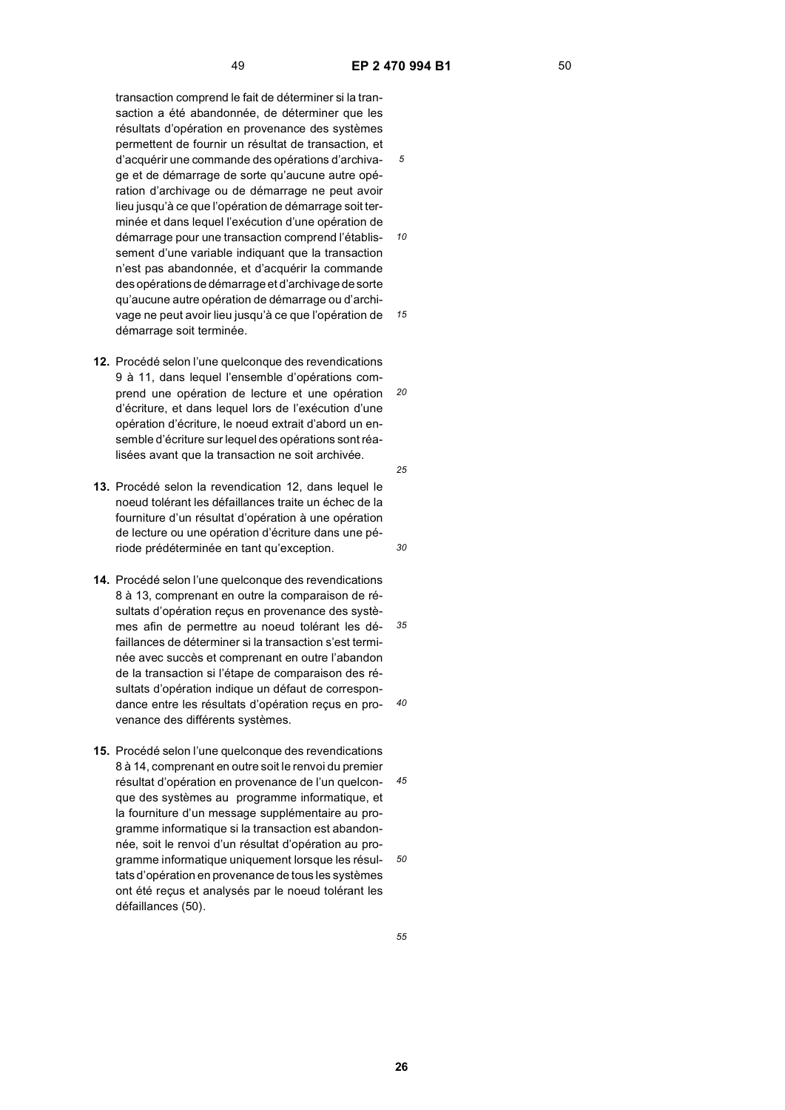*10*

*15*

*25*

*30*

transaction comprend le fait de déterminer si la transaction a été abandonnée, de déterminer que les résultats d'opération en provenance des systèmes permettent de fournir un résultat de transaction, et d'acquérir une commande des opérations d'archivage et de démarrage de sorte qu'aucune autre opération d'archivage ou de démarrage ne peut avoir lieu jusqu'à ce que l'opération de démarrage soit terminée et dans lequel l'exécution d'une opération de démarrage pour une transaction comprend l'établissement d'une variable indiquant que la transaction n'est pas abandonnée, et d'acquérir la commande des opérations de démarrage et d'archivage de sorte qu'aucune autre opération de démarrage ou d'archi-

*20* **12.** Procédé selon l'une quelconque des revendications 9 à 11, dans lequel l'ensemble d'opérations comprend une opération de lecture et une opération d'écriture, et dans lequel lors de l'exécution d'une opération d'écriture, le noeud extrait d'abord un ensemble d'écriture sur lequel des opérations sont réalisées avant que la transaction ne soit archivée.

vage ne peut avoir lieu jusqu'à ce que l'opération de

démarrage soit terminée.

- 13. Procédé selon la revendication 12, dans lequel le noeud tolérant les défaillances traite un échec de la fourniture d'un résultat d'opération à une opération de lecture ou une opération d'écriture dans une période prédéterminée en tant qu'exception.
- *35 40* **14.** Procédé selon l'une quelconque des revendications 8 à 13, comprenant en outre la comparaison de résultats d'opération reçus en provenance des systèmes afin de permettre au noeud tolérant les défaillances de déterminer si la transaction s'est terminée avec succès et comprenant en outre l'abandon de la transaction si l'étape de comparaison des résultats d'opération indique un défaut de correspondance entre les résultats d'opération reçus en provenance des différents systèmes.
- *45 50* **15.** Procédé selon l'une quelconque des revendications 8 à 14, comprenant en outre soit le renvoi du premier résultat d'opération en provenance de l'un quelconque des systèmes au programme informatique, et la fourniture d'un message supplémentaire au programme informatique si la transaction est abandonnée, soit le renvoi d'un résultat d'opération au programme informatique uniquement lorsque les résultats d'opération en provenance de tous les systèmes ont été reçus et analysés par le noeud tolérant les défaillances (50).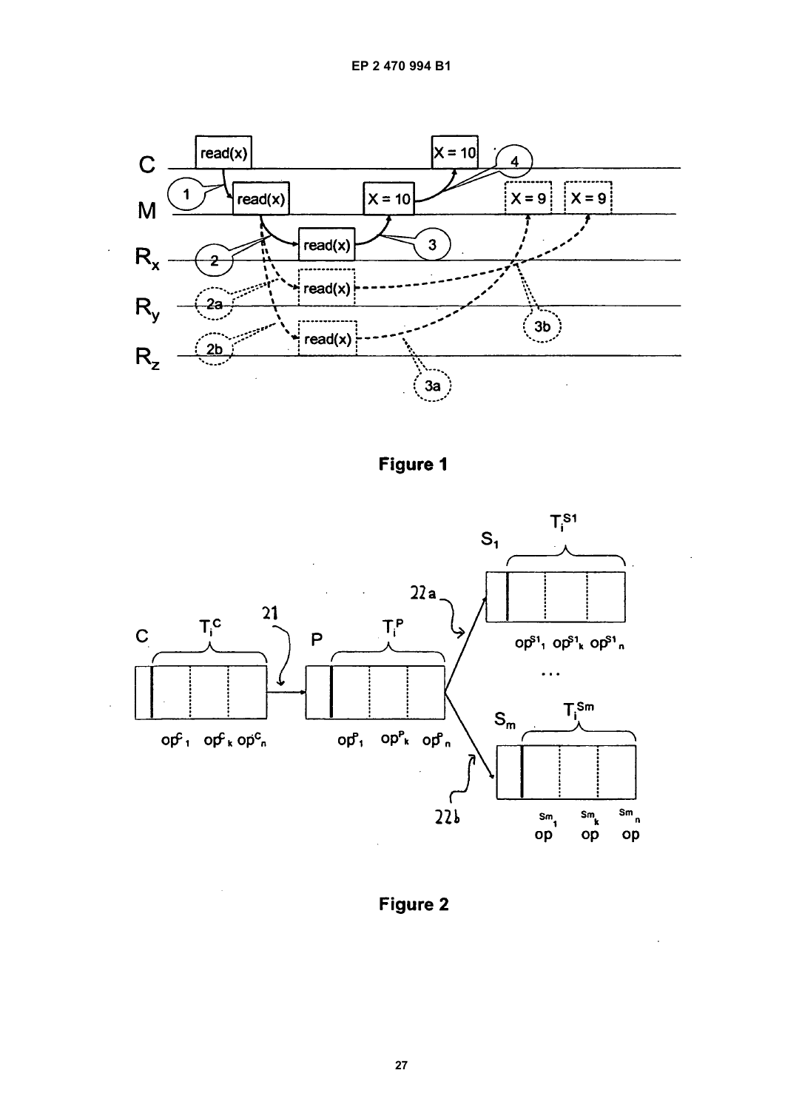

Figure 1



Figure 2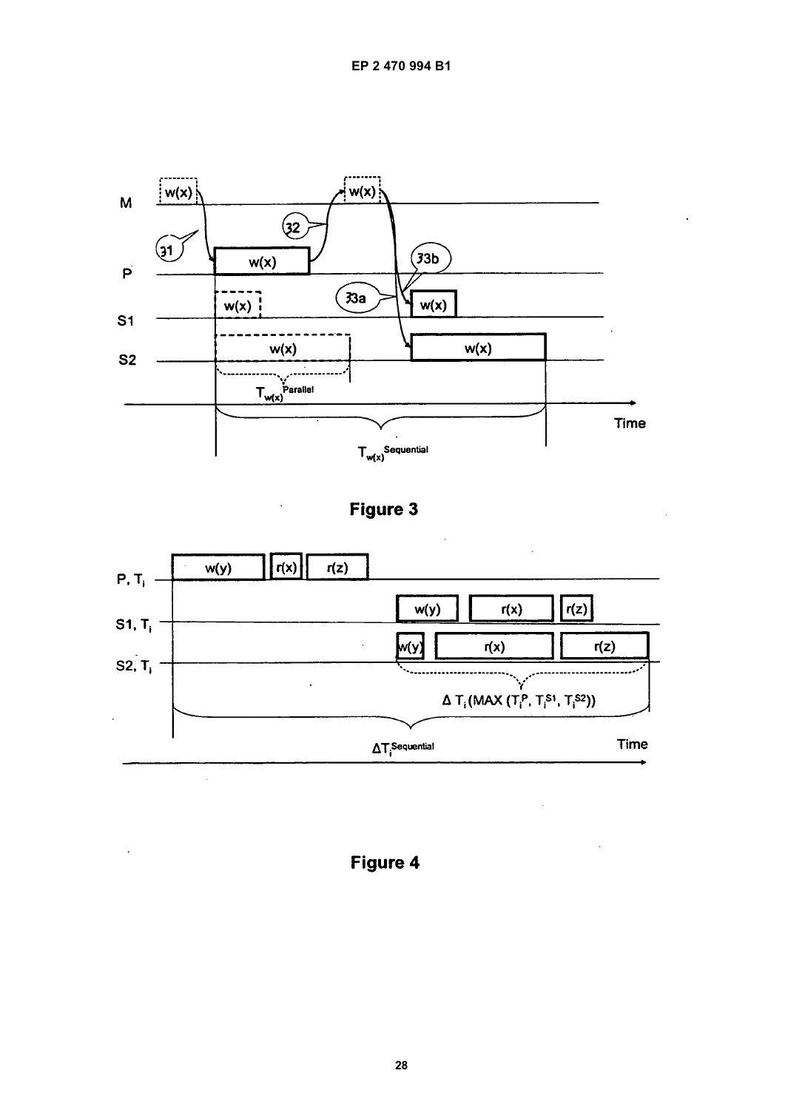





Figure 4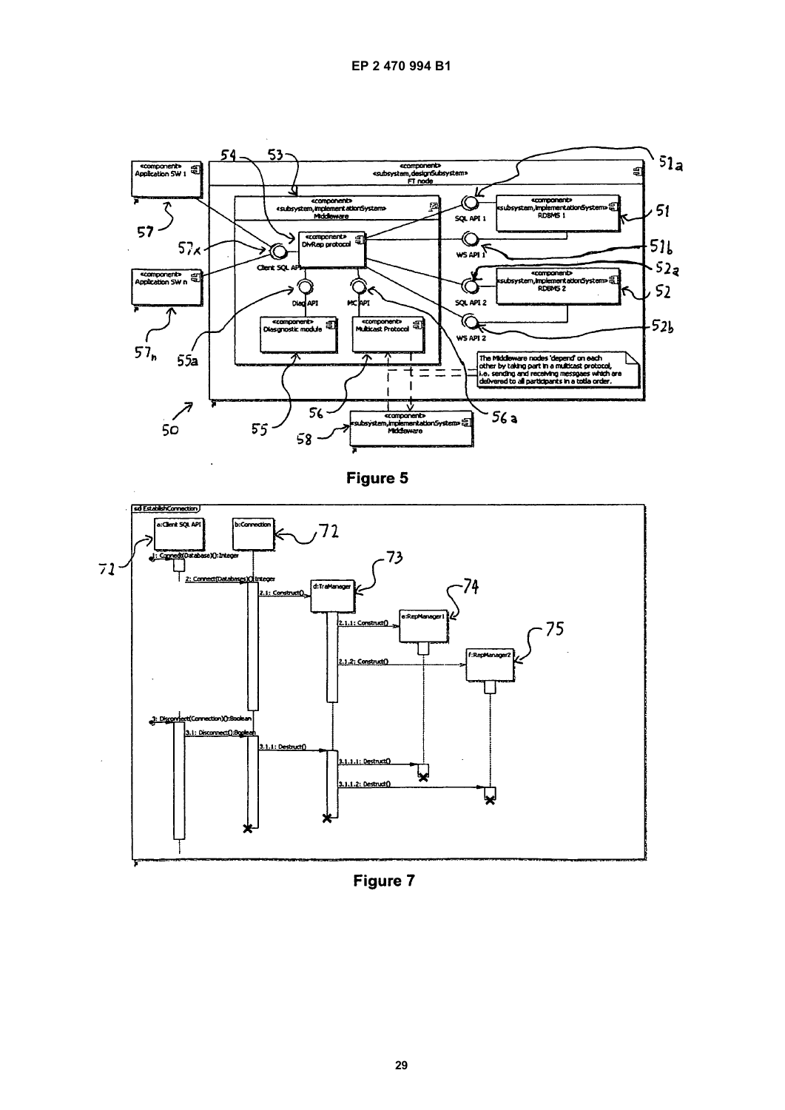





Figure 7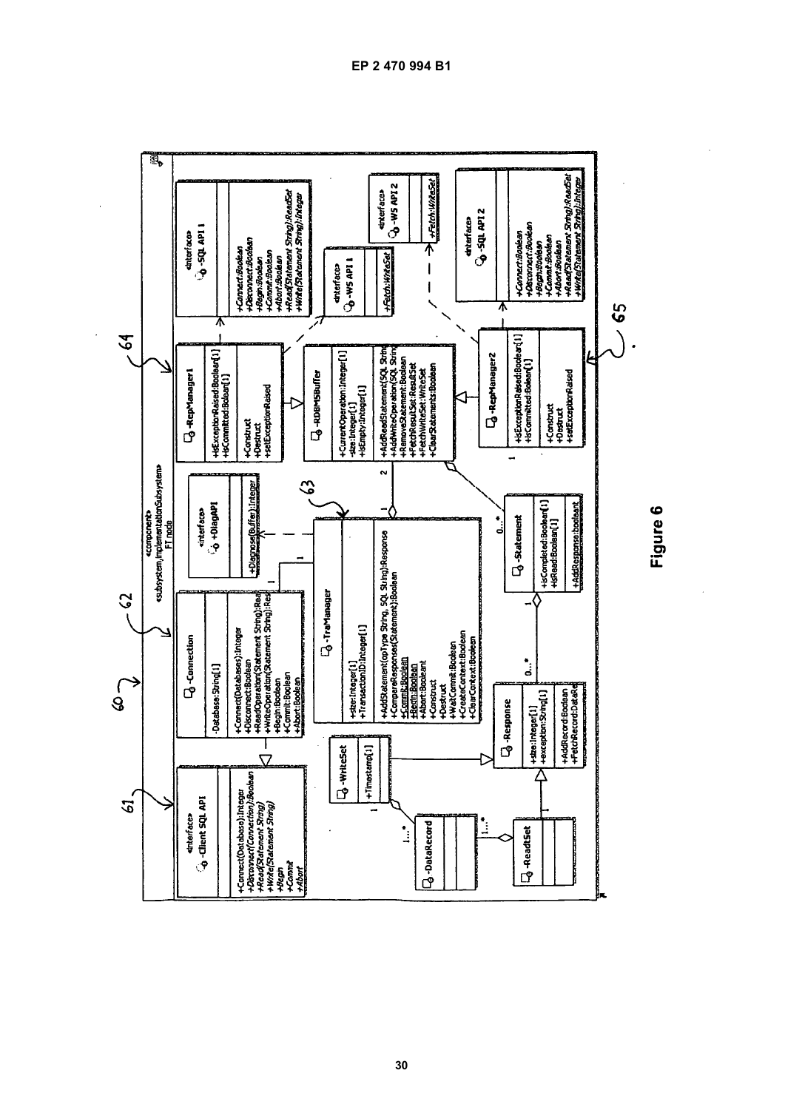

 $\ddot{\phantom{a}}$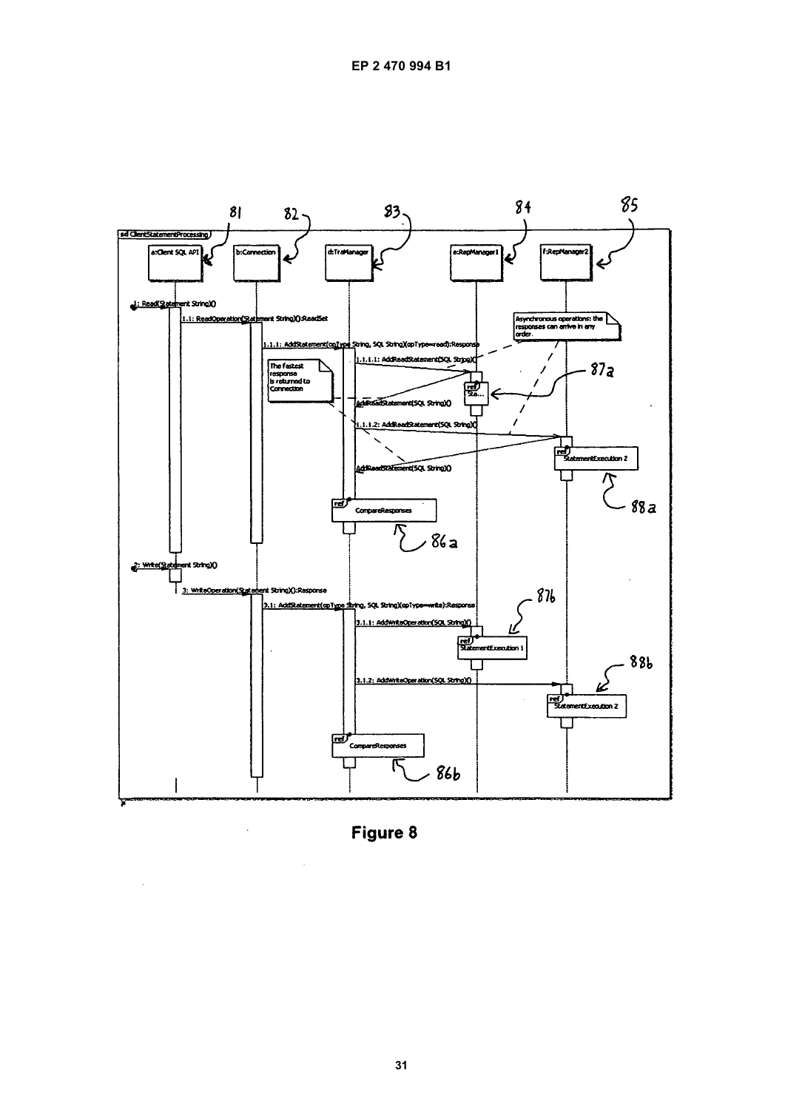

Figure 8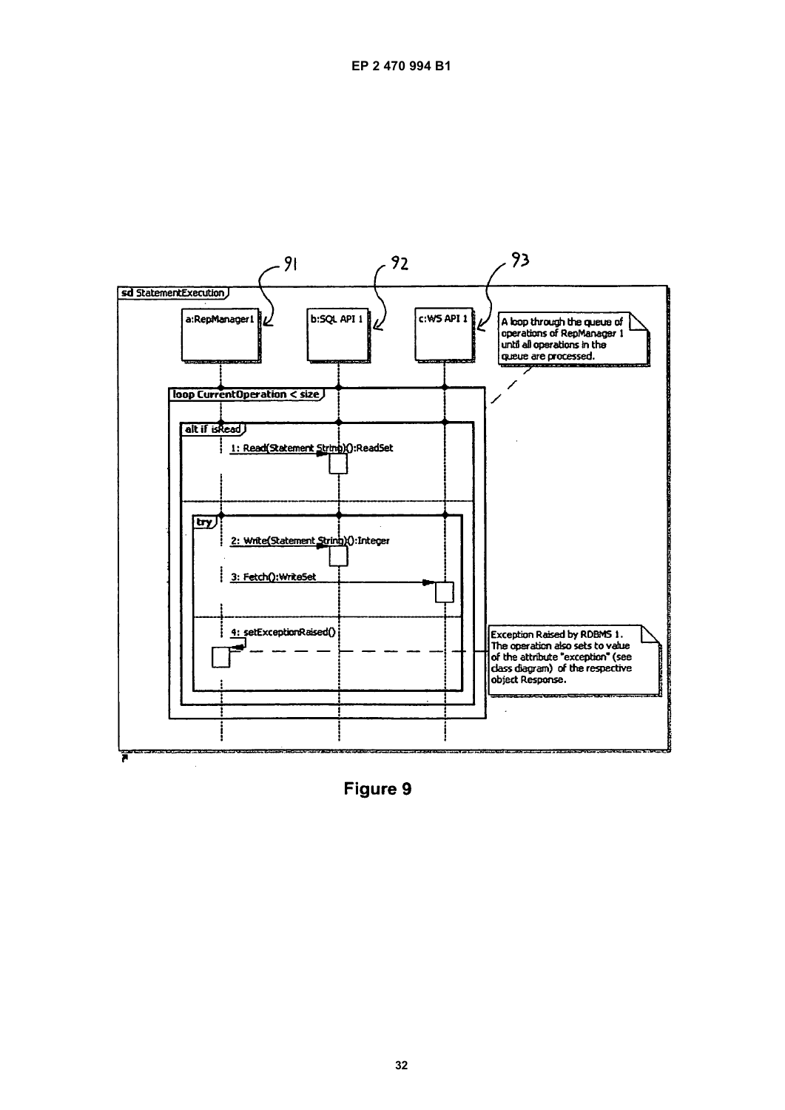

Figure 9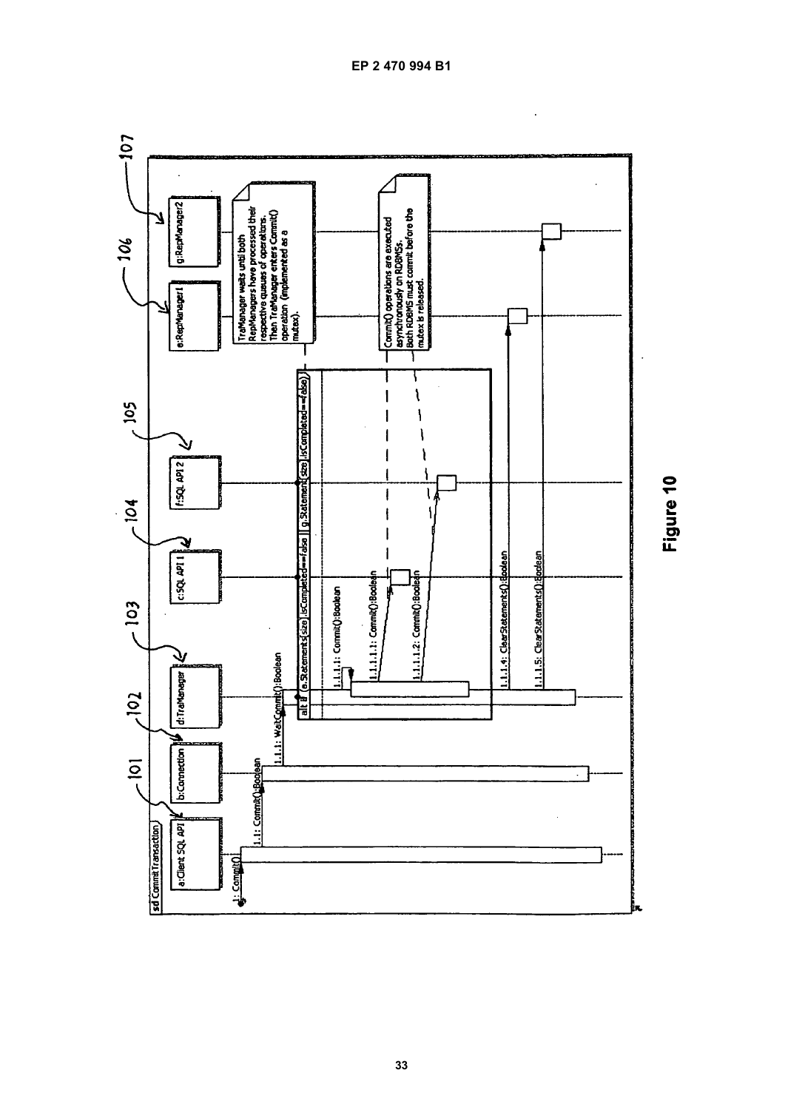

Figure 10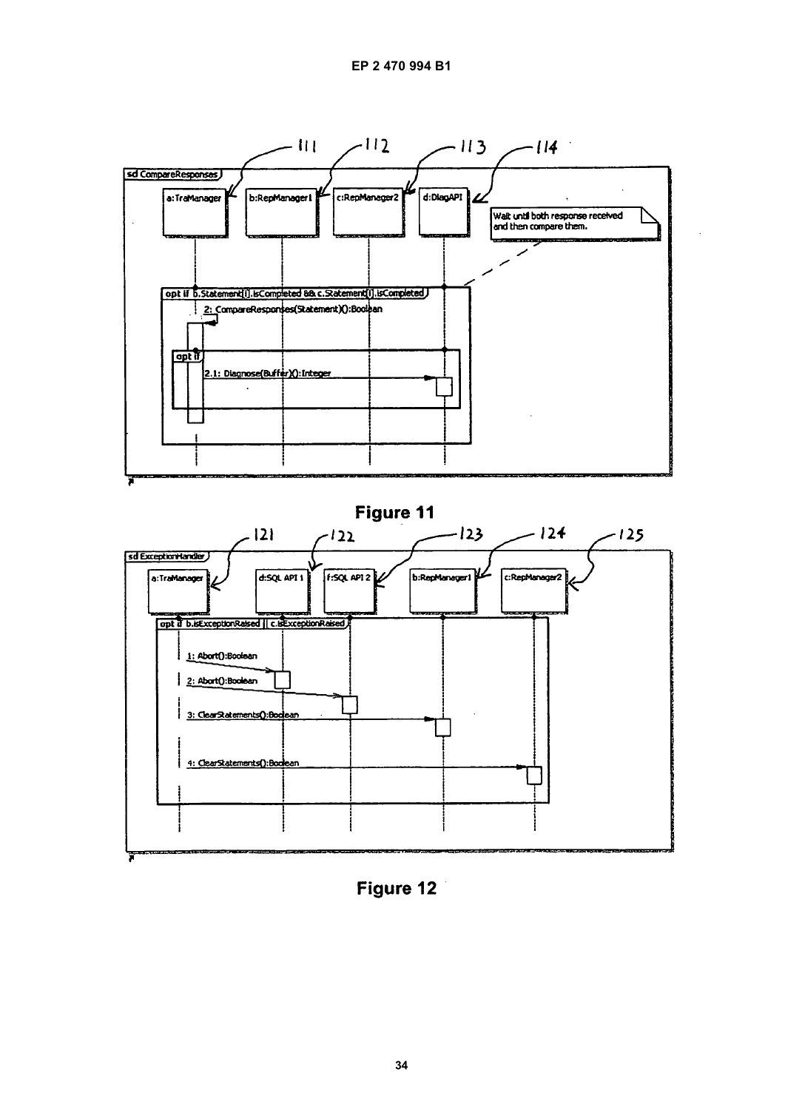

Figure 12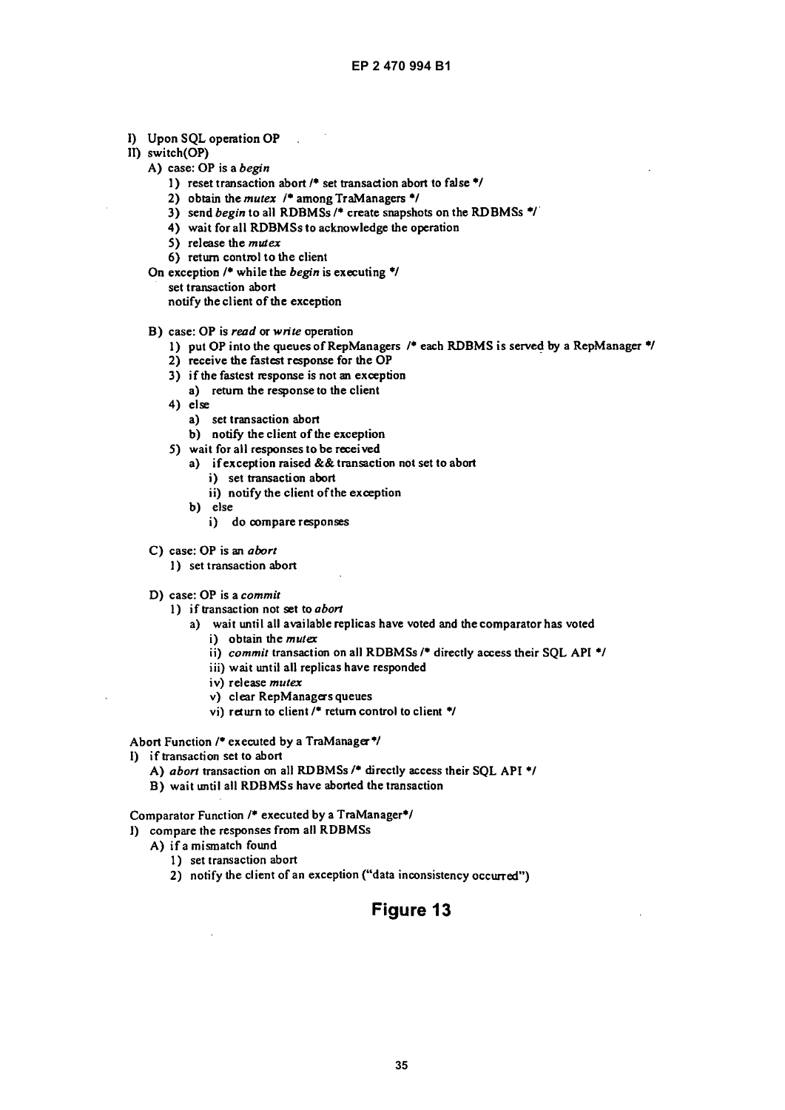- I) Upon SQL operation OP
- II) switch(OP)
	- A) case: OP is a begin
		- 1) reset transaction abort /\* set transaction abort to false \*/
		- 2) obtain the mutex  $/$  among TraManagers  $*/$

 $\sim 10$ 

- 3) send begin to all RDBMSs /\* create snapshots on the RDBMSs \*/
- 4) wait for all RDBMSs to acknowledge the operation
- 5) release the  $m$ utex
- 6) return control to the client
- On exception  $/$ \* while the *begin* is executing \*/ set transaction abort notify the client of the exception
- B) case: OP is read or write operation
	- 1) put OP into the queues of RepManagers /\* each RDBMS is served by a RepManager \*/
	- 2) receive the fastest response for the OP
	- 3) if the fastest response is not an exception
	- a) return the response to the client
	- $4)$  else
		- a) set transaction abort
		- b) notify the client of the exception
	- 5) wait for all responses to be received
		- a) if exception raised && transaction not set to abort
			- i) set transaction abort
		- ii) notify the client of the exception b) else
		- i) do compare responses
- C) case: OP is an abort
	- 1) set transaction abort
- D) case: OP is a commit
	- 1) if transaction not set to abort
		- a) wait until all available replicas have voted and the comparator has voted
			- i) obtain the  $m$ utex
			- ii) commit transaction on all RDBMSs /\* directly access their SQL API \*/
			- iii) wait until all replicas have responded
			- iv) release mutex
			- v) clear RepManagers queues
			- vi) return to client /\* return control to client \*/

Abort Function /\* executed by a TraManager\*/

- I) if transaction set to abort
	- A) abort transaction on all RDBMSs /\* directly access their SQL API \*/
	- B) wait until all RDBMSs have aborted the transaction

Comparator Function /\* executed by a TraManager\*/

- I) compare the responses from all RDBMSs
	- A) if a mismatch found
		- 1) set transaction abort
		- 2) notify the client of an exception ("data inconsistency occurred")

# Figure 13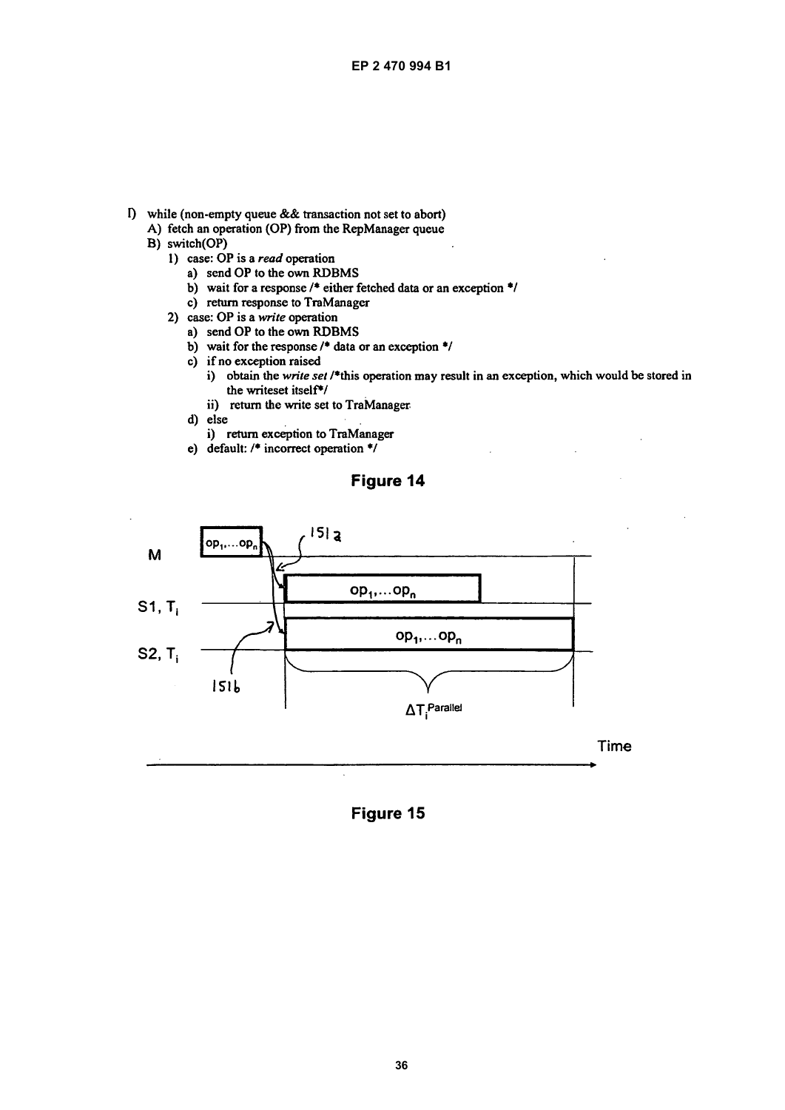- I) while (non-empty queue & & transaction not set to abort)
	- A) fetch an operation (OP) from the RepManager queue
	- B) switch(OP)
		- 1) case: OP is a read operation
			- a) send OP to the own RDBMS
			- b) wait for a response  $/$ \* either fetched data or an exception \*/
			- c) return response to TraManager
		- 2) case: OP is a write operation
			- a) send OP to the own RDBMS
			- b) wait for the response  $/$ <sup>\*</sup> data or an exception  $*$ /
			- c) if no exception raised
				- i) obtain the write set /\*this operation may result in an exception, which would be stored in the writeset itself<sup>\*/</sup>
				- ii) return the write set to TraManager
			- d) else
				- i) return exception to TraManager
			- e) default:  $/$  incorrect operation  $*/$

# Figure 14



Figure 15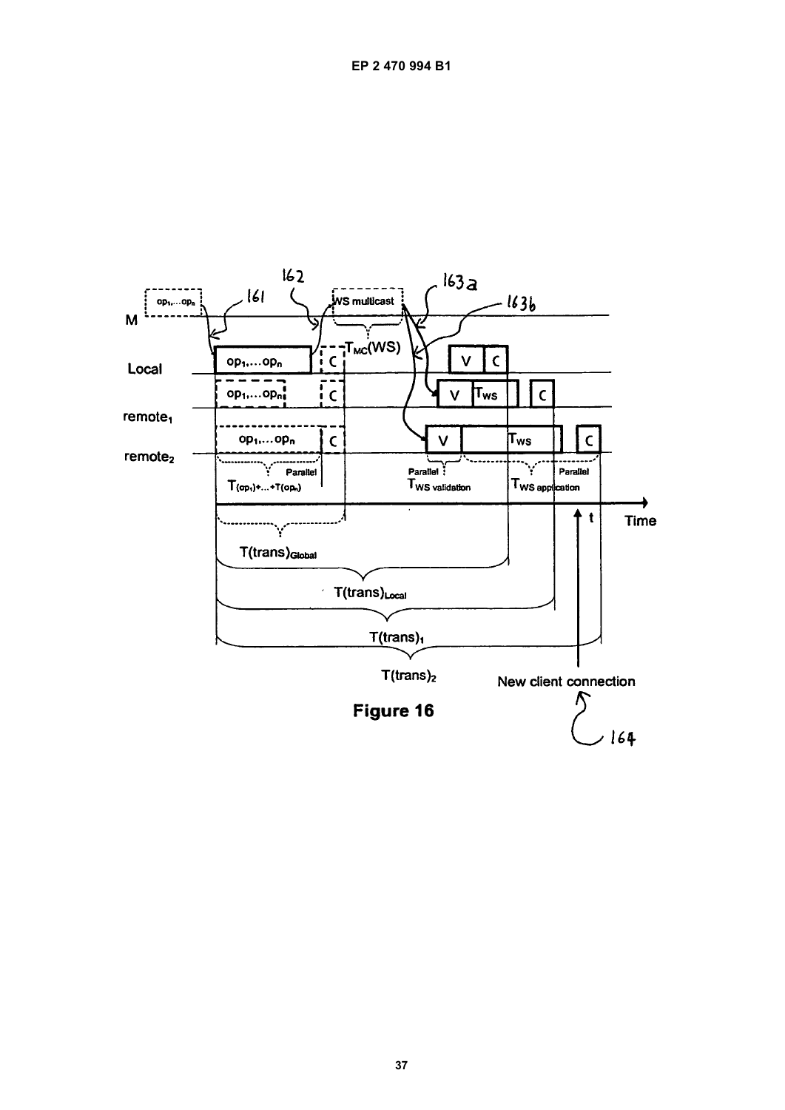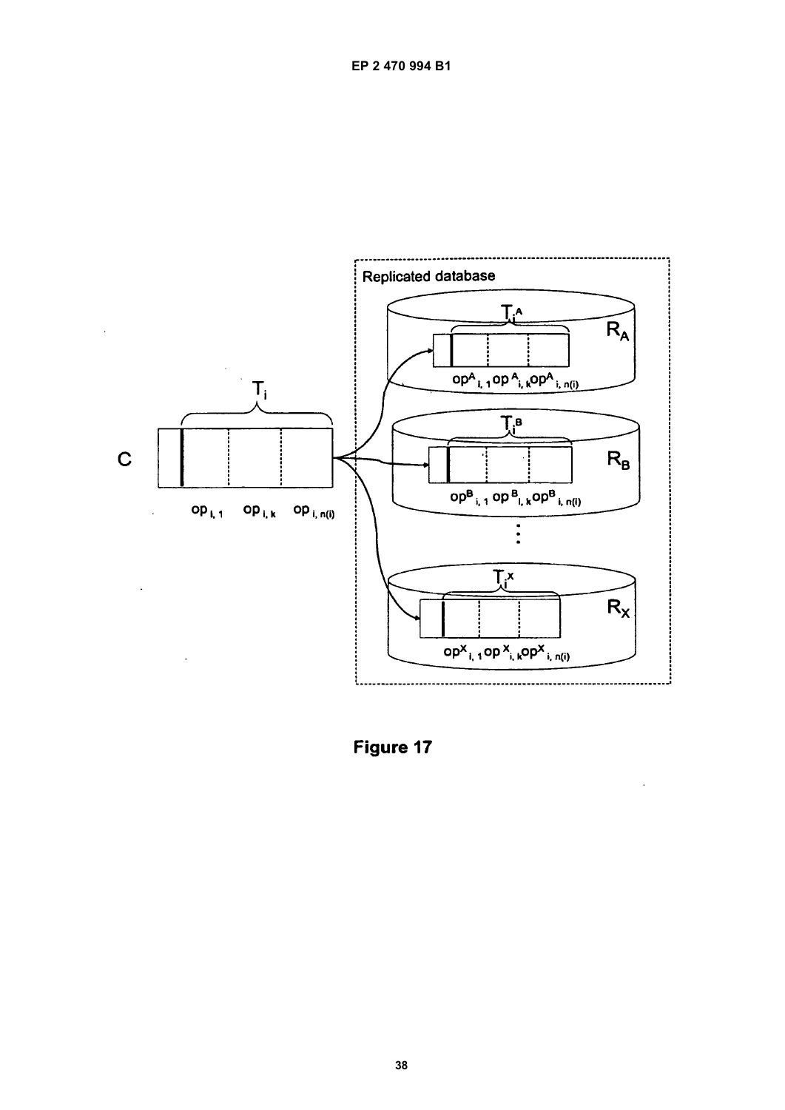

Figure 17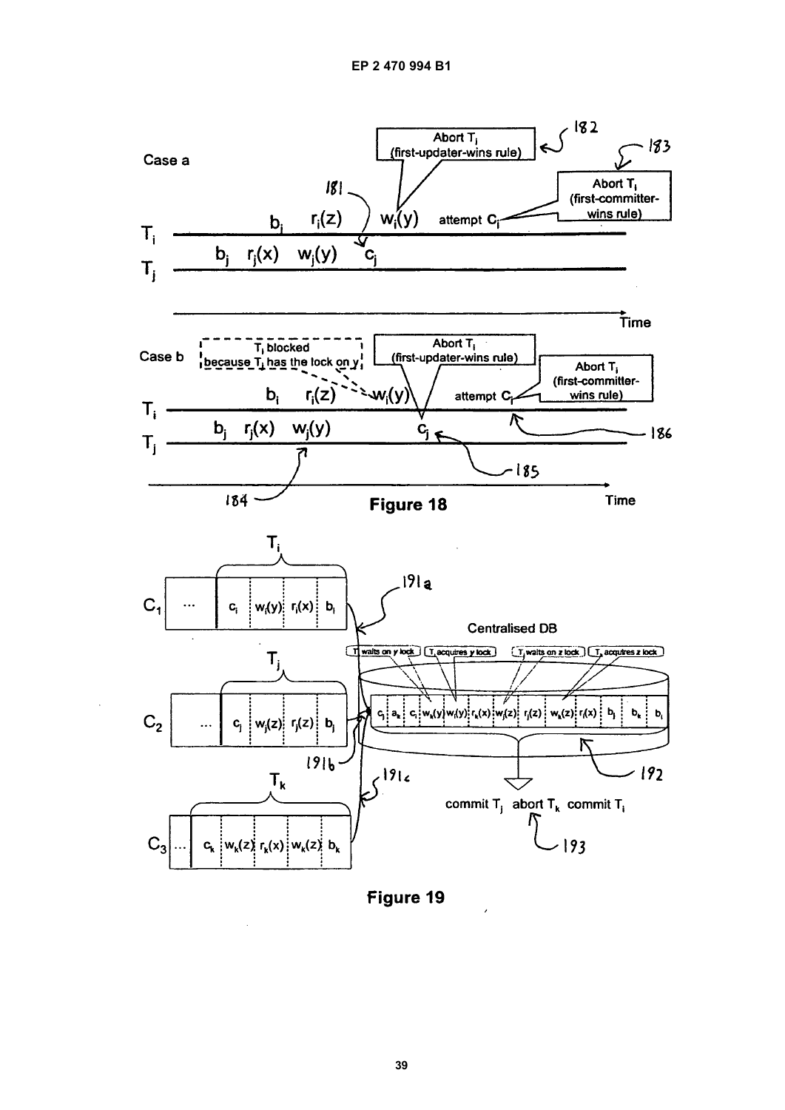

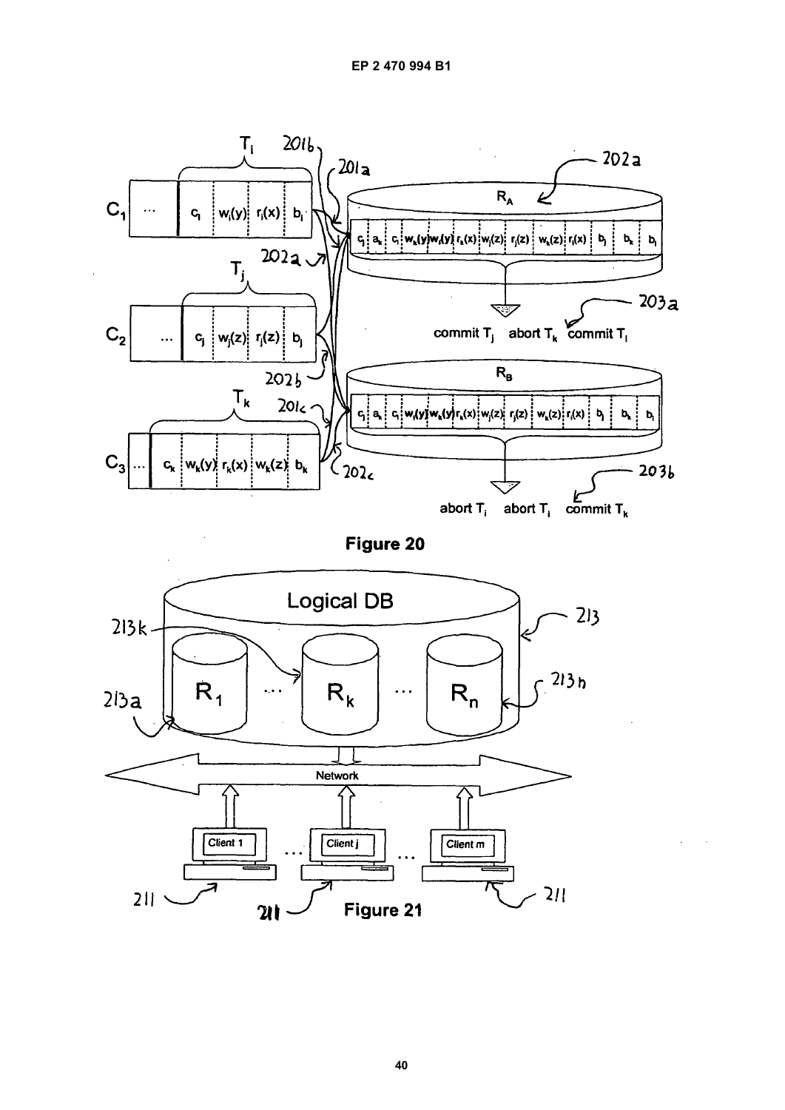

Figure 20

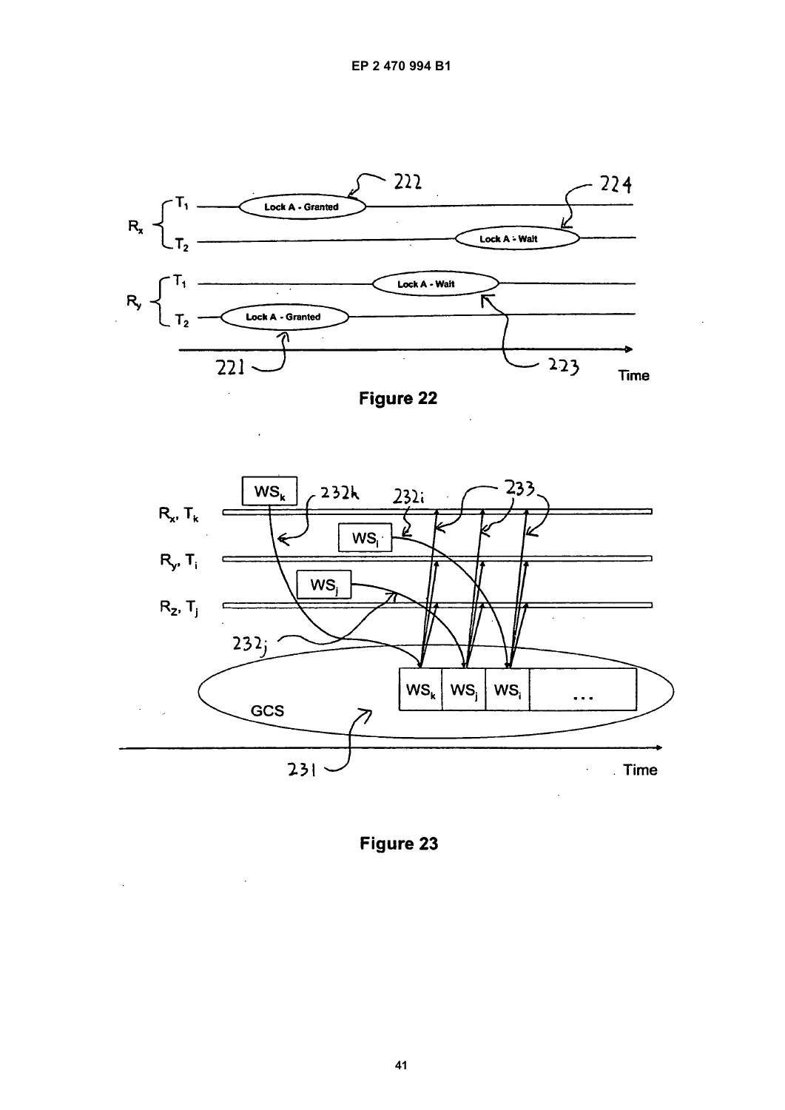

Figure 22



Figure 23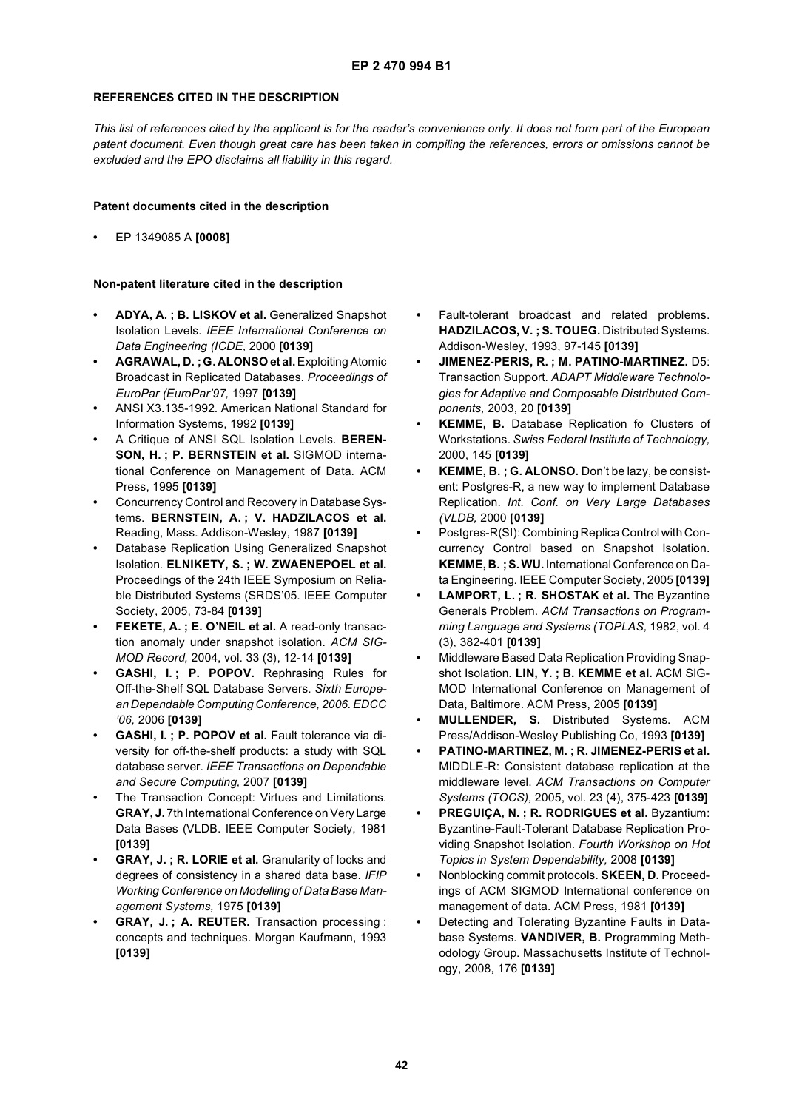### **REFERENCES CITED IN THE DESCRIPTION**

*This list of references cited by the applicant is for the reader's convenience only. It does not form part of the European patent document. Even though great care has been taken in compiling the references, errors or omissions cannot be excluded and the EPO disclaims all liability in this regard.*

### **Patent documents cited in the description**

**•** EP 1349085 A **[0008]**

### **Non-patent literature cited in the description**

- **ADYA, A. ; B. LISKOV et al.** Generalized Snapshot Isolation Levels. *IEEE International Conference on Data Engineering (ICDE,* 2000 **[0139]**
- **AGRAWAL, D. ;G. ALONSO et al.** Exploiting Atomic Broadcast in Replicated Databases. *Proceedings of EuroPar (EuroPar'97,* 1997 **[0139]**
- **•** ANSI X3.135-1992. American National Standard for Information Systems, 1992 **[0139]**
- **•** A Critique of ANSI SQL Isolation Levels. **BEREN-SON, H. ; P. BERNSTEIN et al.** SIGMOD international Conference on Management of Data. ACM Press, 1995 **[0139]**
- **•** Concurrency Control and Recovery in Database Systems. **BERNSTEIN, A. ; V. HADZILACOS et al.** Reading, Mass. Addison-Wesley, 1987 **[0139]**
- **•** Database Replication Using Generalized Snapshot Isolation. **ELNIKETY, S. ; W. ZWAENEPOEL et al.** Proceedings of the 24th IEEE Symposium on Reliable Distributed Systems (SRDS'05. IEEE Computer Society, 2005, 73-84 **[0139]**
- **FEKETE, A. ; E. O'NEIL et al.** A read-only transaction anomaly under snapshot isolation. *ACM SIG-MOD Record,* 2004, vol. 33 (3), 12-14 **[0139]**
- **GASHI, I. ; P. POPOV.** Rephrasing Rules for Off-the-Shelf SQL Database Servers. *Sixth European Dependable Computing Conference, 2006. EDCC '06,* 2006 **[0139]**
- **GASHI, I. ; P. POPOV et al.** Fault tolerance via diversity for off-the-shelf products: a study with SQL database server. *IEEE Transactions on Dependable and Secure Computing,* 2007 **[0139]**
- **•** The Transaction Concept: Virtues and Limitations. **GRAY, J.** 7th International Conference on Very Large Data Bases (VLDB. IEEE Computer Society, 1981 **[0139]**
- **GRAY, J. ; R. LORIE et al.** Granularity of locks and degrees of consistency in a shared data base. *IFIP Working Conference on Modelling of Data Base Management Systems,* 1975 **[0139]**
- **GRAY, J. ; A. REUTER.** Transaction processing : concepts and techniques. Morgan Kaufmann, 1993 **[0139]**
- **•** Fault-tolerant broadcast and related problems. **HADZILACOS, V. ; S. TOUEG.** Distributed Systems. Addison-Wesley, 1993, 97-145 **[0139]**
- **JIMENEZ-PERIS, R. ; M. PATINO-MARTINEZ.** D5: Transaction Support. *ADAPT Middleware Technologies for Adaptive and Composable Distributed Components,* 2003, 20 **[0139]**
- **KEMME, B.** Database Replication fo Clusters of Workstations. *Swiss Federal Institute of Technology,* 2000, 145 **[0139]**
- **KEMME, B. ; G. ALONSO.** Don't be lazy, be consistent: Postgres-R, a new way to implement Database Replication. *Int. Conf. on Very Large Databases (VLDB,* 2000 **[0139]**
- **•** Postgres-R(SI): Combining Replica Control with Concurrency Control based on Snapshot Isolation. **KEMME, B. ;S. WU.** International Conference on Data Engineering. IEEE Computer Society, 2005 **[0139]**
- **LAMPORT, L. ; R. SHOSTAK et al.** The Byzantine Generals Problem. *ACM Transactions on Programming Language and Systems (TOPLAS,* 1982, vol. 4 (3), 382-401 **[0139]**
- **•** Middleware Based Data Replication Providing Snapshot Isolation. **LIN, Y. ; B. KEMME et al.** ACM SIG-MOD International Conference on Management of Data, Baltimore. ACM Press, 2005 **[0139]**
- **MULLENDER, S.** Distributed Systems. ACM Press/Addison-Wesley Publishing Co, 1993 **[0139]**
- **PATINO-MARTINEZ, M. ; R. JIMENEZ-PERIS et al.** MIDDLE-R: Consistent database replication at the middleware level. *ACM Transactions on Computer Systems (TOCS),* 2005, vol. 23 (4), 375-423 **[0139]**
- **PREGUIÇA, N. ; R. RODRIGUES et al.** Byzantium: Byzantine-Fault-Tolerant Database Replication Providing Snapshot Isolation. *Fourth Workshop on Hot Topics in System Dependability,* 2008 **[0139]**
- **•** Nonblocking commit protocols. **SKEEN, D.** Proceedings of ACM SIGMOD International conference on management of data. ACM Press, 1981 **[0139]**
- **•** Detecting and Tolerating Byzantine Faults in Database Systems. **VANDIVER, B.** Programming Methodology Group. Massachusetts Institute of Technology, 2008, 176 **[0139]**